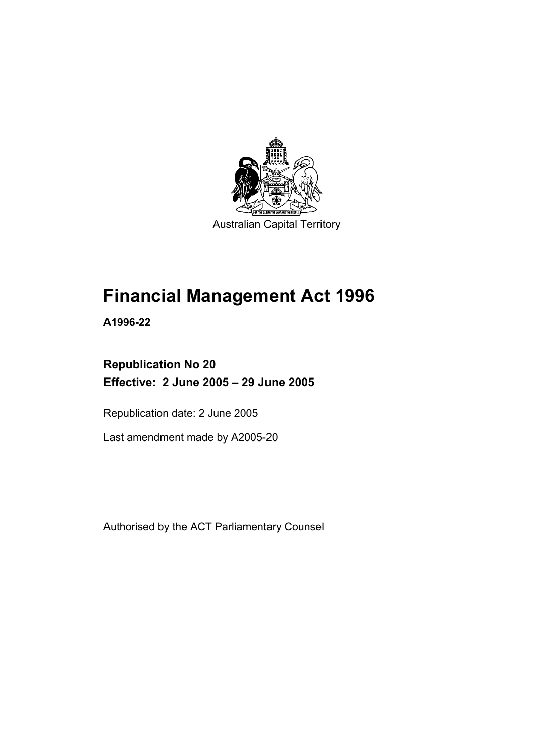

Australian Capital Territory

# **Financial Management Act 1996**

**A1996-22** 

### **Republication No 20 Effective: 2 June 2005 – 29 June 2005**

Republication date: 2 June 2005

Last amendment made by A2005-20

Authorised by the ACT Parliamentary Counsel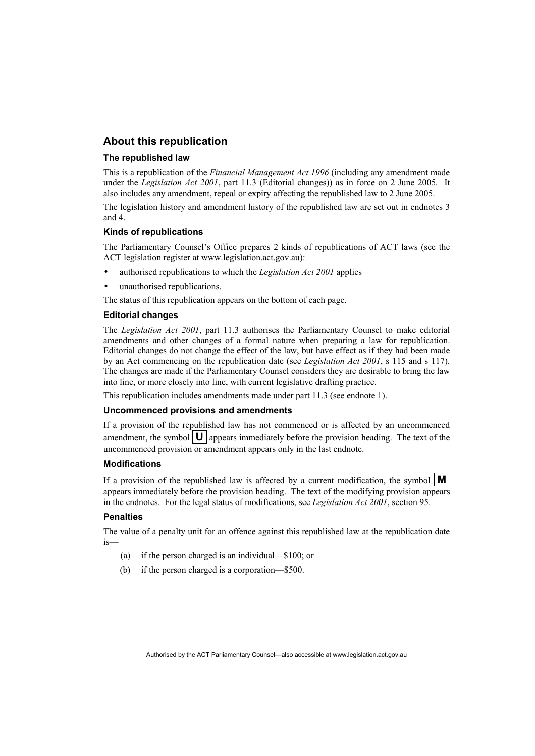#### **About this republication**

#### **The republished law**

This is a republication of the *Financial Management Act 1996* (including any amendment made under the *Legislation Act 2001*, part 11.3 (Editorial changes)) as in force on 2 June 2005*.* It also includes any amendment, repeal or expiry affecting the republished law to 2 June 2005.

The legislation history and amendment history of the republished law are set out in endnotes 3 and 4.

#### **Kinds of republications**

The Parliamentary Counsel's Office prepares 2 kinds of republications of ACT laws (see the ACT legislation register at www.legislation.act.gov.au):

- authorised republications to which the *Legislation Act 2001* applies
- unauthorised republications.

The status of this republication appears on the bottom of each page.

#### **Editorial changes**

The *Legislation Act 2001*, part 11.3 authorises the Parliamentary Counsel to make editorial amendments and other changes of a formal nature when preparing a law for republication. Editorial changes do not change the effect of the law, but have effect as if they had been made by an Act commencing on the republication date (see *Legislation Act 2001*, s 115 and s 117). The changes are made if the Parliamentary Counsel considers they are desirable to bring the law into line, or more closely into line, with current legislative drafting practice.

This republication includes amendments made under part 11.3 (see endnote 1).

#### **Uncommenced provisions and amendments**

If a provision of the republished law has not commenced or is affected by an uncommenced amendment, the symbol  $\mathbf{U}$  appears immediately before the provision heading. The text of the uncommenced provision or amendment appears only in the last endnote.

#### **Modifications**

If a provision of the republished law is affected by a current modification, the symbol  $\mathbf{M}$ appears immediately before the provision heading. The text of the modifying provision appears in the endnotes. For the legal status of modifications, see *Legislation Act 2001*, section 95.

#### **Penalties**

The value of a penalty unit for an offence against this republished law at the republication date is—

- (a) if the person charged is an individual—\$100; or
- (b) if the person charged is a corporation—\$500.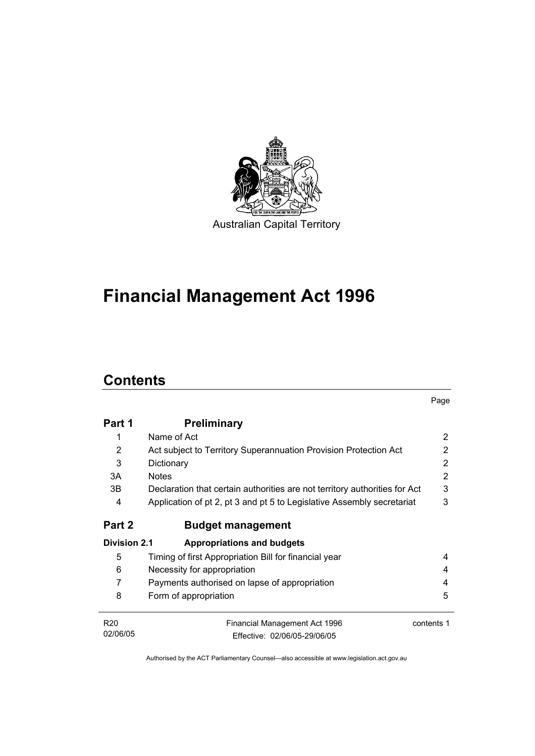

# **Financial Management Act 1996**

# **Contents**

|                     |                                                                            | Page       |
|---------------------|----------------------------------------------------------------------------|------------|
| Part 1              | <b>Preliminary</b>                                                         |            |
| 1                   | Name of Act                                                                | 2          |
| 2                   | Act subject to Territory Superannuation Provision Protection Act           | 2          |
| 3                   | Dictionary                                                                 | 2          |
| 3A                  | <b>Notes</b>                                                               | 2          |
| 3B                  | Declaration that certain authorities are not territory authorities for Act | 3          |
| 4                   | Application of pt 2, pt 3 and pt 5 to Legislative Assembly secretariat     | 3          |
| Part 2              | <b>Budget management</b>                                                   |            |
| <b>Division 2.1</b> | <b>Appropriations and budgets</b>                                          |            |
| 5                   | Timing of first Appropriation Bill for financial year                      | 4          |
| 6                   | Necessity for appropriation                                                | 4          |
| 7                   | Payments authorised on lapse of appropriation                              | 4          |
| 8                   | Form of appropriation                                                      | 5          |
| R <sub>20</sub>     | <b>Financial Management Act 1996</b>                                       | contents 1 |
| 02/06/05            | Fffective: 02/06/05-29/06/05                                               |            |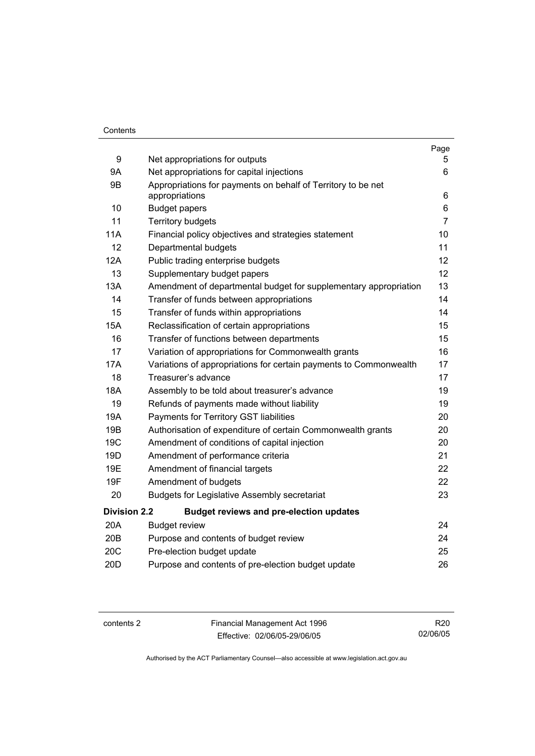#### **Contents**

|                     |                                                                                | Page           |
|---------------------|--------------------------------------------------------------------------------|----------------|
| 9                   | Net appropriations for outputs                                                 | 5.             |
| <b>9A</b>           | Net appropriations for capital injections                                      | 6              |
| 9B                  | Appropriations for payments on behalf of Territory to be net<br>appropriations | 6              |
| 10                  | <b>Budget papers</b>                                                           | 6              |
| 11                  | <b>Territory budgets</b>                                                       | $\overline{7}$ |
| <b>11A</b>          | Financial policy objectives and strategies statement                           | 10             |
| 12                  | Departmental budgets                                                           | 11             |
| 12A                 | Public trading enterprise budgets                                              | 12             |
| 13                  | Supplementary budget papers                                                    | 12             |
| 13A                 | Amendment of departmental budget for supplementary appropriation               | 13             |
| 14                  | Transfer of funds between appropriations                                       | 14             |
| 15                  | Transfer of funds within appropriations                                        | 14             |
| <b>15A</b>          | Reclassification of certain appropriations                                     | 15             |
| 16                  | Transfer of functions between departments                                      | 15             |
| 17                  | Variation of appropriations for Commonwealth grants                            | 16             |
| <b>17A</b>          | Variations of appropriations for certain payments to Commonwealth              | 17             |
| 18                  | Treasurer's advance                                                            | 17             |
| 18A                 | Assembly to be told about treasurer's advance                                  | 19             |
| 19                  | Refunds of payments made without liability                                     | 19             |
| 19A                 | Payments for Territory GST liabilities                                         | 20             |
| 19B                 | Authorisation of expenditure of certain Commonwealth grants                    | 20             |
| 19 <sub>C</sub>     | Amendment of conditions of capital injection                                   | 20             |
| 19D                 | Amendment of performance criteria                                              | 21             |
| 19E                 | Amendment of financial targets                                                 | 22             |
| 19F                 | Amendment of budgets                                                           | 22             |
| 20                  | <b>Budgets for Legislative Assembly secretariat</b>                            | 23             |
| <b>Division 2.2</b> | <b>Budget reviews and pre-election updates</b>                                 |                |
| 20A                 | <b>Budget review</b>                                                           | 24             |
| 20B                 | Purpose and contents of budget review                                          | 24             |
| 20C                 | Pre-election budget update                                                     | 25             |
| 20 <sub>D</sub>     | Purpose and contents of pre-election budget update                             | 26             |

contents 2 Financial Management Act 1996 Effective: 02/06/05-29/06/05

R20 02/06/05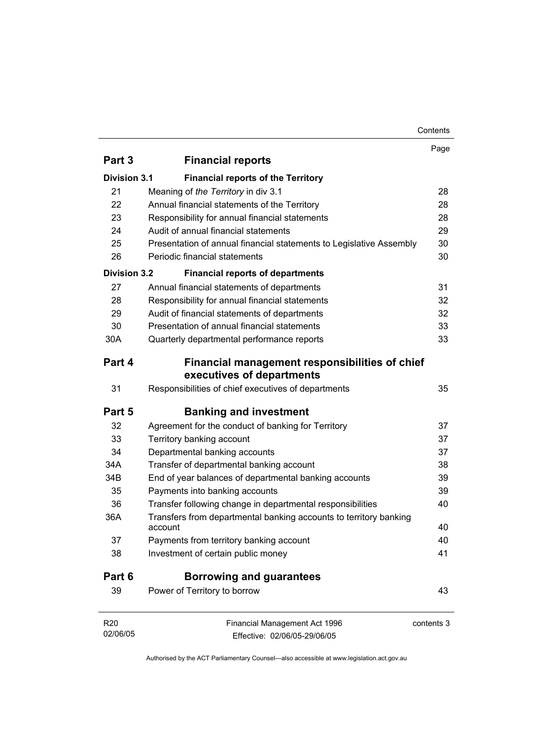#### Contents

| Part 3<br><b>Financial reports</b><br><b>Division 3.1</b><br><b>Financial reports of the Territory</b><br>21<br>Meaning of the Territory in div 3.1<br>28<br>22<br>Annual financial statements of the Territory<br>28<br>23<br>Responsibility for annual financial statements<br>28<br>Audit of annual financial statements<br>29<br>24<br>25<br>30<br>Presentation of annual financial statements to Legislative Assembly<br>26<br>Periodic financial statements<br>30<br><b>Division 3.2</b><br><b>Financial reports of departments</b><br>27<br>Annual financial statements of departments<br>31<br>28<br>Responsibility for annual financial statements<br>32<br>32<br>29<br>Audit of financial statements of departments<br>30<br>Presentation of annual financial statements<br>33<br>33<br>30A<br>Quarterly departmental performance reports<br>Part 4<br>Financial management responsibilities of chief<br>executives of departments<br>31<br>Responsibilities of chief executives of departments<br>35<br>Part 5<br><b>Banking and investment</b><br>32<br>Agreement for the conduct of banking for Territory<br>37<br>33<br>37<br>Territory banking account<br>34<br>Departmental banking accounts<br>37<br>34A<br>Transfer of departmental banking account<br>38<br>39<br>34B<br>End of year balances of departmental banking accounts<br>35<br>Payments into banking accounts<br>39<br>36<br>Transfer following change in departmental responsibilities<br>40<br>36A<br>Transfers from departmental banking accounts to territory banking<br>40<br>account<br>37<br>Payments from territory banking account<br>40<br>Investment of certain public money<br>38<br>41<br>Part 6<br><b>Borrowing and guarantees</b><br>39<br>Power of Territory to borrow<br>43<br>R20<br>Financial Management Act 1996<br>contents 3 |          | Page |
|--------------------------------------------------------------------------------------------------------------------------------------------------------------------------------------------------------------------------------------------------------------------------------------------------------------------------------------------------------------------------------------------------------------------------------------------------------------------------------------------------------------------------------------------------------------------------------------------------------------------------------------------------------------------------------------------------------------------------------------------------------------------------------------------------------------------------------------------------------------------------------------------------------------------------------------------------------------------------------------------------------------------------------------------------------------------------------------------------------------------------------------------------------------------------------------------------------------------------------------------------------------------------------------------------------------------------------------------------------------------------------------------------------------------------------------------------------------------------------------------------------------------------------------------------------------------------------------------------------------------------------------------------------------------------------------------------------------------------------------------------------------------------------------------------------------------------------|----------|------|
|                                                                                                                                                                                                                                                                                                                                                                                                                                                                                                                                                                                                                                                                                                                                                                                                                                                                                                                                                                                                                                                                                                                                                                                                                                                                                                                                                                                                                                                                                                                                                                                                                                                                                                                                                                                                                                |          |      |
|                                                                                                                                                                                                                                                                                                                                                                                                                                                                                                                                                                                                                                                                                                                                                                                                                                                                                                                                                                                                                                                                                                                                                                                                                                                                                                                                                                                                                                                                                                                                                                                                                                                                                                                                                                                                                                |          |      |
|                                                                                                                                                                                                                                                                                                                                                                                                                                                                                                                                                                                                                                                                                                                                                                                                                                                                                                                                                                                                                                                                                                                                                                                                                                                                                                                                                                                                                                                                                                                                                                                                                                                                                                                                                                                                                                |          |      |
|                                                                                                                                                                                                                                                                                                                                                                                                                                                                                                                                                                                                                                                                                                                                                                                                                                                                                                                                                                                                                                                                                                                                                                                                                                                                                                                                                                                                                                                                                                                                                                                                                                                                                                                                                                                                                                |          |      |
|                                                                                                                                                                                                                                                                                                                                                                                                                                                                                                                                                                                                                                                                                                                                                                                                                                                                                                                                                                                                                                                                                                                                                                                                                                                                                                                                                                                                                                                                                                                                                                                                                                                                                                                                                                                                                                |          |      |
|                                                                                                                                                                                                                                                                                                                                                                                                                                                                                                                                                                                                                                                                                                                                                                                                                                                                                                                                                                                                                                                                                                                                                                                                                                                                                                                                                                                                                                                                                                                                                                                                                                                                                                                                                                                                                                |          |      |
|                                                                                                                                                                                                                                                                                                                                                                                                                                                                                                                                                                                                                                                                                                                                                                                                                                                                                                                                                                                                                                                                                                                                                                                                                                                                                                                                                                                                                                                                                                                                                                                                                                                                                                                                                                                                                                |          |      |
|                                                                                                                                                                                                                                                                                                                                                                                                                                                                                                                                                                                                                                                                                                                                                                                                                                                                                                                                                                                                                                                                                                                                                                                                                                                                                                                                                                                                                                                                                                                                                                                                                                                                                                                                                                                                                                |          |      |
|                                                                                                                                                                                                                                                                                                                                                                                                                                                                                                                                                                                                                                                                                                                                                                                                                                                                                                                                                                                                                                                                                                                                                                                                                                                                                                                                                                                                                                                                                                                                                                                                                                                                                                                                                                                                                                |          |      |
|                                                                                                                                                                                                                                                                                                                                                                                                                                                                                                                                                                                                                                                                                                                                                                                                                                                                                                                                                                                                                                                                                                                                                                                                                                                                                                                                                                                                                                                                                                                                                                                                                                                                                                                                                                                                                                |          |      |
|                                                                                                                                                                                                                                                                                                                                                                                                                                                                                                                                                                                                                                                                                                                                                                                                                                                                                                                                                                                                                                                                                                                                                                                                                                                                                                                                                                                                                                                                                                                                                                                                                                                                                                                                                                                                                                |          |      |
|                                                                                                                                                                                                                                                                                                                                                                                                                                                                                                                                                                                                                                                                                                                                                                                                                                                                                                                                                                                                                                                                                                                                                                                                                                                                                                                                                                                                                                                                                                                                                                                                                                                                                                                                                                                                                                |          |      |
|                                                                                                                                                                                                                                                                                                                                                                                                                                                                                                                                                                                                                                                                                                                                                                                                                                                                                                                                                                                                                                                                                                                                                                                                                                                                                                                                                                                                                                                                                                                                                                                                                                                                                                                                                                                                                                |          |      |
|                                                                                                                                                                                                                                                                                                                                                                                                                                                                                                                                                                                                                                                                                                                                                                                                                                                                                                                                                                                                                                                                                                                                                                                                                                                                                                                                                                                                                                                                                                                                                                                                                                                                                                                                                                                                                                |          |      |
|                                                                                                                                                                                                                                                                                                                                                                                                                                                                                                                                                                                                                                                                                                                                                                                                                                                                                                                                                                                                                                                                                                                                                                                                                                                                                                                                                                                                                                                                                                                                                                                                                                                                                                                                                                                                                                |          |      |
|                                                                                                                                                                                                                                                                                                                                                                                                                                                                                                                                                                                                                                                                                                                                                                                                                                                                                                                                                                                                                                                                                                                                                                                                                                                                                                                                                                                                                                                                                                                                                                                                                                                                                                                                                                                                                                |          |      |
|                                                                                                                                                                                                                                                                                                                                                                                                                                                                                                                                                                                                                                                                                                                                                                                                                                                                                                                                                                                                                                                                                                                                                                                                                                                                                                                                                                                                                                                                                                                                                                                                                                                                                                                                                                                                                                |          |      |
|                                                                                                                                                                                                                                                                                                                                                                                                                                                                                                                                                                                                                                                                                                                                                                                                                                                                                                                                                                                                                                                                                                                                                                                                                                                                                                                                                                                                                                                                                                                                                                                                                                                                                                                                                                                                                                |          |      |
|                                                                                                                                                                                                                                                                                                                                                                                                                                                                                                                                                                                                                                                                                                                                                                                                                                                                                                                                                                                                                                                                                                                                                                                                                                                                                                                                                                                                                                                                                                                                                                                                                                                                                                                                                                                                                                |          |      |
|                                                                                                                                                                                                                                                                                                                                                                                                                                                                                                                                                                                                                                                                                                                                                                                                                                                                                                                                                                                                                                                                                                                                                                                                                                                                                                                                                                                                                                                                                                                                                                                                                                                                                                                                                                                                                                |          |      |
|                                                                                                                                                                                                                                                                                                                                                                                                                                                                                                                                                                                                                                                                                                                                                                                                                                                                                                                                                                                                                                                                                                                                                                                                                                                                                                                                                                                                                                                                                                                                                                                                                                                                                                                                                                                                                                |          |      |
|                                                                                                                                                                                                                                                                                                                                                                                                                                                                                                                                                                                                                                                                                                                                                                                                                                                                                                                                                                                                                                                                                                                                                                                                                                                                                                                                                                                                                                                                                                                                                                                                                                                                                                                                                                                                                                |          |      |
|                                                                                                                                                                                                                                                                                                                                                                                                                                                                                                                                                                                                                                                                                                                                                                                                                                                                                                                                                                                                                                                                                                                                                                                                                                                                                                                                                                                                                                                                                                                                                                                                                                                                                                                                                                                                                                |          |      |
|                                                                                                                                                                                                                                                                                                                                                                                                                                                                                                                                                                                                                                                                                                                                                                                                                                                                                                                                                                                                                                                                                                                                                                                                                                                                                                                                                                                                                                                                                                                                                                                                                                                                                                                                                                                                                                |          |      |
|                                                                                                                                                                                                                                                                                                                                                                                                                                                                                                                                                                                                                                                                                                                                                                                                                                                                                                                                                                                                                                                                                                                                                                                                                                                                                                                                                                                                                                                                                                                                                                                                                                                                                                                                                                                                                                |          |      |
|                                                                                                                                                                                                                                                                                                                                                                                                                                                                                                                                                                                                                                                                                                                                                                                                                                                                                                                                                                                                                                                                                                                                                                                                                                                                                                                                                                                                                                                                                                                                                                                                                                                                                                                                                                                                                                |          |      |
|                                                                                                                                                                                                                                                                                                                                                                                                                                                                                                                                                                                                                                                                                                                                                                                                                                                                                                                                                                                                                                                                                                                                                                                                                                                                                                                                                                                                                                                                                                                                                                                                                                                                                                                                                                                                                                |          |      |
|                                                                                                                                                                                                                                                                                                                                                                                                                                                                                                                                                                                                                                                                                                                                                                                                                                                                                                                                                                                                                                                                                                                                                                                                                                                                                                                                                                                                                                                                                                                                                                                                                                                                                                                                                                                                                                |          |      |
|                                                                                                                                                                                                                                                                                                                                                                                                                                                                                                                                                                                                                                                                                                                                                                                                                                                                                                                                                                                                                                                                                                                                                                                                                                                                                                                                                                                                                                                                                                                                                                                                                                                                                                                                                                                                                                |          |      |
|                                                                                                                                                                                                                                                                                                                                                                                                                                                                                                                                                                                                                                                                                                                                                                                                                                                                                                                                                                                                                                                                                                                                                                                                                                                                                                                                                                                                                                                                                                                                                                                                                                                                                                                                                                                                                                |          |      |
| Effective: 02/06/05-29/06/05                                                                                                                                                                                                                                                                                                                                                                                                                                                                                                                                                                                                                                                                                                                                                                                                                                                                                                                                                                                                                                                                                                                                                                                                                                                                                                                                                                                                                                                                                                                                                                                                                                                                                                                                                                                                   | 02/06/05 |      |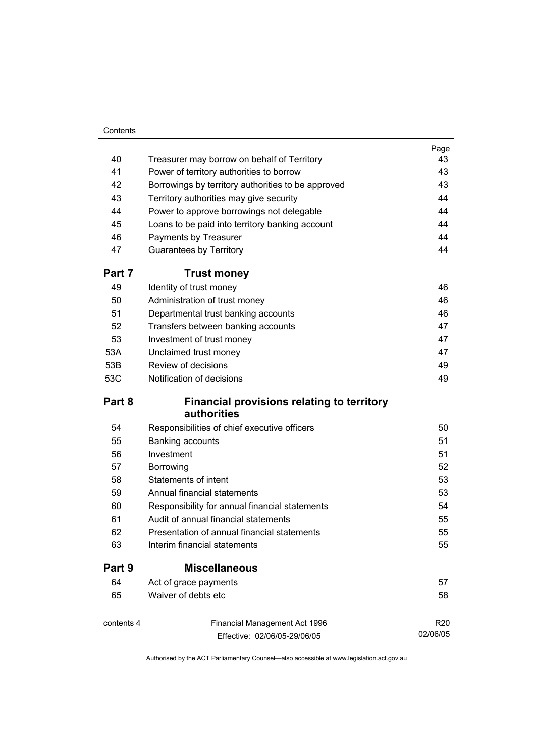#### **Contents**

|            |                                                                  | Page       |
|------------|------------------------------------------------------------------|------------|
| 40         | Treasurer may borrow on behalf of Territory                      | 43         |
| 41         | Power of territory authorities to borrow                         | 43         |
| 42         | Borrowings by territory authorities to be approved               | 43         |
| 43         | Territory authorities may give security                          | 44         |
| 44         | Power to approve borrowings not delegable                        | 44         |
| 45         | Loans to be paid into territory banking account                  | 44         |
| 46         | Payments by Treasurer                                            | 44         |
| 47         | <b>Guarantees by Territory</b>                                   | 44         |
| Part 7     | <b>Trust money</b>                                               |            |
| 49         | Identity of trust money                                          | 46         |
| 50         | Administration of trust money                                    | 46         |
| 51         | Departmental trust banking accounts                              | 46         |
| 52         | Transfers between banking accounts                               | 47         |
| 53         | Investment of trust money                                        | 47         |
| 53A        | Unclaimed trust money                                            | 47         |
| 53B        | Review of decisions                                              | 49         |
| 53C        | Notification of decisions                                        | 49         |
| Part 8     | <b>Financial provisions relating to territory</b><br>authorities |            |
| 54         | Responsibilities of chief executive officers                     | 50         |
| 55         | Banking accounts                                                 | 51         |
| 56         | Investment                                                       | 51         |
| 57         | Borrowing                                                        | 52         |
| 58         | <b>Statements of intent</b>                                      | 53         |
| 59         | Annual financial statements                                      | 53         |
| 60         | Responsibility for annual financial statements                   | 54         |
| 61         | Audit of annual financial statements                             | 55         |
| 62         | Presentation of annual financial statements                      | 55         |
| 63         | Interim financial statements                                     | 55         |
| Part 9     | <b>Miscellaneous</b>                                             |            |
| 64         | Act of grace payments                                            | 57         |
| 65         | Waiver of debts etc                                              | 58         |
| contents 4 | Financial Management Act 1996                                    | <b>R20</b> |
|            | Effective: 02/06/05-29/06/05                                     | 02/06/05   |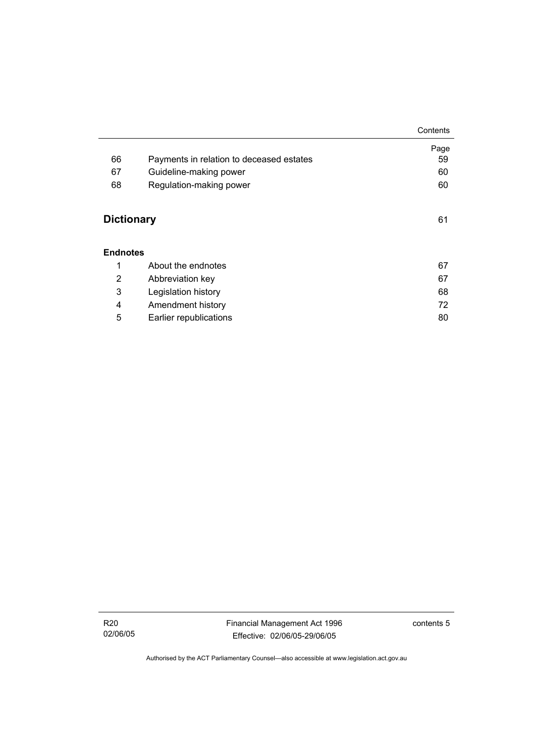|                                      |                                          | Contents   |
|--------------------------------------|------------------------------------------|------------|
| 66                                   | Payments in relation to deceased estates | Page<br>59 |
| 67                                   | Guideline-making power                   | 60         |
|                                      |                                          |            |
| 68                                   | Regulation-making power                  | 60         |
| <b>Dictionary</b><br><b>Endnotes</b> |                                          | 61         |
| 1                                    | About the endnotes                       | 67         |
| 2                                    | Abbreviation key                         | 67         |
| 3                                    | Legislation history                      | 68         |
| 4                                    | Amendment history                        | 72         |
| 5                                    | Earlier republications                   | 80         |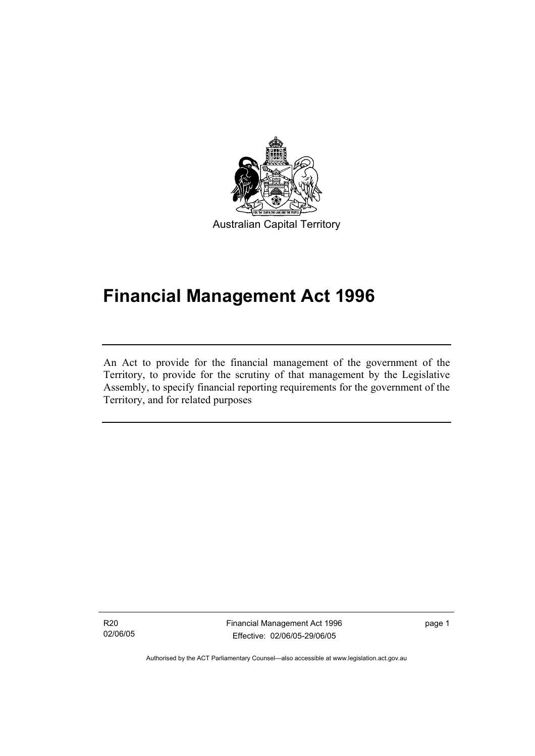

# **Financial Management Act 1996**

An Act to provide for the financial management of the government of the Territory, to provide for the scrutiny of that management by the Legislative Assembly, to specify financial reporting requirements for the government of the Territory, and for related purposes

R20 02/06/05

I

Financial Management Act 1996 Effective: 02/06/05-29/06/05

page 1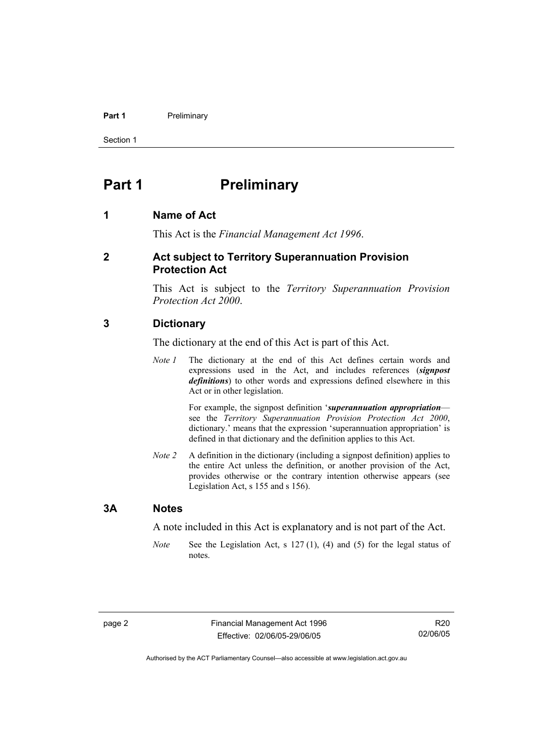#### **Part 1** Preliminary

Section 1

### **Part 1** Preliminary

#### **1 Name of Act**

This Act is the *Financial Management Act 1996*.

#### **2 Act subject to Territory Superannuation Provision Protection Act**

This Act is subject to the *Territory Superannuation Provision Protection Act 2000*.

#### **3 Dictionary**

The dictionary at the end of this Act is part of this Act.

*Note 1* The dictionary at the end of this Act defines certain words and expressions used in the Act, and includes references (*signpost definitions*) to other words and expressions defined elsewhere in this Act or in other legislation.

> For example, the signpost definition '*superannuation appropriation* see the *Territory Superannuation Provision Protection Act 2000*, dictionary.' means that the expression 'superannuation appropriation' is defined in that dictionary and the definition applies to this Act.

*Note 2* A definition in the dictionary (including a signpost definition) applies to the entire Act unless the definition, or another provision of the Act, provides otherwise or the contrary intention otherwise appears (see Legislation Act, s 155 and s 156).

#### **3A Notes**

A note included in this Act is explanatory and is not part of the Act.

*Note* See the Legislation Act, s 127 (1), (4) and (5) for the legal status of notes.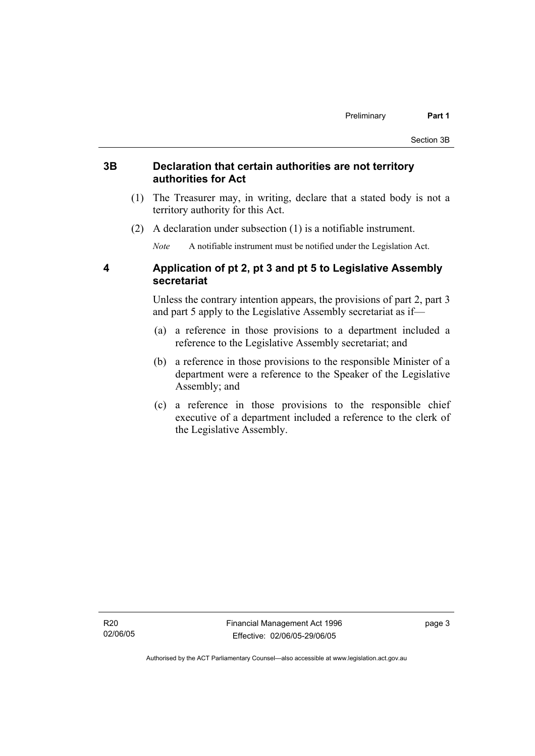#### **3B Declaration that certain authorities are not territory authorities for Act**

- (1) The Treasurer may, in writing, declare that a stated body is not a territory authority for this Act.
- (2) A declaration under subsection (1) is a notifiable instrument.

*Note* A notifiable instrument must be notified under the Legislation Act.

#### **4 Application of pt 2, pt 3 and pt 5 to Legislative Assembly secretariat**

Unless the contrary intention appears, the provisions of part 2, part 3 and part 5 apply to the Legislative Assembly secretariat as if—

- (a) a reference in those provisions to a department included a reference to the Legislative Assembly secretariat; and
- (b) a reference in those provisions to the responsible Minister of a department were a reference to the Speaker of the Legislative Assembly; and
- (c) a reference in those provisions to the responsible chief executive of a department included a reference to the clerk of the Legislative Assembly.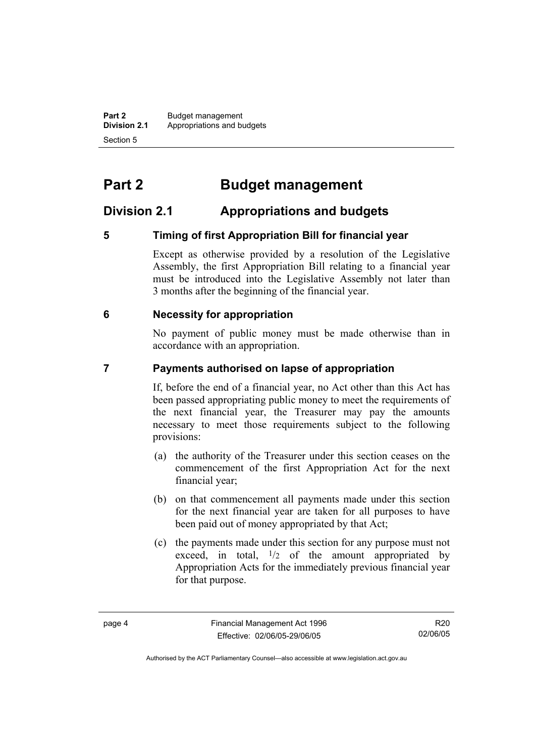**Part 2** Budget management<br>**Division 2.1** Appropriations and by **Division 2.1** Appropriations and budgets Section 5

# **Part 2 Budget management**

#### **Division 2.1 Appropriations and budgets**

#### **5 Timing of first Appropriation Bill for financial year**

Except as otherwise provided by a resolution of the Legislative Assembly, the first Appropriation Bill relating to a financial year must be introduced into the Legislative Assembly not later than 3 months after the beginning of the financial year.

#### **6 Necessity for appropriation**

No payment of public money must be made otherwise than in accordance with an appropriation.

#### **7 Payments authorised on lapse of appropriation**

If, before the end of a financial year, no Act other than this Act has been passed appropriating public money to meet the requirements of the next financial year, the Treasurer may pay the amounts necessary to meet those requirements subject to the following provisions:

- (a) the authority of the Treasurer under this section ceases on the commencement of the first Appropriation Act for the next financial year;
- (b) on that commencement all payments made under this section for the next financial year are taken for all purposes to have been paid out of money appropriated by that Act;
- (c) the payments made under this section for any purpose must not exceed, in total,  $\frac{1}{2}$  of the amount appropriated by Appropriation Acts for the immediately previous financial year for that purpose.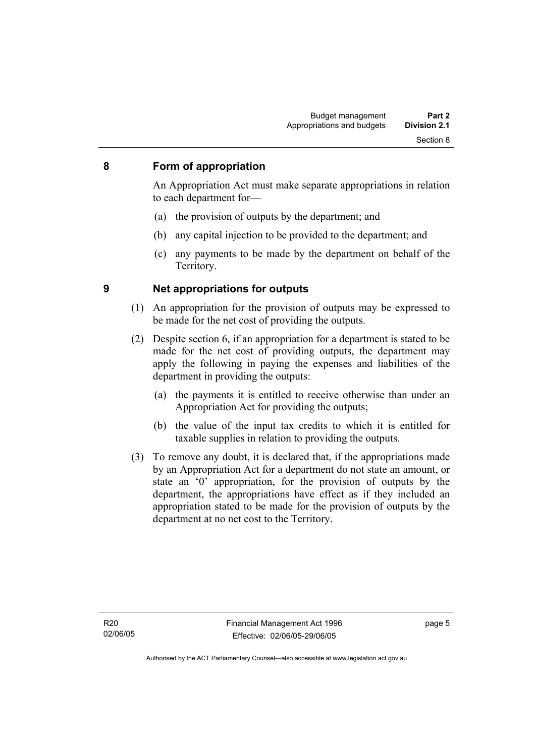#### **8 Form of appropriation**

An Appropriation Act must make separate appropriations in relation to each department for—

- (a) the provision of outputs by the department; and
- (b) any capital injection to be provided to the department; and
- (c) any payments to be made by the department on behalf of the Territory.

- **9 Net appropriations for outputs** 
	- (1) An appropriation for the provision of outputs may be expressed to be made for the net cost of providing the outputs.
	- (2) Despite section 6, if an appropriation for a department is stated to be made for the net cost of providing outputs, the department may apply the following in paying the expenses and liabilities of the department in providing the outputs:
		- (a) the payments it is entitled to receive otherwise than under an Appropriation Act for providing the outputs;
		- (b) the value of the input tax credits to which it is entitled for taxable supplies in relation to providing the outputs.
	- (3) To remove any doubt, it is declared that, if the appropriations made by an Appropriation Act for a department do not state an amount, or state an '0' appropriation, for the provision of outputs by the department, the appropriations have effect as if they included an appropriation stated to be made for the provision of outputs by the department at no net cost to the Territory.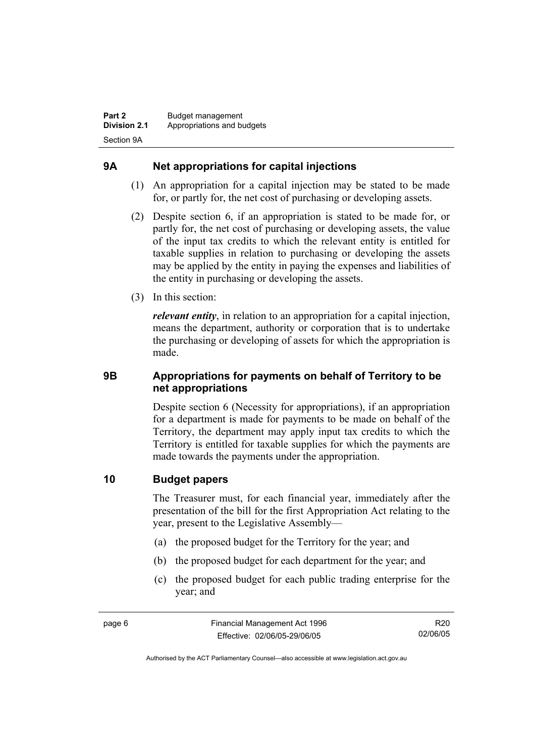#### **9A Net appropriations for capital injections**

- (1) An appropriation for a capital injection may be stated to be made for, or partly for, the net cost of purchasing or developing assets.
- (2) Despite section 6, if an appropriation is stated to be made for, or partly for, the net cost of purchasing or developing assets, the value of the input tax credits to which the relevant entity is entitled for taxable supplies in relation to purchasing or developing the assets may be applied by the entity in paying the expenses and liabilities of the entity in purchasing or developing the assets.
- (3) In this section:

*relevant entity*, in relation to an appropriation for a capital injection, means the department, authority or corporation that is to undertake the purchasing or developing of assets for which the appropriation is made.

#### **9B Appropriations for payments on behalf of Territory to be net appropriations**

Despite section 6 (Necessity for appropriations), if an appropriation for a department is made for payments to be made on behalf of the Territory, the department may apply input tax credits to which the Territory is entitled for taxable supplies for which the payments are made towards the payments under the appropriation.

#### **10 Budget papers**

The Treasurer must, for each financial year, immediately after the presentation of the bill for the first Appropriation Act relating to the year, present to the Legislative Assembly—

- (a) the proposed budget for the Territory for the year; and
- (b) the proposed budget for each department for the year; and
- (c) the proposed budget for each public trading enterprise for the year; and

R20 02/06/05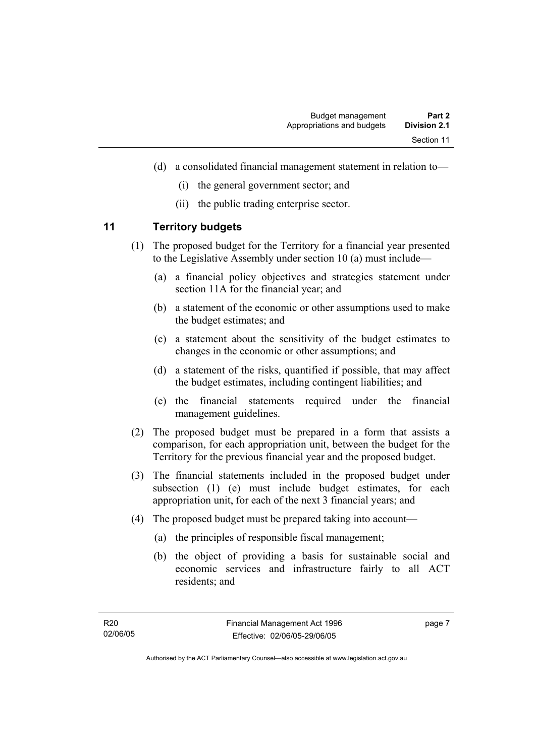- (d) a consolidated financial management statement in relation to—
	- (i) the general government sector; and
	- (ii) the public trading enterprise sector.

#### **11 Territory budgets**

- (1) The proposed budget for the Territory for a financial year presented to the Legislative Assembly under section 10 (a) must include—
	- (a) a financial policy objectives and strategies statement under section 11A for the financial year; and
	- (b) a statement of the economic or other assumptions used to make the budget estimates; and
	- (c) a statement about the sensitivity of the budget estimates to changes in the economic or other assumptions; and
	- (d) a statement of the risks, quantified if possible, that may affect the budget estimates, including contingent liabilities; and
	- (e) the financial statements required under the financial management guidelines.
- (2) The proposed budget must be prepared in a form that assists a comparison, for each appropriation unit, between the budget for the Territory for the previous financial year and the proposed budget.
- (3) The financial statements included in the proposed budget under subsection (1) (e) must include budget estimates, for each appropriation unit, for each of the next 3 financial years; and
- (4) The proposed budget must be prepared taking into account—
	- (a) the principles of responsible fiscal management;
	- (b) the object of providing a basis for sustainable social and economic services and infrastructure fairly to all ACT residents; and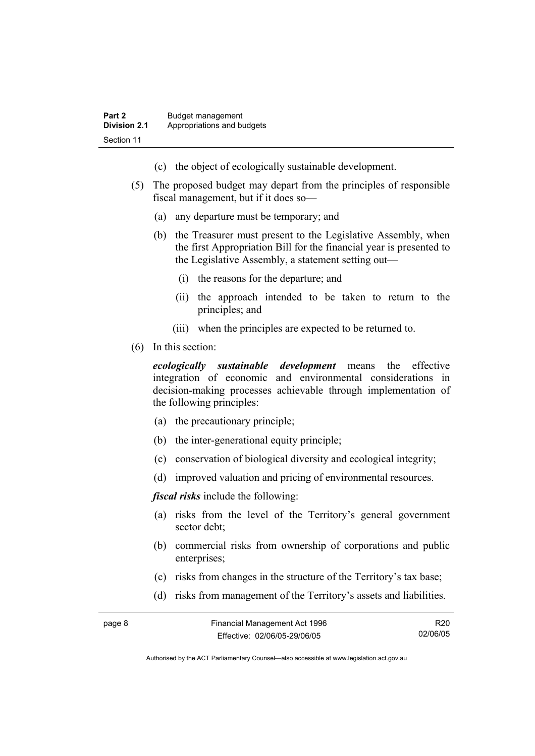- (c) the object of ecologically sustainable development.
- (5) The proposed budget may depart from the principles of responsible fiscal management, but if it does so—
	- (a) any departure must be temporary; and
	- (b) the Treasurer must present to the Legislative Assembly, when the first Appropriation Bill for the financial year is presented to the Legislative Assembly, a statement setting out—
		- (i) the reasons for the departure; and
		- (ii) the approach intended to be taken to return to the principles; and
		- (iii) when the principles are expected to be returned to.
- (6) In this section:

*ecologically sustainable development* means the effective integration of economic and environmental considerations in decision-making processes achievable through implementation of the following principles:

- (a) the precautionary principle;
- (b) the inter-generational equity principle;
- (c) conservation of biological diversity and ecological integrity;
- (d) improved valuation and pricing of environmental resources.

*fiscal risks* include the following:

- (a) risks from the level of the Territory's general government sector debt;
- (b) commercial risks from ownership of corporations and public enterprises:
- (c) risks from changes in the structure of the Territory's tax base;
- (d) risks from management of the Territory's assets and liabilities.

| page 8 | Financial Management Act 1996 | R <sub>20</sub> |
|--------|-------------------------------|-----------------|
|        | Effective: 02/06/05-29/06/05  | 02/06/05        |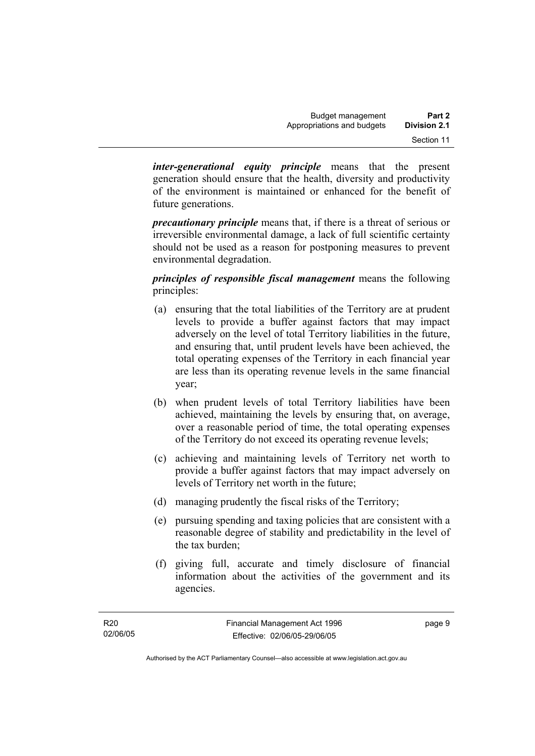*inter-generational equity principle* means that the present generation should ensure that the health, diversity and productivity of the environment is maintained or enhanced for the benefit of future generations.

*precautionary principle* means that, if there is a threat of serious or irreversible environmental damage, a lack of full scientific certainty should not be used as a reason for postponing measures to prevent environmental degradation.

*principles of responsible fiscal management* means the following principles:

- (a) ensuring that the total liabilities of the Territory are at prudent levels to provide a buffer against factors that may impact adversely on the level of total Territory liabilities in the future, and ensuring that, until prudent levels have been achieved, the total operating expenses of the Territory in each financial year are less than its operating revenue levels in the same financial year;
- (b) when prudent levels of total Territory liabilities have been achieved, maintaining the levels by ensuring that, on average, over a reasonable period of time, the total operating expenses of the Territory do not exceed its operating revenue levels;
- (c) achieving and maintaining levels of Territory net worth to provide a buffer against factors that may impact adversely on levels of Territory net worth in the future;
- (d) managing prudently the fiscal risks of the Territory;
- (e) pursuing spending and taxing policies that are consistent with a reasonable degree of stability and predictability in the level of the tax burden;
- (f) giving full, accurate and timely disclosure of financial information about the activities of the government and its agencies.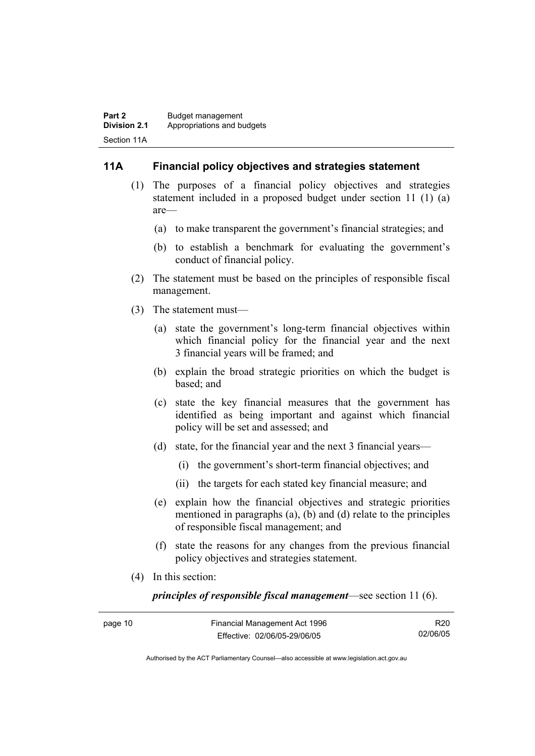#### **11A Financial policy objectives and strategies statement**

- (1) The purposes of a financial policy objectives and strategies statement included in a proposed budget under section 11 (1) (a) are—
	- (a) to make transparent the government's financial strategies; and
	- (b) to establish a benchmark for evaluating the government's conduct of financial policy.
- (2) The statement must be based on the principles of responsible fiscal management.
- (3) The statement must—
	- (a) state the government's long-term financial objectives within which financial policy for the financial year and the next 3 financial years will be framed; and
	- (b) explain the broad strategic priorities on which the budget is based; and
	- (c) state the key financial measures that the government has identified as being important and against which financial policy will be set and assessed; and
	- (d) state, for the financial year and the next 3 financial years—
		- (i) the government's short-term financial objectives; and
		- (ii) the targets for each stated key financial measure; and
	- (e) explain how the financial objectives and strategic priorities mentioned in paragraphs (a), (b) and (d) relate to the principles of responsible fiscal management; and
	- (f) state the reasons for any changes from the previous financial policy objectives and strategies statement.
- (4) In this section:

*principles of responsible fiscal management*—see section 11 (6).

| page 10 | Financial Management Act 1996 | R <sub>20</sub> |
|---------|-------------------------------|-----------------|
|         | Effective: 02/06/05-29/06/05  | 02/06/05        |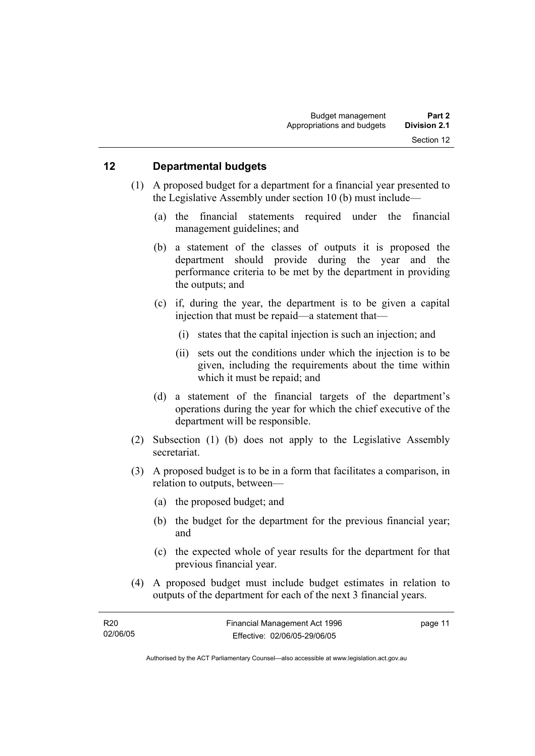#### **12 Departmental budgets**

- (1) A proposed budget for a department for a financial year presented to the Legislative Assembly under section 10 (b) must include—
	- (a) the financial statements required under the financial management guidelines; and
	- (b) a statement of the classes of outputs it is proposed the department should provide during the year and the performance criteria to be met by the department in providing the outputs; and
	- (c) if, during the year, the department is to be given a capital injection that must be repaid—a statement that—
		- (i) states that the capital injection is such an injection; and
		- (ii) sets out the conditions under which the injection is to be given, including the requirements about the time within which it must be repaid; and
	- (d) a statement of the financial targets of the department's operations during the year for which the chief executive of the department will be responsible.
- (2) Subsection (1) (b) does not apply to the Legislative Assembly secretariat.
- (3) A proposed budget is to be in a form that facilitates a comparison, in relation to outputs, between—
	- (a) the proposed budget; and
	- (b) the budget for the department for the previous financial year; and
	- (c) the expected whole of year results for the department for that previous financial year.
- (4) A proposed budget must include budget estimates in relation to outputs of the department for each of the next 3 financial years.

| R20      | Financial Management Act 1996 | page 11 |
|----------|-------------------------------|---------|
| 02/06/05 | Effective: 02/06/05-29/06/05  |         |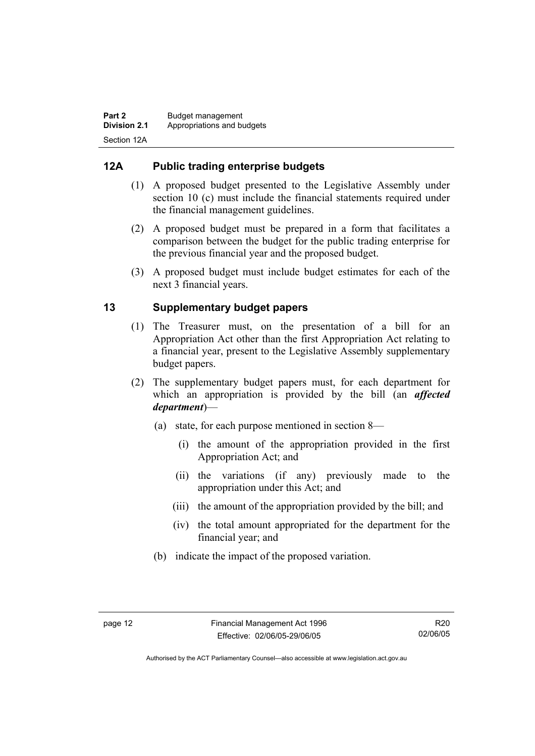#### **12A Public trading enterprise budgets**

- (1) A proposed budget presented to the Legislative Assembly under section 10 (c) must include the financial statements required under the financial management guidelines.
- (2) A proposed budget must be prepared in a form that facilitates a comparison between the budget for the public trading enterprise for the previous financial year and the proposed budget.
- (3) A proposed budget must include budget estimates for each of the next 3 financial years.

#### **13 Supplementary budget papers**

- (1) The Treasurer must, on the presentation of a bill for an Appropriation Act other than the first Appropriation Act relating to a financial year, present to the Legislative Assembly supplementary budget papers.
- (2) The supplementary budget papers must, for each department for which an appropriation is provided by the bill (an *affected department*)—
	- (a) state, for each purpose mentioned in section 8—
		- (i) the amount of the appropriation provided in the first Appropriation Act; and
		- (ii) the variations (if any) previously made to the appropriation under this Act; and
		- (iii) the amount of the appropriation provided by the bill; and
		- (iv) the total amount appropriated for the department for the financial year; and
	- (b) indicate the impact of the proposed variation.

Authorised by the ACT Parliamentary Counsel—also accessible at www.legislation.act.gov.au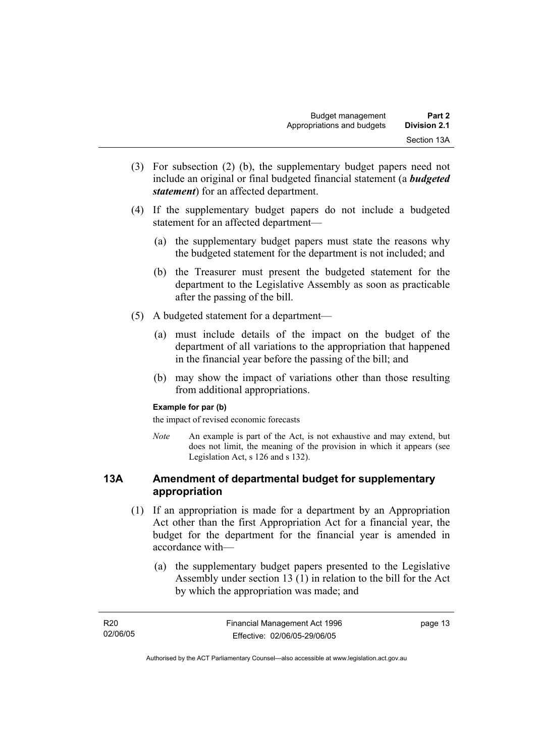- (3) For subsection (2) (b), the supplementary budget papers need not include an original or final budgeted financial statement (a *budgeted statement*) for an affected department.
- (4) If the supplementary budget papers do not include a budgeted statement for an affected department—
	- (a) the supplementary budget papers must state the reasons why the budgeted statement for the department is not included; and
	- (b) the Treasurer must present the budgeted statement for the department to the Legislative Assembly as soon as practicable after the passing of the bill.
- (5) A budgeted statement for a department—
	- (a) must include details of the impact on the budget of the department of all variations to the appropriation that happened in the financial year before the passing of the bill; and
	- (b) may show the impact of variations other than those resulting from additional appropriations.

#### **Example for par (b)**

the impact of revised economic forecasts

*Note* An example is part of the Act, is not exhaustive and may extend, but does not limit, the meaning of the provision in which it appears (see Legislation Act, s 126 and s 132).

#### **13A Amendment of departmental budget for supplementary appropriation**

- (1) If an appropriation is made for a department by an Appropriation Act other than the first Appropriation Act for a financial year, the budget for the department for the financial year is amended in accordance with—
	- (a) the supplementary budget papers presented to the Legislative Assembly under section 13 (1) in relation to the bill for the Act by which the appropriation was made; and

| R20      | Financial Management Act 1996 | page 13 |
|----------|-------------------------------|---------|
| 02/06/05 | Effective: 02/06/05-29/06/05  |         |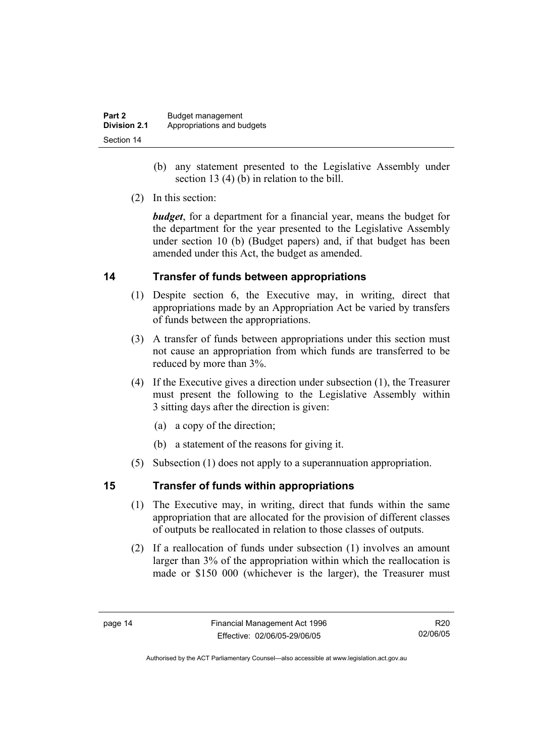| Part 2              | Budget management          |
|---------------------|----------------------------|
| <b>Division 2.1</b> | Appropriations and budgets |
| Section 14          |                            |

- (b) any statement presented to the Legislative Assembly under section 13 (4) (b) in relation to the bill.
- (2) In this section:

*budget*, for a department for a financial year, means the budget for the department for the year presented to the Legislative Assembly under section 10 (b) (Budget papers) and, if that budget has been amended under this Act, the budget as amended.

#### **14 Transfer of funds between appropriations**

- (1) Despite section 6, the Executive may, in writing, direct that appropriations made by an Appropriation Act be varied by transfers of funds between the appropriations.
- (3) A transfer of funds between appropriations under this section must not cause an appropriation from which funds are transferred to be reduced by more than 3%.
- (4) If the Executive gives a direction under subsection (1), the Treasurer must present the following to the Legislative Assembly within 3 sitting days after the direction is given:
	- (a) a copy of the direction;
	- (b) a statement of the reasons for giving it.
- (5) Subsection (1) does not apply to a superannuation appropriation.

#### **15 Transfer of funds within appropriations**

- (1) The Executive may, in writing, direct that funds within the same appropriation that are allocated for the provision of different classes of outputs be reallocated in relation to those classes of outputs.
- (2) If a reallocation of funds under subsection (1) involves an amount larger than 3% of the appropriation within which the reallocation is made or \$150 000 (whichever is the larger), the Treasurer must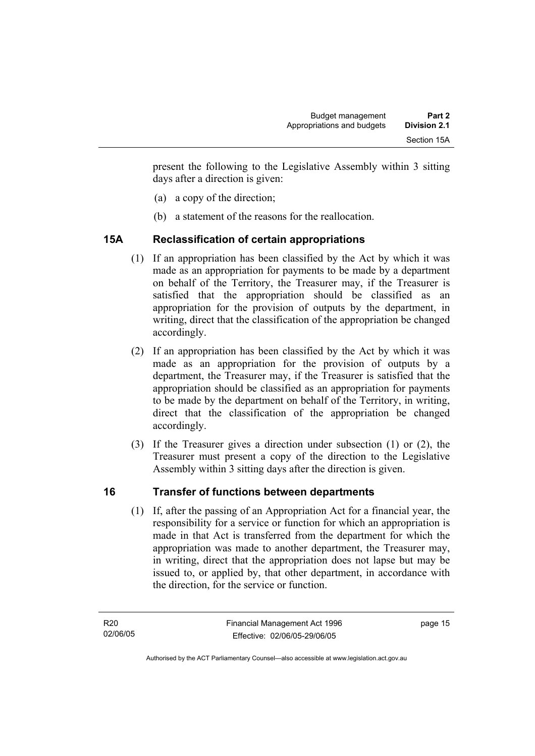present the following to the Legislative Assembly within 3 sitting days after a direction is given:

- (a) a copy of the direction;
- (b) a statement of the reasons for the reallocation.

#### **15A Reclassification of certain appropriations**

- (1) If an appropriation has been classified by the Act by which it was made as an appropriation for payments to be made by a department on behalf of the Territory, the Treasurer may, if the Treasurer is satisfied that the appropriation should be classified as an appropriation for the provision of outputs by the department, in writing, direct that the classification of the appropriation be changed accordingly.
- (2) If an appropriation has been classified by the Act by which it was made as an appropriation for the provision of outputs by a department, the Treasurer may, if the Treasurer is satisfied that the appropriation should be classified as an appropriation for payments to be made by the department on behalf of the Territory, in writing, direct that the classification of the appropriation be changed accordingly.
- (3) If the Treasurer gives a direction under subsection (1) or (2), the Treasurer must present a copy of the direction to the Legislative Assembly within 3 sitting days after the direction is given.

#### **16 Transfer of functions between departments**

 (1) If, after the passing of an Appropriation Act for a financial year, the responsibility for a service or function for which an appropriation is made in that Act is transferred from the department for which the appropriation was made to another department, the Treasurer may, in writing, direct that the appropriation does not lapse but may be issued to, or applied by, that other department, in accordance with the direction, for the service or function.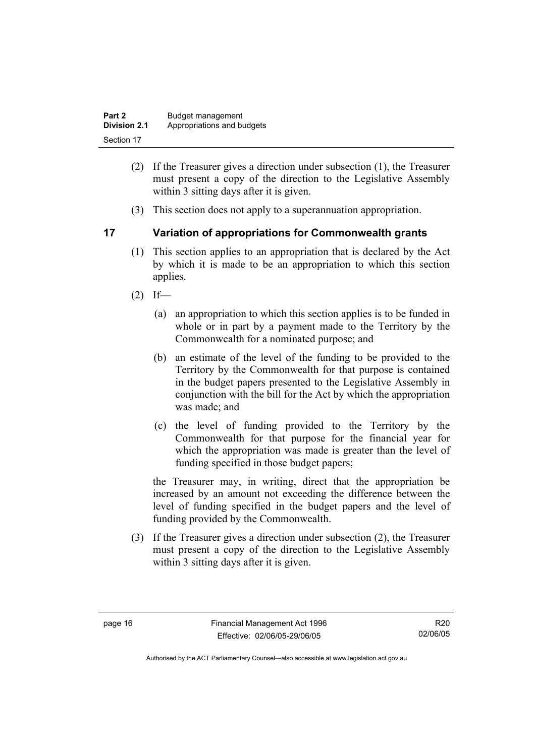| Part 2              | Budget management          |
|---------------------|----------------------------|
| <b>Division 2.1</b> | Appropriations and budgets |
| Section 17          |                            |

- (2) If the Treasurer gives a direction under subsection (1), the Treasurer must present a copy of the direction to the Legislative Assembly within 3 sitting days after it is given.
- (3) This section does not apply to a superannuation appropriation.

#### **17 Variation of appropriations for Commonwealth grants**

- (1) This section applies to an appropriation that is declared by the Act by which it is made to be an appropriation to which this section applies.
- $(2)$  If—
	- (a) an appropriation to which this section applies is to be funded in whole or in part by a payment made to the Territory by the Commonwealth for a nominated purpose; and
	- (b) an estimate of the level of the funding to be provided to the Territory by the Commonwealth for that purpose is contained in the budget papers presented to the Legislative Assembly in conjunction with the bill for the Act by which the appropriation was made; and
	- (c) the level of funding provided to the Territory by the Commonwealth for that purpose for the financial year for which the appropriation was made is greater than the level of funding specified in those budget papers;

the Treasurer may, in writing, direct that the appropriation be increased by an amount not exceeding the difference between the level of funding specified in the budget papers and the level of funding provided by the Commonwealth.

 (3) If the Treasurer gives a direction under subsection (2), the Treasurer must present a copy of the direction to the Legislative Assembly within 3 sitting days after it is given.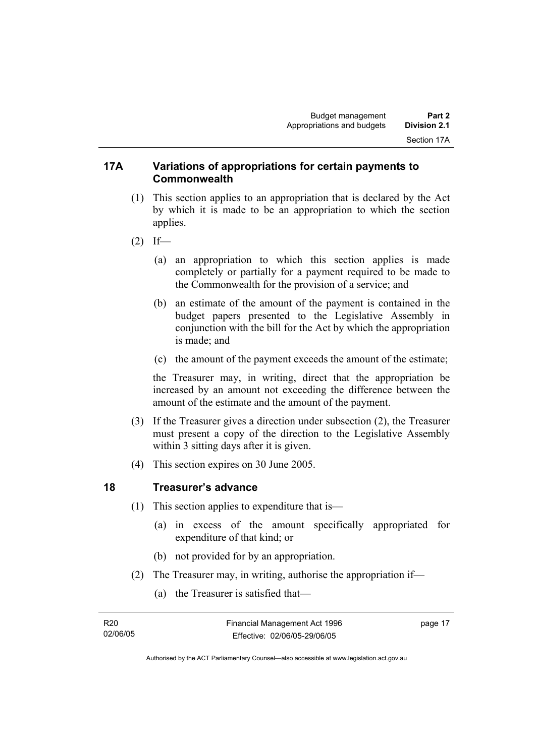#### **17A Variations of appropriations for certain payments to Commonwealth**

- (1) This section applies to an appropriation that is declared by the Act by which it is made to be an appropriation to which the section applies.
- $(2)$  If—
	- (a) an appropriation to which this section applies is made completely or partially for a payment required to be made to the Commonwealth for the provision of a service; and
	- (b) an estimate of the amount of the payment is contained in the budget papers presented to the Legislative Assembly in conjunction with the bill for the Act by which the appropriation is made; and
	- (c) the amount of the payment exceeds the amount of the estimate;

the Treasurer may, in writing, direct that the appropriation be increased by an amount not exceeding the difference between the amount of the estimate and the amount of the payment.

- (3) If the Treasurer gives a direction under subsection (2), the Treasurer must present a copy of the direction to the Legislative Assembly within 3 sitting days after it is given.
- (4) This section expires on 30 June 2005.

#### **18 Treasurer's advance**

- (1) This section applies to expenditure that is—
	- (a) in excess of the amount specifically appropriated for expenditure of that kind; or
	- (b) not provided for by an appropriation.
- (2) The Treasurer may, in writing, authorise the appropriation if—
	- (a) the Treasurer is satisfied that—

| R20      | Financial Management Act 1996 | page 17 |
|----------|-------------------------------|---------|
| 02/06/05 | Effective: 02/06/05-29/06/05  |         |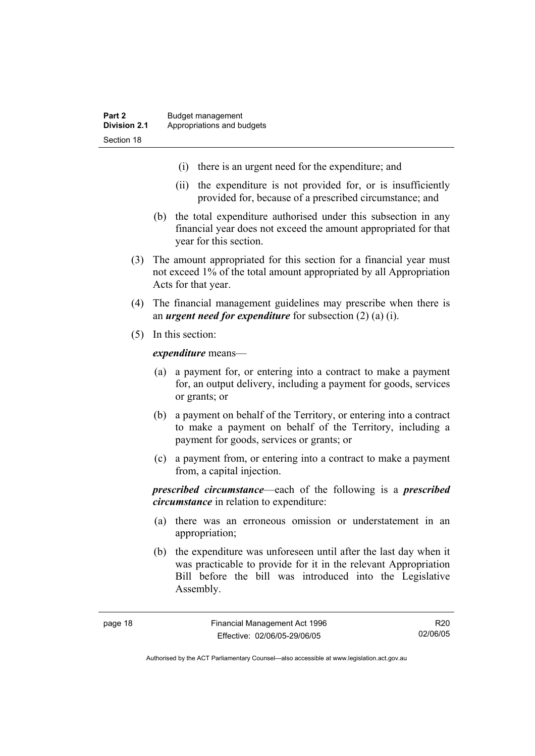- (i) there is an urgent need for the expenditure; and
- (ii) the expenditure is not provided for, or is insufficiently provided for, because of a prescribed circumstance; and
- (b) the total expenditure authorised under this subsection in any financial year does not exceed the amount appropriated for that year for this section.
- (3) The amount appropriated for this section for a financial year must not exceed 1% of the total amount appropriated by all Appropriation Acts for that year.
- (4) The financial management guidelines may prescribe when there is an *urgent need for expenditure* for subsection (2) (a) (i).
- (5) In this section:

*expenditure* means—

- (a) a payment for, or entering into a contract to make a payment for, an output delivery, including a payment for goods, services or grants; or
- (b) a payment on behalf of the Territory, or entering into a contract to make a payment on behalf of the Territory, including a payment for goods, services or grants; or
- (c) a payment from, or entering into a contract to make a payment from, a capital injection.

*prescribed circumstance*—each of the following is a *prescribed circumstance* in relation to expenditure:

- (a) there was an erroneous omission or understatement in an appropriation;
- (b) the expenditure was unforeseen until after the last day when it was practicable to provide for it in the relevant Appropriation Bill before the bill was introduced into the Legislative Assembly.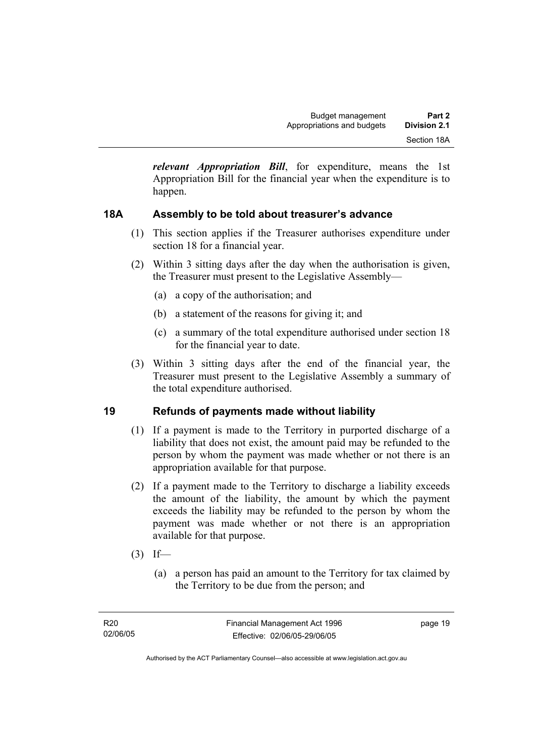*relevant Appropriation Bill*, for expenditure, means the 1st Appropriation Bill for the financial year when the expenditure is to happen.

#### **18A Assembly to be told about treasurer's advance**

- (1) This section applies if the Treasurer authorises expenditure under section 18 for a financial year.
- (2) Within 3 sitting days after the day when the authorisation is given, the Treasurer must present to the Legislative Assembly—
	- (a) a copy of the authorisation; and
	- (b) a statement of the reasons for giving it; and
	- (c) a summary of the total expenditure authorised under section 18 for the financial year to date.
- (3) Within 3 sitting days after the end of the financial year, the Treasurer must present to the Legislative Assembly a summary of the total expenditure authorised.

#### **19 Refunds of payments made without liability**

- (1) If a payment is made to the Territory in purported discharge of a liability that does not exist, the amount paid may be refunded to the person by whom the payment was made whether or not there is an appropriation available for that purpose.
- (2) If a payment made to the Territory to discharge a liability exceeds the amount of the liability, the amount by which the payment exceeds the liability may be refunded to the person by whom the payment was made whether or not there is an appropriation available for that purpose.
- $(3)$  If—
	- (a) a person has paid an amount to the Territory for tax claimed by the Territory to be due from the person; and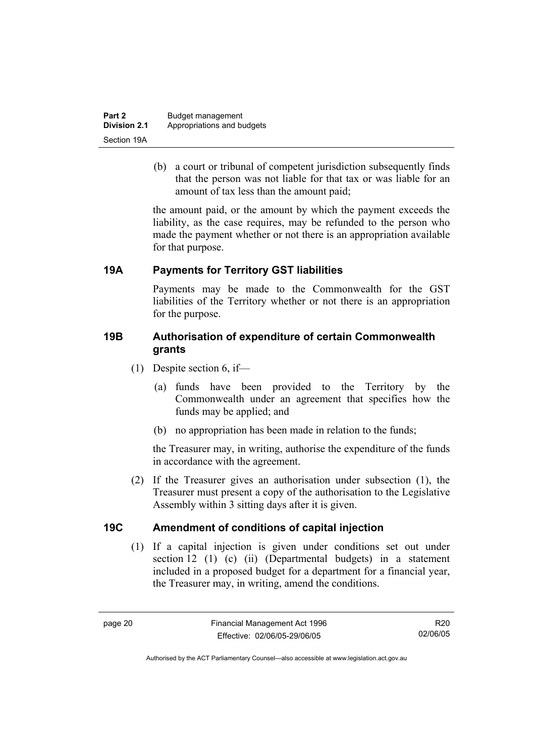| Part 2              | Budget management          |
|---------------------|----------------------------|
| <b>Division 2.1</b> | Appropriations and budgets |
| Section 19A         |                            |

 (b) a court or tribunal of competent jurisdiction subsequently finds that the person was not liable for that tax or was liable for an amount of tax less than the amount paid;

the amount paid, or the amount by which the payment exceeds the liability, as the case requires, may be refunded to the person who made the payment whether or not there is an appropriation available for that purpose.

#### **19A Payments for Territory GST liabilities**

Payments may be made to the Commonwealth for the GST liabilities of the Territory whether or not there is an appropriation for the purpose.

#### **19B Authorisation of expenditure of certain Commonwealth grants**

- (1) Despite section 6, if—
	- (a) funds have been provided to the Territory by the Commonwealth under an agreement that specifies how the funds may be applied; and
	- (b) no appropriation has been made in relation to the funds;

the Treasurer may, in writing, authorise the expenditure of the funds in accordance with the agreement.

 (2) If the Treasurer gives an authorisation under subsection (1), the Treasurer must present a copy of the authorisation to the Legislative Assembly within 3 sitting days after it is given.

#### **19C Amendment of conditions of capital injection**

 (1) If a capital injection is given under conditions set out under section 12 (1) (c) (ii) (Departmental budgets) in a statement included in a proposed budget for a department for a financial year, the Treasurer may, in writing, amend the conditions.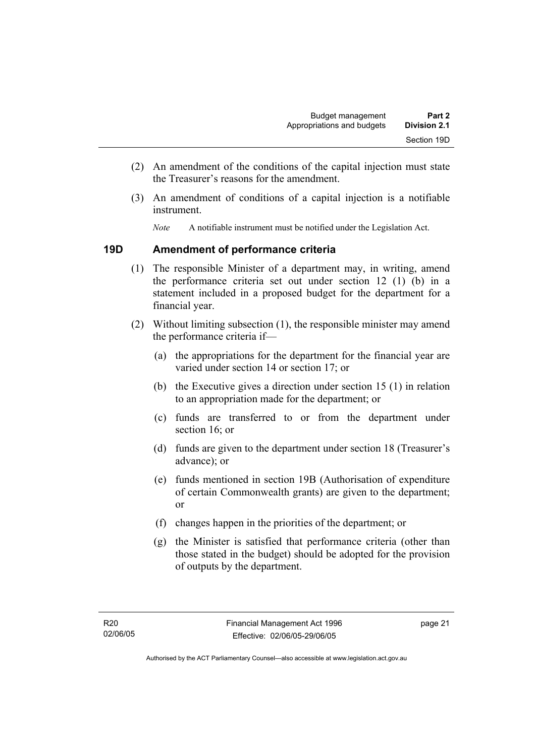- (2) An amendment of the conditions of the capital injection must state the Treasurer's reasons for the amendment.
- (3) An amendment of conditions of a capital injection is a notifiable instrument.
	- *Note* A notifiable instrument must be notified under the Legislation Act.

#### **19D Amendment of performance criteria**

- (1) The responsible Minister of a department may, in writing, amend the performance criteria set out under section 12 (1) (b) in a statement included in a proposed budget for the department for a financial year.
- (2) Without limiting subsection (1), the responsible minister may amend the performance criteria if—
	- (a) the appropriations for the department for the financial year are varied under section 14 or section 17; or
	- (b) the Executive gives a direction under section 15 (1) in relation to an appropriation made for the department; or
	- (c) funds are transferred to or from the department under section 16; or
	- (d) funds are given to the department under section 18 (Treasurer's advance); or
	- (e) funds mentioned in section 19B (Authorisation of expenditure of certain Commonwealth grants) are given to the department; or
	- (f) changes happen in the priorities of the department; or
	- (g) the Minister is satisfied that performance criteria (other than those stated in the budget) should be adopted for the provision of outputs by the department.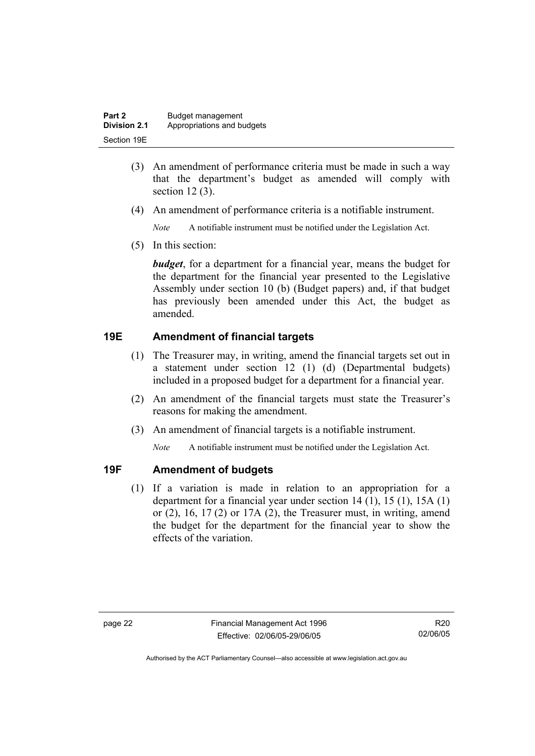| Part 2       | Budget management          |
|--------------|----------------------------|
| Division 2.1 | Appropriations and budgets |
| Section 19E  |                            |

- (3) An amendment of performance criteria must be made in such a way that the department's budget as amended will comply with section 12 (3).
- (4) An amendment of performance criteria is a notifiable instrument.

*Note* A notifiable instrument must be notified under the Legislation Act.

(5) In this section:

*budget*, for a department for a financial year, means the budget for the department for the financial year presented to the Legislative Assembly under section 10 (b) (Budget papers) and, if that budget has previously been amended under this Act, the budget as amended.

#### **19E Amendment of financial targets**

- (1) The Treasurer may, in writing, amend the financial targets set out in a statement under section 12 (1) (d) (Departmental budgets) included in a proposed budget for a department for a financial year.
- (2) An amendment of the financial targets must state the Treasurer's reasons for making the amendment.
- (3) An amendment of financial targets is a notifiable instrument.

*Note* A notifiable instrument must be notified under the Legislation Act.

#### **19F Amendment of budgets**

 (1) If a variation is made in relation to an appropriation for a department for a financial year under section 14 (1), 15 (1), 15A (1) or  $(2)$ ,  $16$ ,  $17(2)$  or  $17A(2)$ , the Treasurer must, in writing, amend the budget for the department for the financial year to show the effects of the variation.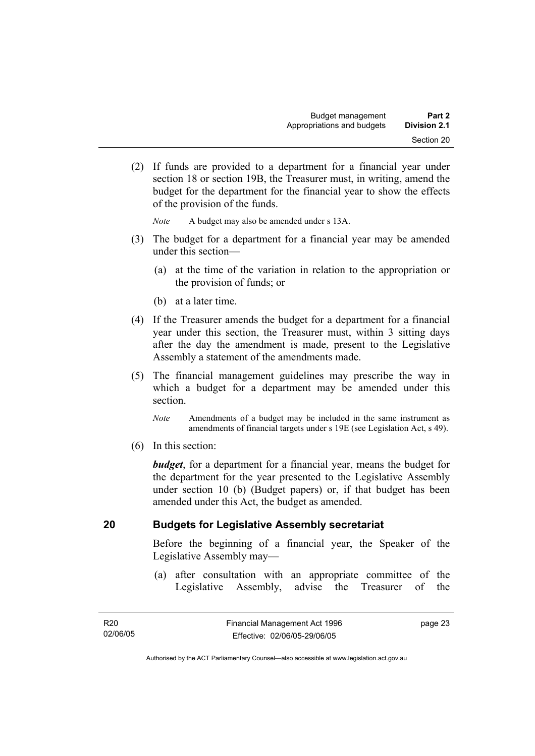(2) If funds are provided to a department for a financial year under section 18 or section 19B, the Treasurer must, in writing, amend the budget for the department for the financial year to show the effects of the provision of the funds.

*Note* A budget may also be amended under s 13A.

- (3) The budget for a department for a financial year may be amended under this section—
	- (a) at the time of the variation in relation to the appropriation or the provision of funds; or
	- (b) at a later time.
- (4) If the Treasurer amends the budget for a department for a financial year under this section, the Treasurer must, within 3 sitting days after the day the amendment is made, present to the Legislative Assembly a statement of the amendments made.
- (5) The financial management guidelines may prescribe the way in which a budget for a department may be amended under this section.
	- *Note* Amendments of a budget may be included in the same instrument as amendments of financial targets under s 19E (see Legislation Act, s 49).
- (6) In this section:

*budget*, for a department for a financial year, means the budget for the department for the year presented to the Legislative Assembly under section 10 (b) (Budget papers) or, if that budget has been amended under this Act, the budget as amended.

#### **20 Budgets for Legislative Assembly secretariat**

Before the beginning of a financial year, the Speaker of the Legislative Assembly may—

 (a) after consultation with an appropriate committee of the Legislative Assembly, advise the Treasurer of the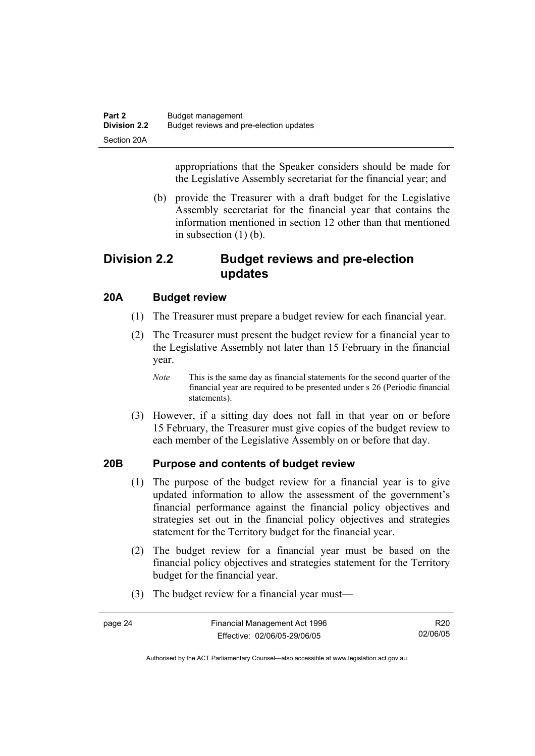appropriations that the Speaker considers should be made for the Legislative Assembly secretariat for the financial year; and

 (b) provide the Treasurer with a draft budget for the Legislative Assembly secretariat for the financial year that contains the information mentioned in section 12 other than that mentioned in subsection (1) (b).

#### **Division 2.2 Budget reviews and pre-election updates**

#### **20A Budget review**

- (1) The Treasurer must prepare a budget review for each financial year.
- (2) The Treasurer must present the budget review for a financial year to the Legislative Assembly not later than 15 February in the financial year.
	- *Note* This is the same day as financial statements for the second quarter of the financial year are required to be presented under s 26 (Periodic financial statements).
- (3) However, if a sitting day does not fall in that year on or before 15 February, the Treasurer must give copies of the budget review to each member of the Legislative Assembly on or before that day.

#### **20B Purpose and contents of budget review**

- (1) The purpose of the budget review for a financial year is to give updated information to allow the assessment of the government's financial performance against the financial policy objectives and strategies set out in the financial policy objectives and strategies statement for the Territory budget for the financial year.
- (2) The budget review for a financial year must be based on the financial policy objectives and strategies statement for the Territory budget for the financial year.
- (3) The budget review for a financial year must—

| page 24 | Financial Management Act 1996 | R20      |
|---------|-------------------------------|----------|
|         | Effective: 02/06/05-29/06/05  | 02/06/05 |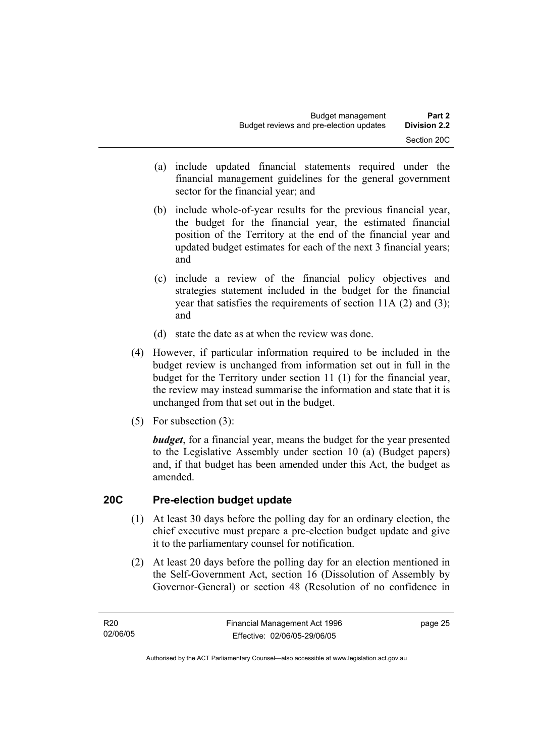- (a) include updated financial statements required under the financial management guidelines for the general government sector for the financial year; and
- (b) include whole-of-year results for the previous financial year, the budget for the financial year, the estimated financial position of the Territory at the end of the financial year and updated budget estimates for each of the next 3 financial years; and
- (c) include a review of the financial policy objectives and strategies statement included in the budget for the financial year that satisfies the requirements of section 11A (2) and (3); and
- (d) state the date as at when the review was done.
- (4) However, if particular information required to be included in the budget review is unchanged from information set out in full in the budget for the Territory under section 11 (1) for the financial year, the review may instead summarise the information and state that it is unchanged from that set out in the budget.
- (5) For subsection (3):

*budget*, for a financial year, means the budget for the year presented to the Legislative Assembly under section 10 (a) (Budget papers) and, if that budget has been amended under this Act, the budget as amended.

#### **20C Pre-election budget update**

- (1) At least 30 days before the polling day for an ordinary election, the chief executive must prepare a pre-election budget update and give it to the parliamentary counsel for notification.
- (2) At least 20 days before the polling day for an election mentioned in the Self-Government Act, section 16 (Dissolution of Assembly by Governor-General) or section 48 (Resolution of no confidence in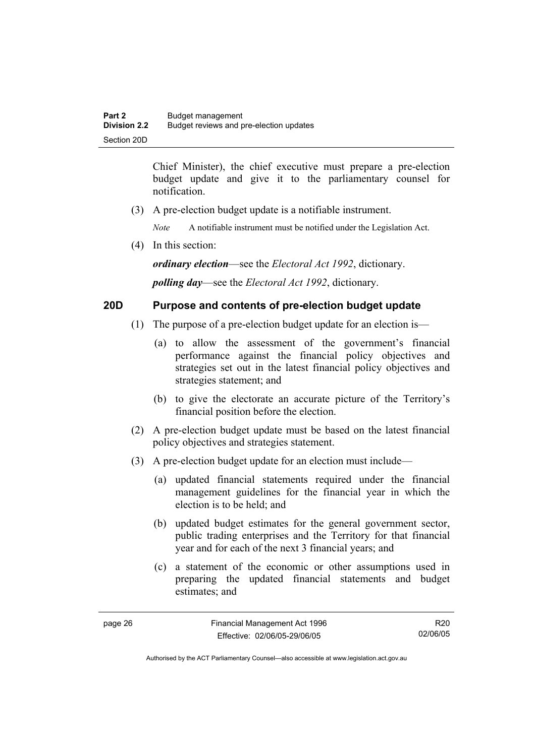Chief Minister), the chief executive must prepare a pre-election budget update and give it to the parliamentary counsel for notification.

(3) A pre-election budget update is a notifiable instrument.

*Note* A notifiable instrument must be notified under the Legislation Act.

(4) In this section:

*ordinary election*—see the *Electoral Act 1992*, dictionary.

*polling day*—see the *Electoral Act 1992*, dictionary.

#### **20D Purpose and contents of pre-election budget update**

- (1) The purpose of a pre-election budget update for an election is—
	- (a) to allow the assessment of the government's financial performance against the financial policy objectives and strategies set out in the latest financial policy objectives and strategies statement; and
	- (b) to give the electorate an accurate picture of the Territory's financial position before the election.
- (2) A pre-election budget update must be based on the latest financial policy objectives and strategies statement.
- (3) A pre-election budget update for an election must include—
	- (a) updated financial statements required under the financial management guidelines for the financial year in which the election is to be held; and
	- (b) updated budget estimates for the general government sector, public trading enterprises and the Territory for that financial year and for each of the next 3 financial years; and
	- (c) a statement of the economic or other assumptions used in preparing the updated financial statements and budget estimates; and

R20 02/06/05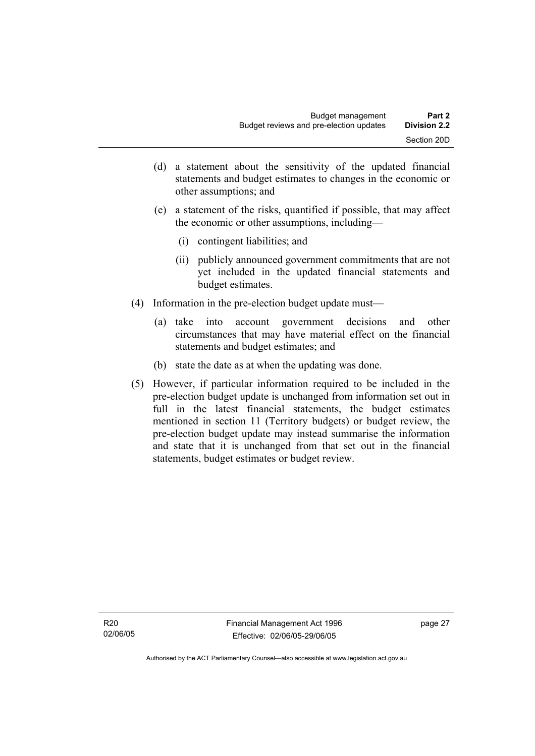- (d) a statement about the sensitivity of the updated financial statements and budget estimates to changes in the economic or other assumptions; and
- (e) a statement of the risks, quantified if possible, that may affect the economic or other assumptions, including—
	- (i) contingent liabilities; and
	- (ii) publicly announced government commitments that are not yet included in the updated financial statements and budget estimates.
- (4) Information in the pre-election budget update must—
	- (a) take into account government decisions and other circumstances that may have material effect on the financial statements and budget estimates; and
	- (b) state the date as at when the updating was done.
- (5) However, if particular information required to be included in the pre-election budget update is unchanged from information set out in full in the latest financial statements, the budget estimates mentioned in section 11 (Territory budgets) or budget review, the pre-election budget update may instead summarise the information and state that it is unchanged from that set out in the financial statements, budget estimates or budget review.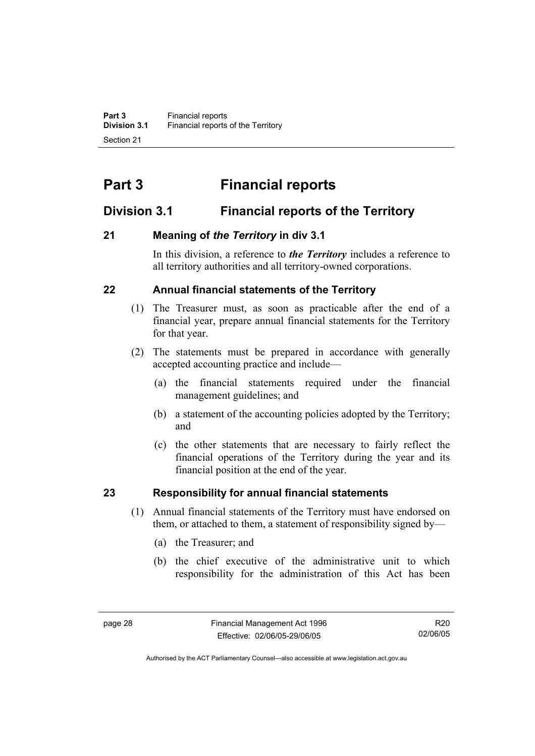# **Part 3 Financial reports**

### **Division 3.1 Financial reports of the Territory**

#### **21 Meaning of** *the Territory* **in div 3.1**

In this division, a reference to *the Territory* includes a reference to all territory authorities and all territory-owned corporations.

#### **22 Annual financial statements of the Territory**

- (1) The Treasurer must, as soon as practicable after the end of a financial year, prepare annual financial statements for the Territory for that year.
- (2) The statements must be prepared in accordance with generally accepted accounting practice and include—
	- (a) the financial statements required under the financial management guidelines; and
	- (b) a statement of the accounting policies adopted by the Territory; and
	- (c) the other statements that are necessary to fairly reflect the financial operations of the Territory during the year and its financial position at the end of the year.

#### **23 Responsibility for annual financial statements**

- (1) Annual financial statements of the Territory must have endorsed on them, or attached to them, a statement of responsibility signed by—
	- (a) the Treasurer; and
	- (b) the chief executive of the administrative unit to which responsibility for the administration of this Act has been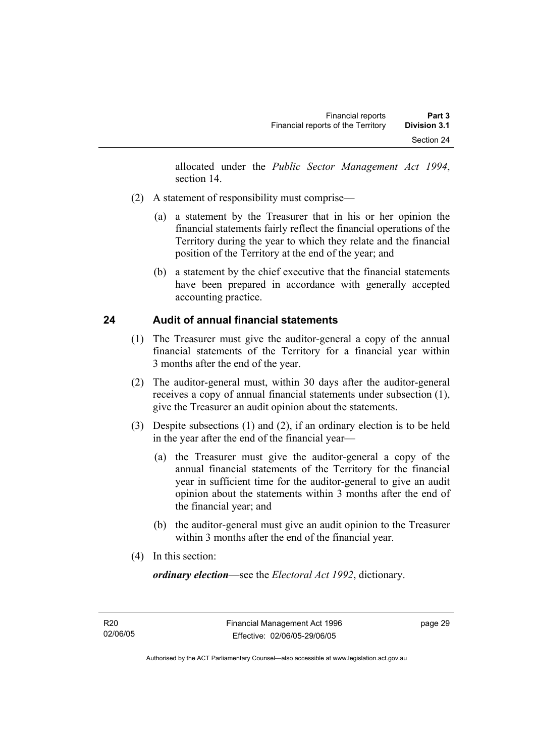allocated under the *Public Sector Management Act 1994*, section 14.

- (2) A statement of responsibility must comprise—
	- (a) a statement by the Treasurer that in his or her opinion the financial statements fairly reflect the financial operations of the Territory during the year to which they relate and the financial position of the Territory at the end of the year; and
	- (b) a statement by the chief executive that the financial statements have been prepared in accordance with generally accepted accounting practice.

## **24 Audit of annual financial statements**

- (1) The Treasurer must give the auditor-general a copy of the annual financial statements of the Territory for a financial year within 3 months after the end of the year.
- (2) The auditor-general must, within 30 days after the auditor-general receives a copy of annual financial statements under subsection (1), give the Treasurer an audit opinion about the statements.
- (3) Despite subsections (1) and (2), if an ordinary election is to be held in the year after the end of the financial year—
	- (a) the Treasurer must give the auditor-general a copy of the annual financial statements of the Territory for the financial year in sufficient time for the auditor-general to give an audit opinion about the statements within 3 months after the end of the financial year; and
	- (b) the auditor-general must give an audit opinion to the Treasurer within 3 months after the end of the financial year.
- (4) In this section:

*ordinary election*—see the *Electoral Act 1992*, dictionary.

R20 02/06/05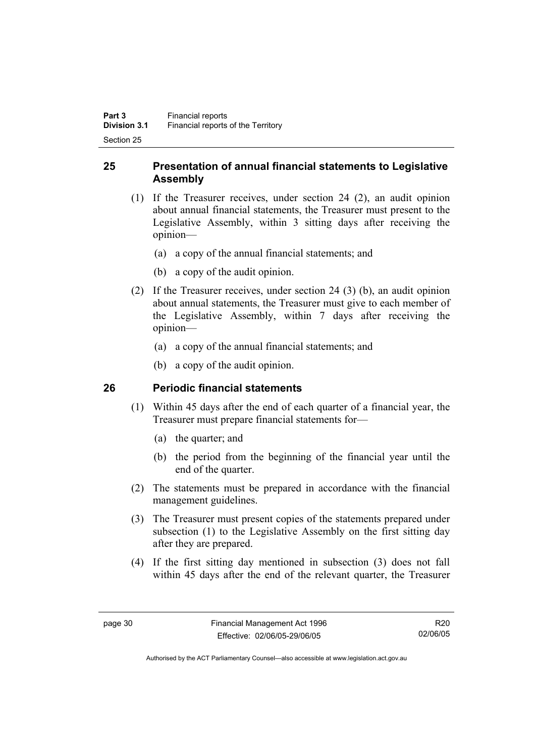## **25 Presentation of annual financial statements to Legislative Assembly**

- (1) If the Treasurer receives, under section 24 (2), an audit opinion about annual financial statements, the Treasurer must present to the Legislative Assembly, within 3 sitting days after receiving the opinion—
	- (a) a copy of the annual financial statements; and
	- (b) a copy of the audit opinion.
- (2) If the Treasurer receives, under section 24 (3) (b), an audit opinion about annual statements, the Treasurer must give to each member of the Legislative Assembly, within 7 days after receiving the opinion—
	- (a) a copy of the annual financial statements; and
	- (b) a copy of the audit opinion.

## **26 Periodic financial statements**

- (1) Within 45 days after the end of each quarter of a financial year, the Treasurer must prepare financial statements for—
	- (a) the quarter; and
	- (b) the period from the beginning of the financial year until the end of the quarter.
- (2) The statements must be prepared in accordance with the financial management guidelines.
- (3) The Treasurer must present copies of the statements prepared under subsection (1) to the Legislative Assembly on the first sitting day after they are prepared.
- (4) If the first sitting day mentioned in subsection (3) does not fall within 45 days after the end of the relevant quarter, the Treasurer

R20 02/06/05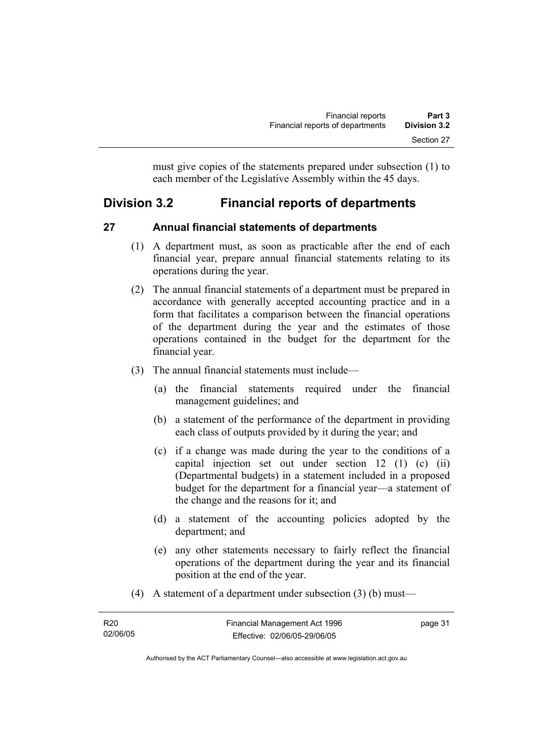must give copies of the statements prepared under subsection (1) to each member of the Legislative Assembly within the 45 days.

# **Division 3.2 Financial reports of departments**

## **27 Annual financial statements of departments**

- (1) A department must, as soon as practicable after the end of each financial year, prepare annual financial statements relating to its operations during the year.
- (2) The annual financial statements of a department must be prepared in accordance with generally accepted accounting practice and in a form that facilitates a comparison between the financial operations of the department during the year and the estimates of those operations contained in the budget for the department for the financial year.
- (3) The annual financial statements must include—
	- (a) the financial statements required under the financial management guidelines; and
	- (b) a statement of the performance of the department in providing each class of outputs provided by it during the year; and
	- (c) if a change was made during the year to the conditions of a capital injection set out under section 12 (1) (c) (ii) (Departmental budgets) in a statement included in a proposed budget for the department for a financial year—a statement of the change and the reasons for it; and
	- (d) a statement of the accounting policies adopted by the department; and
	- (e) any other statements necessary to fairly reflect the financial operations of the department during the year and its financial position at the end of the year.
- (4) A statement of a department under subsection (3) (b) must—

| R <sub>20</sub> | Financial Management Act 1996 | page 31 |
|-----------------|-------------------------------|---------|
| 02/06/05        | Effective: 02/06/05-29/06/05  |         |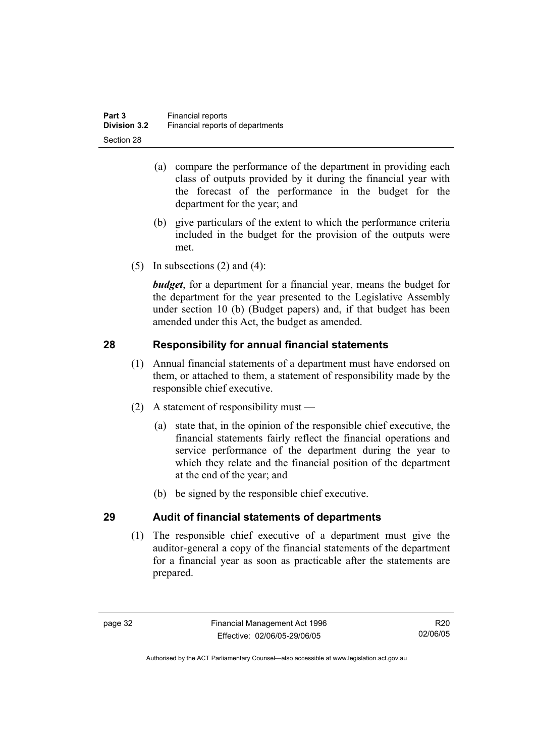- (a) compare the performance of the department in providing each class of outputs provided by it during the financial year with the forecast of the performance in the budget for the department for the year; and
- (b) give particulars of the extent to which the performance criteria included in the budget for the provision of the outputs were met.
- (5) In subsections  $(2)$  and  $(4)$ :

*budget*, for a department for a financial year, means the budget for the department for the year presented to the Legislative Assembly under section 10 (b) (Budget papers) and, if that budget has been amended under this Act, the budget as amended.

# **28 Responsibility for annual financial statements**

- (1) Annual financial statements of a department must have endorsed on them, or attached to them, a statement of responsibility made by the responsible chief executive.
- (2) A statement of responsibility must
	- (a) state that, in the opinion of the responsible chief executive, the financial statements fairly reflect the financial operations and service performance of the department during the year to which they relate and the financial position of the department at the end of the year; and
	- (b) be signed by the responsible chief executive.

# **29 Audit of financial statements of departments**

 (1) The responsible chief executive of a department must give the auditor-general a copy of the financial statements of the department for a financial year as soon as practicable after the statements are prepared.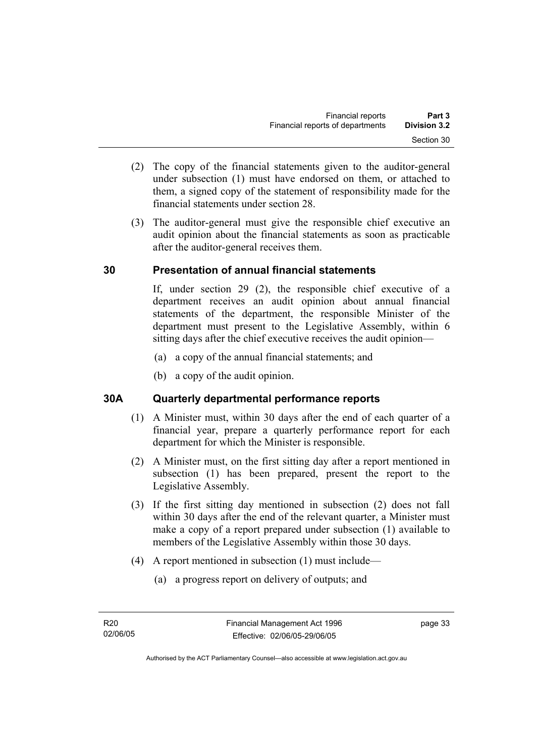- (2) The copy of the financial statements given to the auditor-general under subsection (1) must have endorsed on them, or attached to them, a signed copy of the statement of responsibility made for the financial statements under section 28.
- (3) The auditor-general must give the responsible chief executive an audit opinion about the financial statements as soon as practicable after the auditor-general receives them.

## **30 Presentation of annual financial statements**

If, under section 29 (2), the responsible chief executive of a department receives an audit opinion about annual financial statements of the department, the responsible Minister of the department must present to the Legislative Assembly, within 6 sitting days after the chief executive receives the audit opinion—

- (a) a copy of the annual financial statements; and
- (b) a copy of the audit opinion.

## **30A Quarterly departmental performance reports**

- (1) A Minister must, within 30 days after the end of each quarter of a financial year, prepare a quarterly performance report for each department for which the Minister is responsible.
- (2) A Minister must, on the first sitting day after a report mentioned in subsection (1) has been prepared, present the report to the Legislative Assembly.
- (3) If the first sitting day mentioned in subsection (2) does not fall within 30 days after the end of the relevant quarter, a Minister must make a copy of a report prepared under subsection (1) available to members of the Legislative Assembly within those 30 days.
- (4) A report mentioned in subsection (1) must include—
	- (a) a progress report on delivery of outputs; and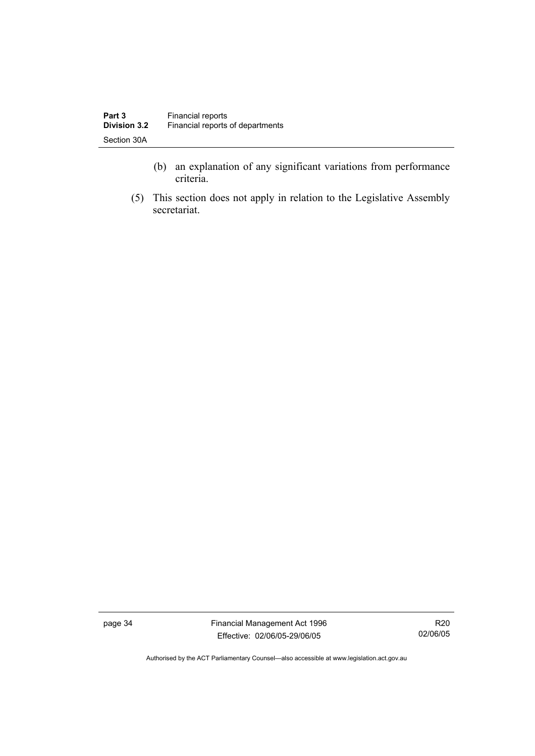- (b) an explanation of any significant variations from performance criteria.
- (5) This section does not apply in relation to the Legislative Assembly secretariat.

page 34 Financial Management Act 1996 Effective: 02/06/05-29/06/05

R20 02/06/05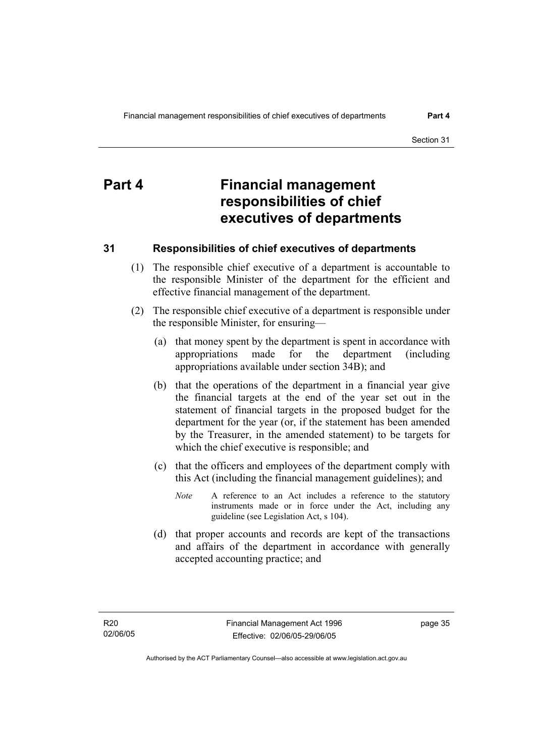# **Part 4 Financial management responsibilities of chief executives of departments**

## **31 Responsibilities of chief executives of departments**

- (1) The responsible chief executive of a department is accountable to the responsible Minister of the department for the efficient and effective financial management of the department.
- (2) The responsible chief executive of a department is responsible under the responsible Minister, for ensuring—
	- (a) that money spent by the department is spent in accordance with appropriations made for the department (including appropriations available under section 34B); and
	- (b) that the operations of the department in a financial year give the financial targets at the end of the year set out in the statement of financial targets in the proposed budget for the department for the year (or, if the statement has been amended by the Treasurer, in the amended statement) to be targets for which the chief executive is responsible; and
	- (c) that the officers and employees of the department comply with this Act (including the financial management guidelines); and
		- *Note* A reference to an Act includes a reference to the statutory instruments made or in force under the Act, including any guideline (see Legislation Act, s 104).
	- (d) that proper accounts and records are kept of the transactions and affairs of the department in accordance with generally accepted accounting practice; and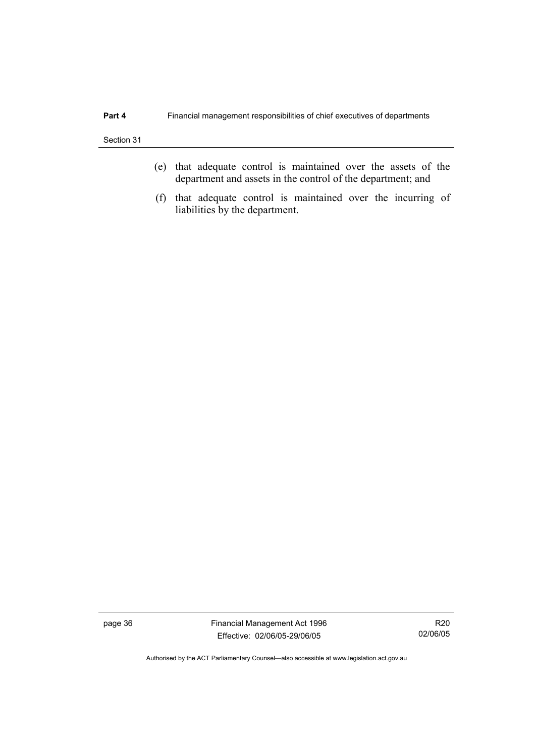- (e) that adequate control is maintained over the assets of the department and assets in the control of the department; and
- (f) that adequate control is maintained over the incurring of liabilities by the department.

page 36 Financial Management Act 1996 Effective: 02/06/05-29/06/05

R20 02/06/05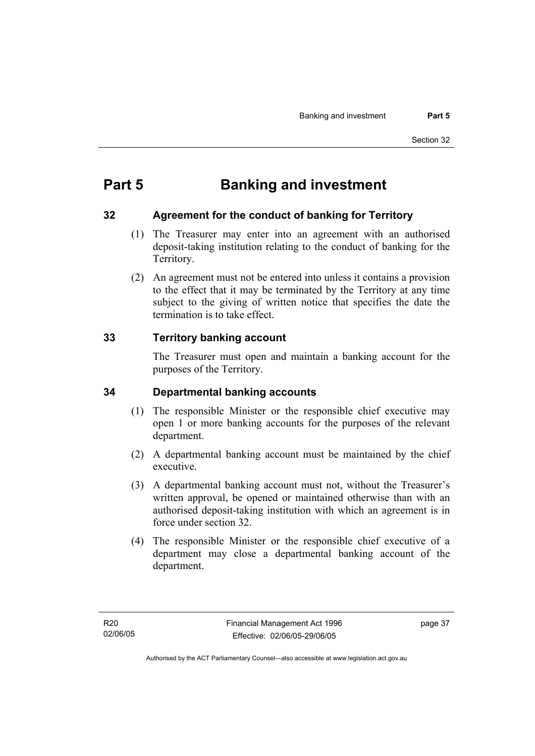# **Part 5 Banking and investment**

## **32 Agreement for the conduct of banking for Territory**

- (1) The Treasurer may enter into an agreement with an authorised deposit-taking institution relating to the conduct of banking for the Territory.
- (2) An agreement must not be entered into unless it contains a provision to the effect that it may be terminated by the Territory at any time subject to the giving of written notice that specifies the date the termination is to take effect.

## **33 Territory banking account**

The Treasurer must open and maintain a banking account for the purposes of the Territory.

## **34 Departmental banking accounts**

- (1) The responsible Minister or the responsible chief executive may open 1 or more banking accounts for the purposes of the relevant department.
- (2) A departmental banking account must be maintained by the chief executive.
- (3) A departmental banking account must not, without the Treasurer's written approval, be opened or maintained otherwise than with an authorised deposit-taking institution with which an agreement is in force under section 32.
- (4) The responsible Minister or the responsible chief executive of a department may close a departmental banking account of the department.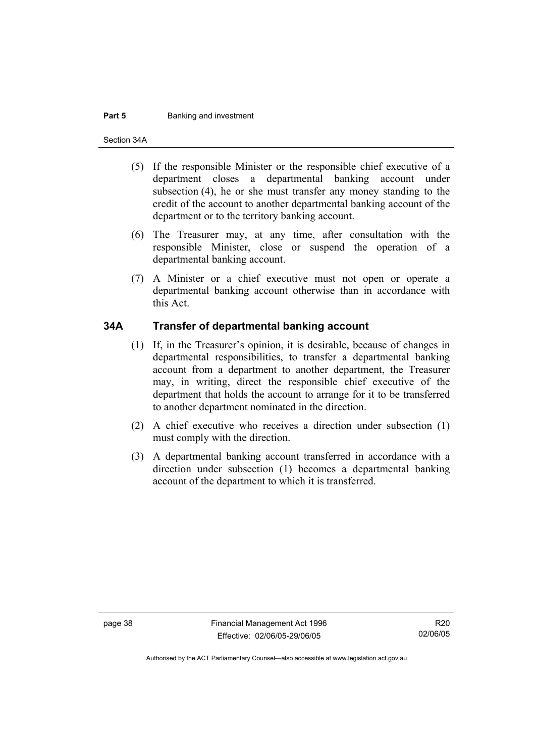#### **Part 5 Banking and investment**

Section 34A

- (5) If the responsible Minister or the responsible chief executive of a department closes a departmental banking account under subsection (4), he or she must transfer any money standing to the credit of the account to another departmental banking account of the department or to the territory banking account.
- (6) The Treasurer may, at any time, after consultation with the responsible Minister, close or suspend the operation of a departmental banking account.
- (7) A Minister or a chief executive must not open or operate a departmental banking account otherwise than in accordance with this Act.

#### **34A Transfer of departmental banking account**

- (1) If, in the Treasurer's opinion, it is desirable, because of changes in departmental responsibilities, to transfer a departmental banking account from a department to another department, the Treasurer may, in writing, direct the responsible chief executive of the department that holds the account to arrange for it to be transferred to another department nominated in the direction.
- (2) A chief executive who receives a direction under subsection (1) must comply with the direction.
- (3) A departmental banking account transferred in accordance with a direction under subsection (1) becomes a departmental banking account of the department to which it is transferred.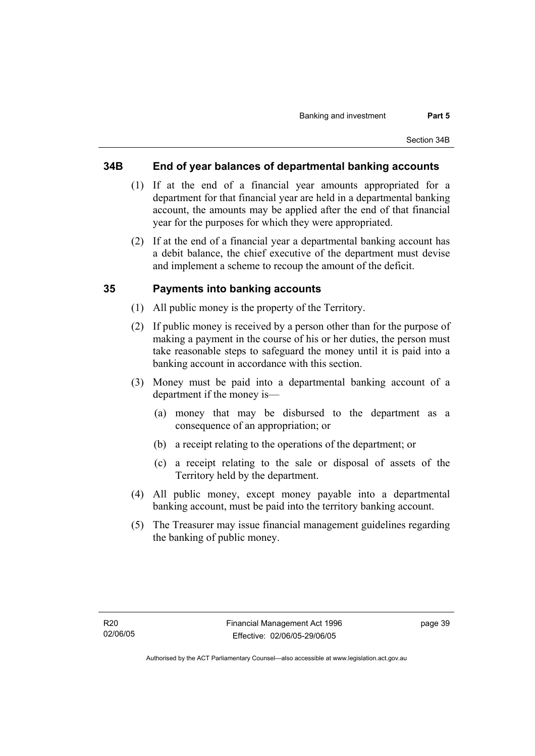#### **34B End of year balances of departmental banking accounts**

- (1) If at the end of a financial year amounts appropriated for a department for that financial year are held in a departmental banking account, the amounts may be applied after the end of that financial year for the purposes for which they were appropriated.
- (2) If at the end of a financial year a departmental banking account has a debit balance, the chief executive of the department must devise and implement a scheme to recoup the amount of the deficit.

#### **35 Payments into banking accounts**

- (1) All public money is the property of the Territory.
- (2) If public money is received by a person other than for the purpose of making a payment in the course of his or her duties, the person must take reasonable steps to safeguard the money until it is paid into a banking account in accordance with this section.
- (3) Money must be paid into a departmental banking account of a department if the money is—
	- (a) money that may be disbursed to the department as a consequence of an appropriation; or
	- (b) a receipt relating to the operations of the department; or
	- (c) a receipt relating to the sale or disposal of assets of the Territory held by the department.
- (4) All public money, except money payable into a departmental banking account, must be paid into the territory banking account.
- (5) The Treasurer may issue financial management guidelines regarding the banking of public money.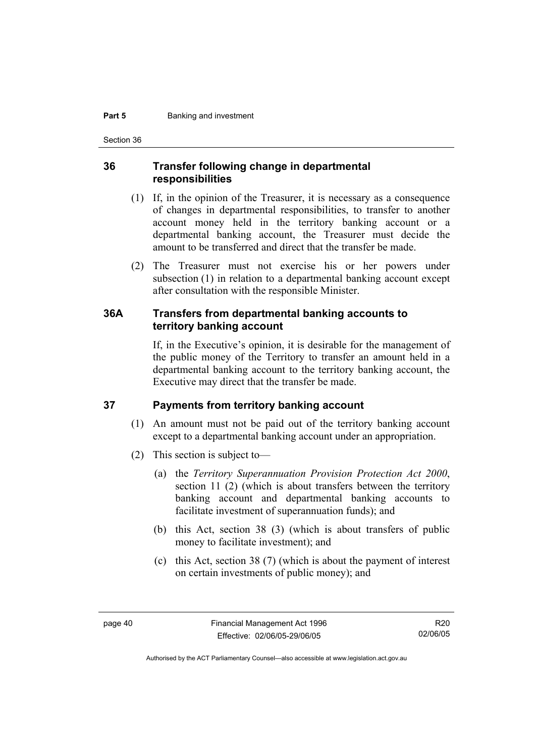#### **Part 5 Banking and investment**

Section 36

#### **36 Transfer following change in departmental responsibilities**

- (1) If, in the opinion of the Treasurer, it is necessary as a consequence of changes in departmental responsibilities, to transfer to another account money held in the territory banking account or a departmental banking account, the Treasurer must decide the amount to be transferred and direct that the transfer be made.
- (2) The Treasurer must not exercise his or her powers under subsection (1) in relation to a departmental banking account except after consultation with the responsible Minister.

#### **36A Transfers from departmental banking accounts to territory banking account**

If, in the Executive's opinion, it is desirable for the management of the public money of the Territory to transfer an amount held in a departmental banking account to the territory banking account, the Executive may direct that the transfer be made.

#### **37 Payments from territory banking account**

- (1) An amount must not be paid out of the territory banking account except to a departmental banking account under an appropriation.
- (2) This section is subject to—
	- (a) the *Territory Superannuation Provision Protection Act 2000*, section 11 (2) (which is about transfers between the territory banking account and departmental banking accounts to facilitate investment of superannuation funds); and
	- (b) this Act, section 38 (3) (which is about transfers of public money to facilitate investment); and
	- (c) this Act, section 38 (7) (which is about the payment of interest on certain investments of public money); and

Authorised by the ACT Parliamentary Counsel—also accessible at www.legislation.act.gov.au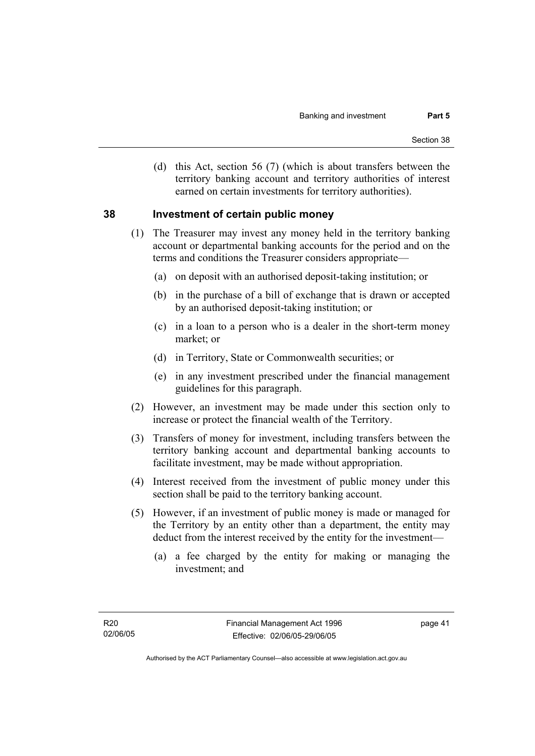(d) this Act, section 56 (7) (which is about transfers between the territory banking account and territory authorities of interest earned on certain investments for territory authorities).

#### **38 Investment of certain public money**

- (1) The Treasurer may invest any money held in the territory banking account or departmental banking accounts for the period and on the terms and conditions the Treasurer considers appropriate—
	- (a) on deposit with an authorised deposit-taking institution; or
	- (b) in the purchase of a bill of exchange that is drawn or accepted by an authorised deposit-taking institution; or
	- (c) in a loan to a person who is a dealer in the short-term money market; or
	- (d) in Territory, State or Commonwealth securities; or
	- (e) in any investment prescribed under the financial management guidelines for this paragraph.
- (2) However, an investment may be made under this section only to increase or protect the financial wealth of the Territory.
- (3) Transfers of money for investment, including transfers between the territory banking account and departmental banking accounts to facilitate investment, may be made without appropriation.
- (4) Interest received from the investment of public money under this section shall be paid to the territory banking account.
- (5) However, if an investment of public money is made or managed for the Territory by an entity other than a department, the entity may deduct from the interest received by the entity for the investment—
	- (a) a fee charged by the entity for making or managing the investment; and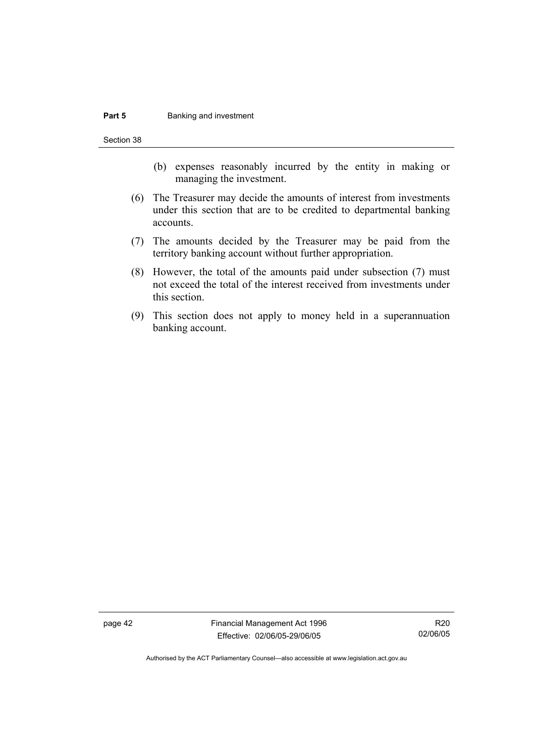#### **Part 5 Banking and investment**

Section 38

- (b) expenses reasonably incurred by the entity in making or managing the investment.
- (6) The Treasurer may decide the amounts of interest from investments under this section that are to be credited to departmental banking accounts.
- (7) The amounts decided by the Treasurer may be paid from the territory banking account without further appropriation.
- (8) However, the total of the amounts paid under subsection (7) must not exceed the total of the interest received from investments under this section.
- (9) This section does not apply to money held in a superannuation banking account.

page 42 Financial Management Act 1996 Effective: 02/06/05-29/06/05

R20 02/06/05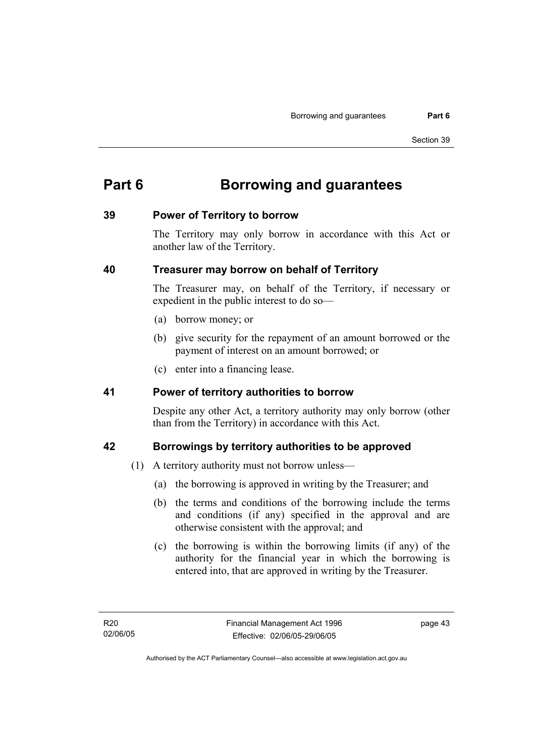# **Part 6 Borrowing and guarantees**

#### **39 Power of Territory to borrow**

The Territory may only borrow in accordance with this Act or another law of the Territory.

## **40 Treasurer may borrow on behalf of Territory**

The Treasurer may, on behalf of the Territory, if necessary or expedient in the public interest to do so—

- (a) borrow money; or
- (b) give security for the repayment of an amount borrowed or the payment of interest on an amount borrowed; or
- (c) enter into a financing lease.

#### **41 Power of territory authorities to borrow**

Despite any other Act, a territory authority may only borrow (other than from the Territory) in accordance with this Act.

## **42 Borrowings by territory authorities to be approved**

- (1) A territory authority must not borrow unless—
	- (a) the borrowing is approved in writing by the Treasurer; and
	- (b) the terms and conditions of the borrowing include the terms and conditions (if any) specified in the approval and are otherwise consistent with the approval; and
	- (c) the borrowing is within the borrowing limits (if any) of the authority for the financial year in which the borrowing is entered into, that are approved in writing by the Treasurer.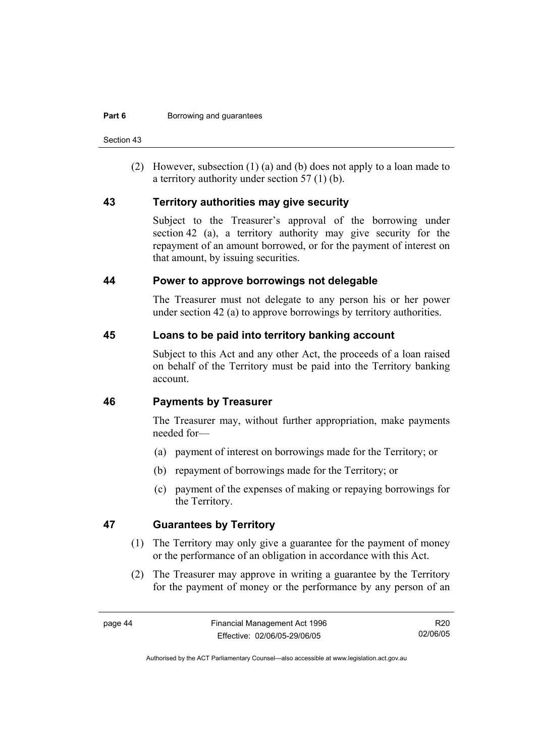Section 43

 (2) However, subsection (1) (a) and (b) does not apply to a loan made to a territory authority under section 57 (1) (b).

#### **43 Territory authorities may give security**

Subject to the Treasurer's approval of the borrowing under section 42 (a), a territory authority may give security for the repayment of an amount borrowed, or for the payment of interest on that amount, by issuing securities.

#### **44 Power to approve borrowings not delegable**

The Treasurer must not delegate to any person his or her power under section 42 (a) to approve borrowings by territory authorities.

#### **45 Loans to be paid into territory banking account**

Subject to this Act and any other Act, the proceeds of a loan raised on behalf of the Territory must be paid into the Territory banking account.

#### **46 Payments by Treasurer**

The Treasurer may, without further appropriation, make payments needed for—

- (a) payment of interest on borrowings made for the Territory; or
- (b) repayment of borrowings made for the Territory; or
- (c) payment of the expenses of making or repaying borrowings for the Territory.

## **47 Guarantees by Territory**

- (1) The Territory may only give a guarantee for the payment of money or the performance of an obligation in accordance with this Act.
- (2) The Treasurer may approve in writing a guarantee by the Territory for the payment of money or the performance by any person of an

R20 02/06/05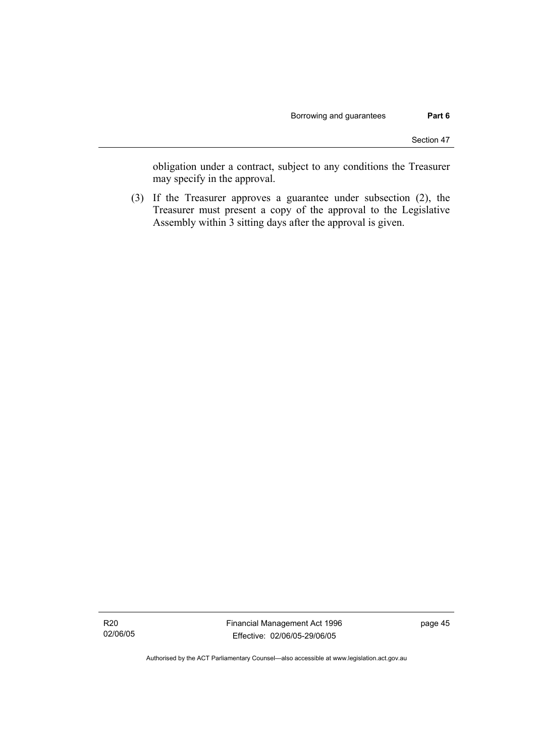obligation under a contract, subject to any conditions the Treasurer may specify in the approval.

 (3) If the Treasurer approves a guarantee under subsection (2), the Treasurer must present a copy of the approval to the Legislative Assembly within 3 sitting days after the approval is given.

R20 02/06/05 Financial Management Act 1996 Effective: 02/06/05-29/06/05

page 45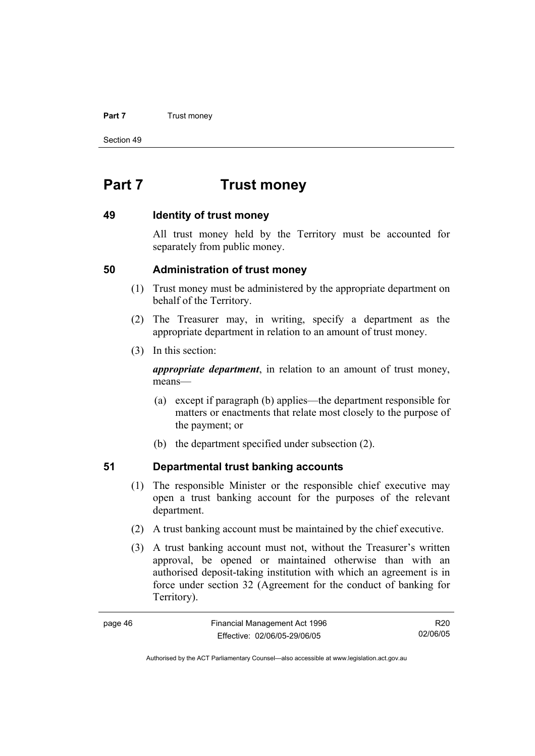#### **Part 7 Trust money**

Section 49

# **Part 7 Trust money**

#### **49 Identity of trust money**

All trust money held by the Territory must be accounted for separately from public money.

#### **50 Administration of trust money**

- (1) Trust money must be administered by the appropriate department on behalf of the Territory.
- (2) The Treasurer may, in writing, specify a department as the appropriate department in relation to an amount of trust money.
- (3) In this section:

*appropriate department*, in relation to an amount of trust money, means—

- (a) except if paragraph (b) applies—the department responsible for matters or enactments that relate most closely to the purpose of the payment; or
- (b) the department specified under subsection (2).

## **51 Departmental trust banking accounts**

- (1) The responsible Minister or the responsible chief executive may open a trust banking account for the purposes of the relevant department.
- (2) A trust banking account must be maintained by the chief executive.
- (3) A trust banking account must not, without the Treasurer's written approval, be opened or maintained otherwise than with an authorised deposit-taking institution with which an agreement is in force under section 32 (Agreement for the conduct of banking for Territory).

| page 46 | Financial Management Act 1996 | R20      |
|---------|-------------------------------|----------|
|         | Effective: 02/06/05-29/06/05  | 02/06/05 |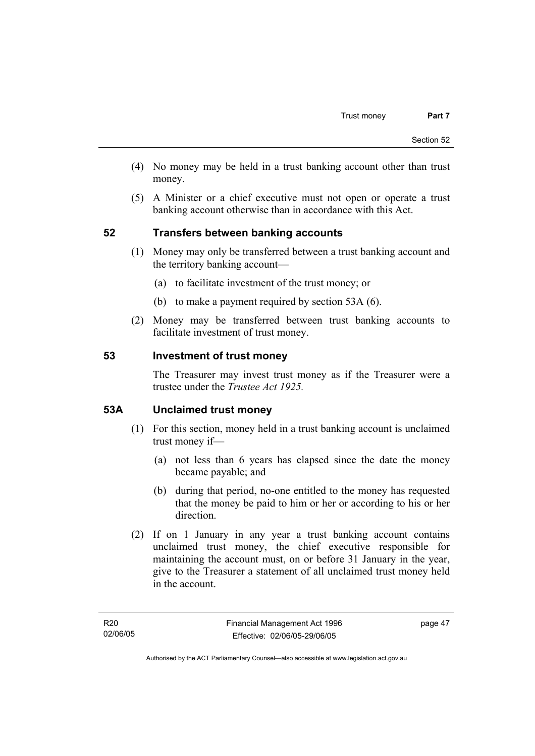- (4) No money may be held in a trust banking account other than trust money.
- (5) A Minister or a chief executive must not open or operate a trust banking account otherwise than in accordance with this Act.

## **52 Transfers between banking accounts**

- (1) Money may only be transferred between a trust banking account and the territory banking account—
	- (a) to facilitate investment of the trust money; or
	- (b) to make a payment required by section 53A (6).
- (2) Money may be transferred between trust banking accounts to facilitate investment of trust money.

#### **53 Investment of trust money**

The Treasurer may invest trust money as if the Treasurer were a trustee under the *Trustee Act 1925.*

#### **53A Unclaimed trust money**

- (1) For this section, money held in a trust banking account is unclaimed trust money if—
	- (a) not less than 6 years has elapsed since the date the money became payable; and
	- (b) during that period, no-one entitled to the money has requested that the money be paid to him or her or according to his or her direction.
- (2) If on 1 January in any year a trust banking account contains unclaimed trust money, the chief executive responsible for maintaining the account must, on or before 31 January in the year, give to the Treasurer a statement of all unclaimed trust money held in the account.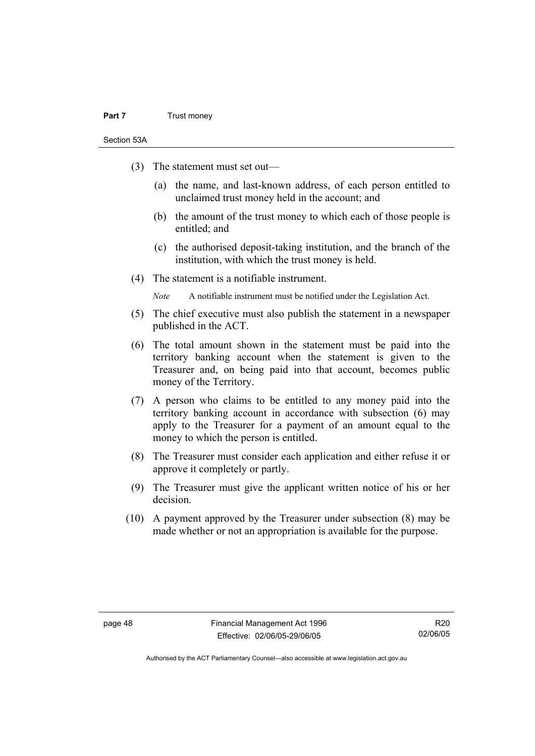#### **Part 7** Trust money

Section 53A

- (3) The statement must set out—
	- (a) the name, and last-known address, of each person entitled to unclaimed trust money held in the account; and
	- (b) the amount of the trust money to which each of those people is entitled; and
	- (c) the authorised deposit-taking institution, and the branch of the institution, with which the trust money is held.
- (4) The statement is a notifiable instrument.

*Note* A notifiable instrument must be notified under the Legislation Act.

- (5) The chief executive must also publish the statement in a newspaper published in the ACT.
- (6) The total amount shown in the statement must be paid into the territory banking account when the statement is given to the Treasurer and, on being paid into that account, becomes public money of the Territory.
- (7) A person who claims to be entitled to any money paid into the territory banking account in accordance with subsection (6) may apply to the Treasurer for a payment of an amount equal to the money to which the person is entitled.
- (8) The Treasurer must consider each application and either refuse it or approve it completely or partly.
- (9) The Treasurer must give the applicant written notice of his or her decision.
- (10) A payment approved by the Treasurer under subsection (8) may be made whether or not an appropriation is available for the purpose.

R20 02/06/05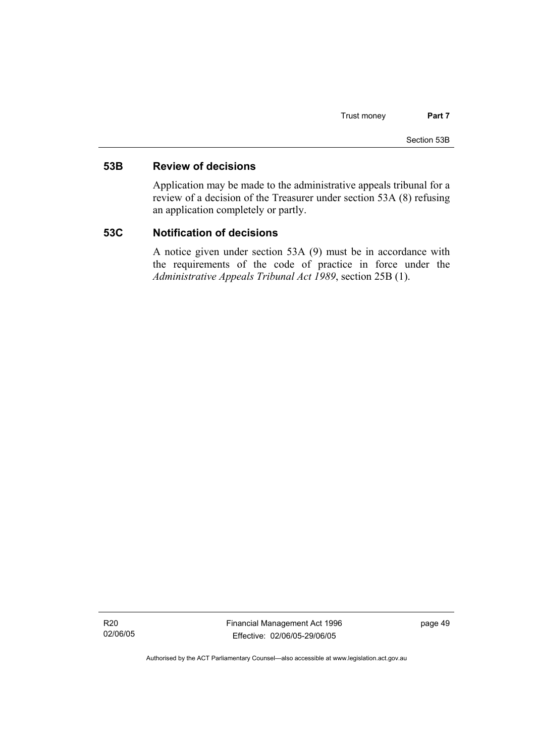#### **53B Review of decisions**

Application may be made to the administrative appeals tribunal for a review of a decision of the Treasurer under section 53A (8) refusing an application completely or partly.

#### **53C Notification of decisions**

A notice given under section 53A (9) must be in accordance with the requirements of the code of practice in force under the *Administrative Appeals Tribunal Act 1989*, section 25B (1).

R20 02/06/05 Financial Management Act 1996 Effective: 02/06/05-29/06/05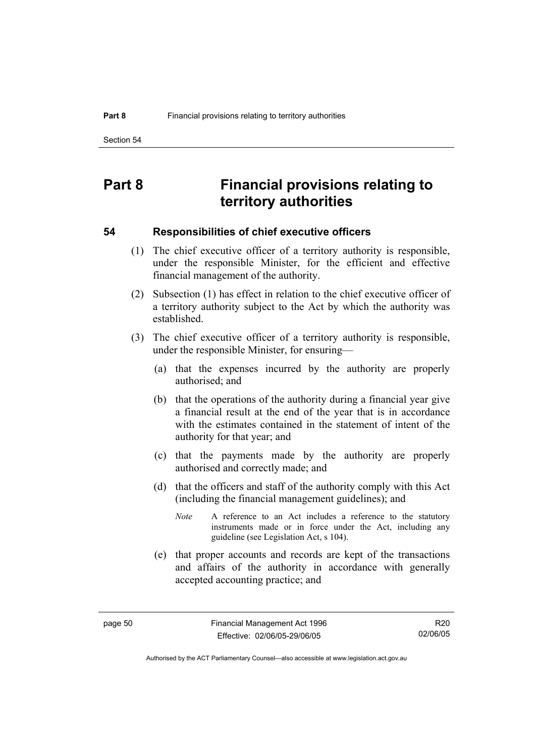Section 54

# **Part 8 Financial provisions relating to territory authorities**

#### **54 Responsibilities of chief executive officers**

- (1) The chief executive officer of a territory authority is responsible, under the responsible Minister, for the efficient and effective financial management of the authority.
- (2) Subsection (1) has effect in relation to the chief executive officer of a territory authority subject to the Act by which the authority was established.
- (3) The chief executive officer of a territory authority is responsible, under the responsible Minister, for ensuring—
	- (a) that the expenses incurred by the authority are properly authorised; and
	- (b) that the operations of the authority during a financial year give a financial result at the end of the year that is in accordance with the estimates contained in the statement of intent of the authority for that year; and
	- (c) that the payments made by the authority are properly authorised and correctly made; and
	- (d) that the officers and staff of the authority comply with this Act (including the financial management guidelines); and
		- *Note* A reference to an Act includes a reference to the statutory instruments made or in force under the Act, including any guideline (see Legislation Act, s 104).
	- (e) that proper accounts and records are kept of the transactions and affairs of the authority in accordance with generally accepted accounting practice; and

R20 02/06/05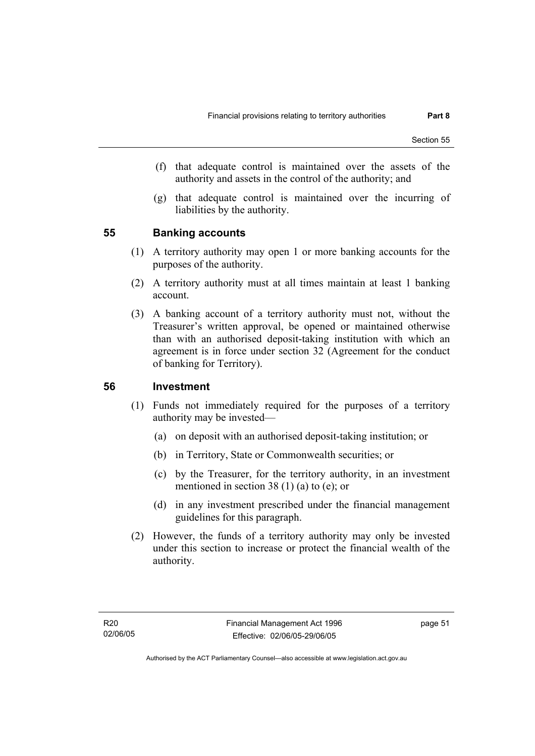- (f) that adequate control is maintained over the assets of the authority and assets in the control of the authority; and
- (g) that adequate control is maintained over the incurring of liabilities by the authority.

#### **55 Banking accounts**

- (1) A territory authority may open 1 or more banking accounts for the purposes of the authority.
- (2) A territory authority must at all times maintain at least 1 banking account.
- (3) A banking account of a territory authority must not, without the Treasurer's written approval, be opened or maintained otherwise than with an authorised deposit-taking institution with which an agreement is in force under section 32 (Agreement for the conduct of banking for Territory).

#### **56 Investment**

- (1) Funds not immediately required for the purposes of a territory authority may be invested—
	- (a) on deposit with an authorised deposit-taking institution; or
	- (b) in Territory, State or Commonwealth securities; or
	- (c) by the Treasurer, for the territory authority, in an investment mentioned in section 38 (1) (a) to (e); or
	- (d) in any investment prescribed under the financial management guidelines for this paragraph.
- (2) However, the funds of a territory authority may only be invested under this section to increase or protect the financial wealth of the authority.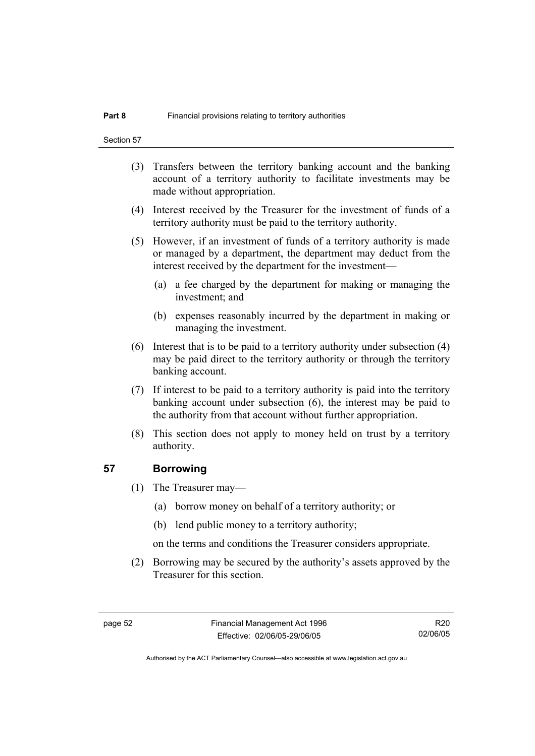- (3) Transfers between the territory banking account and the banking account of a territory authority to facilitate investments may be made without appropriation.
- (4) Interest received by the Treasurer for the investment of funds of a territory authority must be paid to the territory authority.
- (5) However, if an investment of funds of a territory authority is made or managed by a department, the department may deduct from the interest received by the department for the investment—
	- (a) a fee charged by the department for making or managing the investment; and
	- (b) expenses reasonably incurred by the department in making or managing the investment.
- (6) Interest that is to be paid to a territory authority under subsection (4) may be paid direct to the territory authority or through the territory banking account.
- (7) If interest to be paid to a territory authority is paid into the territory banking account under subsection (6), the interest may be paid to the authority from that account without further appropriation.
- (8) This section does not apply to money held on trust by a territory authority.

#### **57 Borrowing**

- (1) The Treasurer may—
	- (a) borrow money on behalf of a territory authority; or
	- (b) lend public money to a territory authority;

on the terms and conditions the Treasurer considers appropriate.

 (2) Borrowing may be secured by the authority's assets approved by the Treasurer for this section.

R20 02/06/05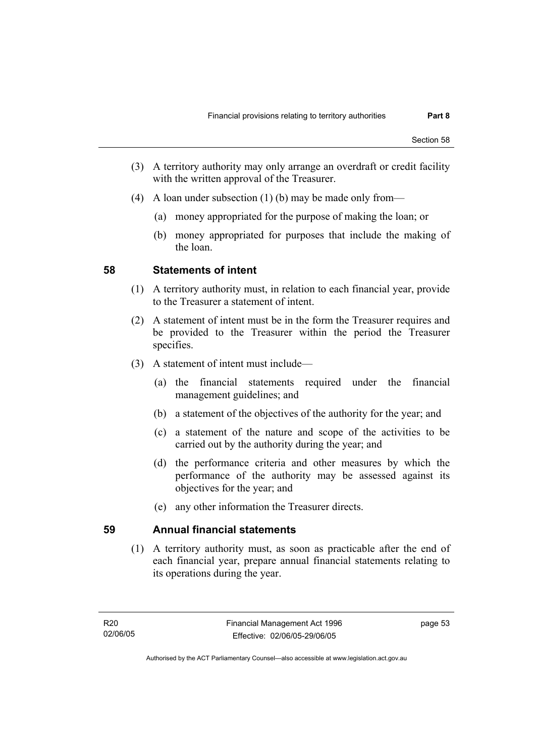- (3) A territory authority may only arrange an overdraft or credit facility with the written approval of the Treasurer.
- (4) A loan under subsection (1) (b) may be made only from—
	- (a) money appropriated for the purpose of making the loan; or
	- (b) money appropriated for purposes that include the making of the loan.

#### **58 Statements of intent**

- (1) A territory authority must, in relation to each financial year, provide to the Treasurer a statement of intent.
- (2) A statement of intent must be in the form the Treasurer requires and be provided to the Treasurer within the period the Treasurer specifies.
- (3) A statement of intent must include—
	- (a) the financial statements required under the financial management guidelines; and
	- (b) a statement of the objectives of the authority for the year; and
	- (c) a statement of the nature and scope of the activities to be carried out by the authority during the year; and
	- (d) the performance criteria and other measures by which the performance of the authority may be assessed against its objectives for the year; and
	- (e) any other information the Treasurer directs.

## **59 Annual financial statements**

 (1) A territory authority must, as soon as practicable after the end of each financial year, prepare annual financial statements relating to its operations during the year.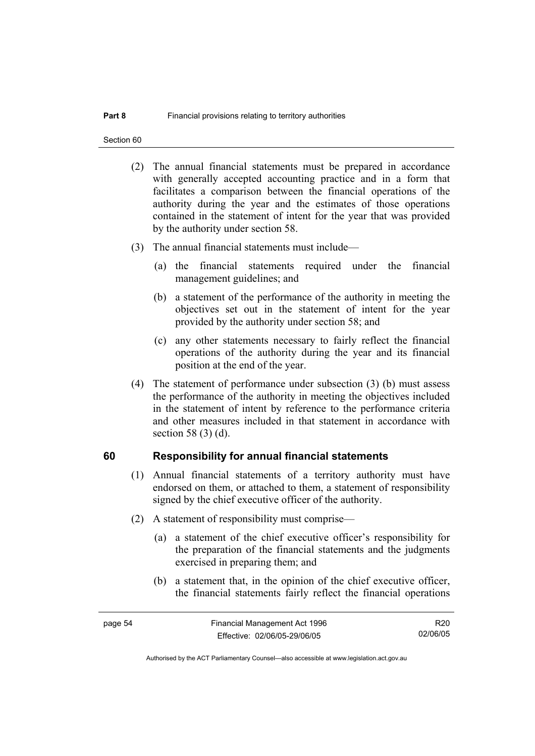Section 60

- (2) The annual financial statements must be prepared in accordance with generally accepted accounting practice and in a form that facilitates a comparison between the financial operations of the authority during the year and the estimates of those operations contained in the statement of intent for the year that was provided by the authority under section 58.
- (3) The annual financial statements must include—
	- (a) the financial statements required under the financial management guidelines; and
	- (b) a statement of the performance of the authority in meeting the objectives set out in the statement of intent for the year provided by the authority under section 58; and
	- (c) any other statements necessary to fairly reflect the financial operations of the authority during the year and its financial position at the end of the year.
- (4) The statement of performance under subsection (3) (b) must assess the performance of the authority in meeting the objectives included in the statement of intent by reference to the performance criteria and other measures included in that statement in accordance with section 58 (3) (d).

#### **60 Responsibility for annual financial statements**

- (1) Annual financial statements of a territory authority must have endorsed on them, or attached to them, a statement of responsibility signed by the chief executive officer of the authority.
- (2) A statement of responsibility must comprise—
	- (a) a statement of the chief executive officer's responsibility for the preparation of the financial statements and the judgments exercised in preparing them; and
	- (b) a statement that, in the opinion of the chief executive officer, the financial statements fairly reflect the financial operations

R20 02/06/05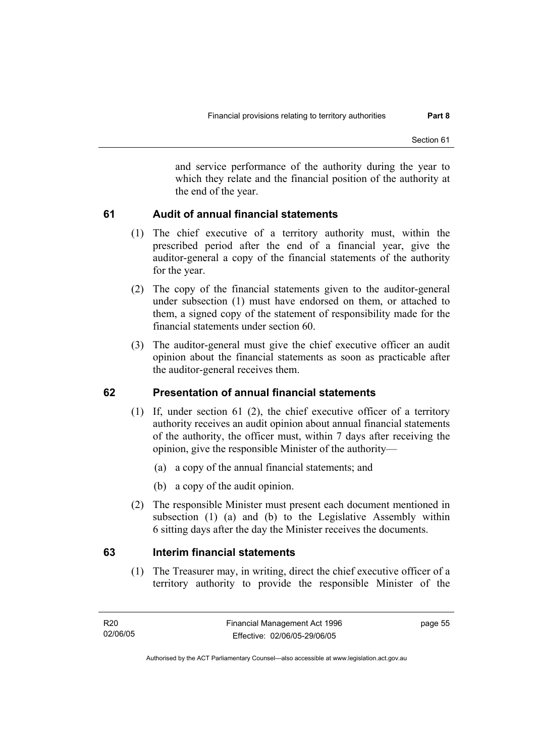and service performance of the authority during the year to which they relate and the financial position of the authority at the end of the year.

## **61 Audit of annual financial statements**

- (1) The chief executive of a territory authority must, within the prescribed period after the end of a financial year, give the auditor-general a copy of the financial statements of the authority for the year.
- (2) The copy of the financial statements given to the auditor-general under subsection (1) must have endorsed on them, or attached to them, a signed copy of the statement of responsibility made for the financial statements under section 60.
- (3) The auditor-general must give the chief executive officer an audit opinion about the financial statements as soon as practicable after the auditor-general receives them.

## **62 Presentation of annual financial statements**

- (1) If, under section 61 (2), the chief executive officer of a territory authority receives an audit opinion about annual financial statements of the authority, the officer must, within 7 days after receiving the opinion, give the responsible Minister of the authority—
	- (a) a copy of the annual financial statements; and
	- (b) a copy of the audit opinion.
- (2) The responsible Minister must present each document mentioned in subsection (1) (a) and (b) to the Legislative Assembly within 6 sitting days after the day the Minister receives the documents.

## **63 Interim financial statements**

 (1) The Treasurer may, in writing, direct the chief executive officer of a territory authority to provide the responsible Minister of the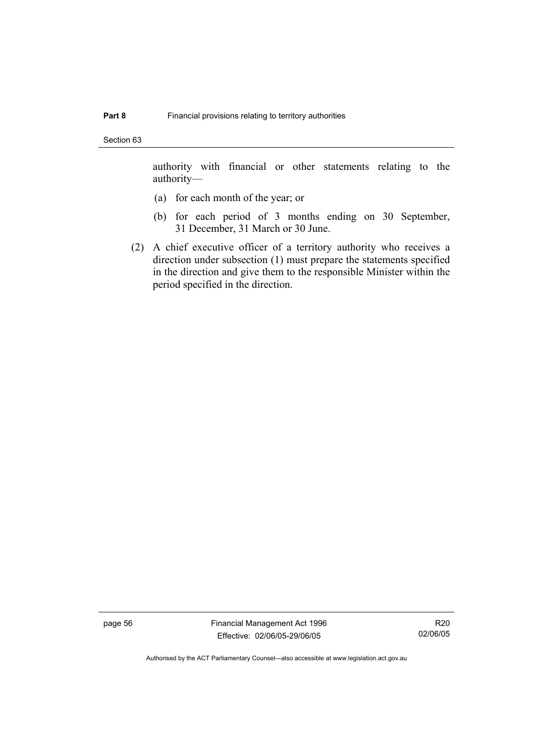Section 63

authority with financial or other statements relating to the authority—

- (a) for each month of the year; or
- (b) for each period of 3 months ending on 30 September, 31 December, 31 March or 30 June.
- (2) A chief executive officer of a territory authority who receives a direction under subsection (1) must prepare the statements specified in the direction and give them to the responsible Minister within the period specified in the direction.

page 56 Financial Management Act 1996 Effective: 02/06/05-29/06/05

R20 02/06/05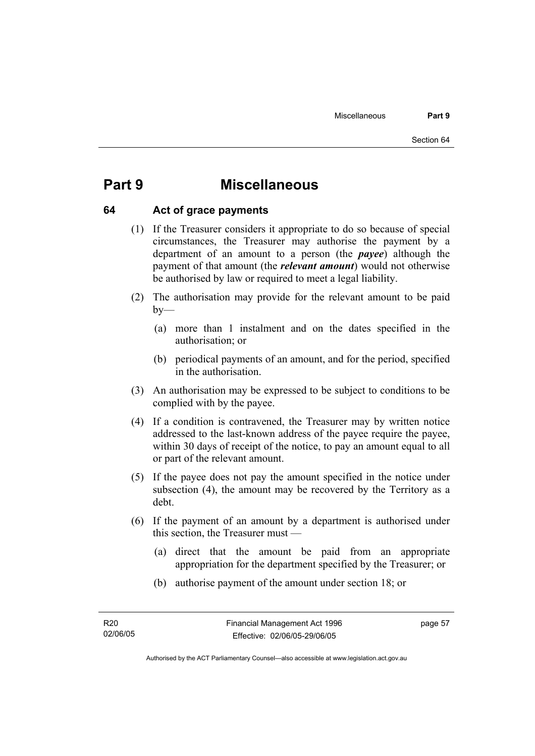# **Part 9 Miscellaneous**

#### **64 Act of grace payments**

- (1) If the Treasurer considers it appropriate to do so because of special circumstances, the Treasurer may authorise the payment by a department of an amount to a person (the *payee*) although the payment of that amount (the *relevant amount*) would not otherwise be authorised by law or required to meet a legal liability.
- (2) The authorisation may provide for the relevant amount to be paid  $by-$ 
	- (a) more than 1 instalment and on the dates specified in the authorisation; or
	- (b) periodical payments of an amount, and for the period, specified in the authorisation.
- (3) An authorisation may be expressed to be subject to conditions to be complied with by the payee.
- (4) If a condition is contravened, the Treasurer may by written notice addressed to the last-known address of the payee require the payee, within 30 days of receipt of the notice, to pay an amount equal to all or part of the relevant amount.
- (5) If the payee does not pay the amount specified in the notice under subsection (4), the amount may be recovered by the Territory as a debt.
- (6) If the payment of an amount by a department is authorised under this section, the Treasurer must —
	- (a) direct that the amount be paid from an appropriate appropriation for the department specified by the Treasurer; or
	- (b) authorise payment of the amount under section 18; or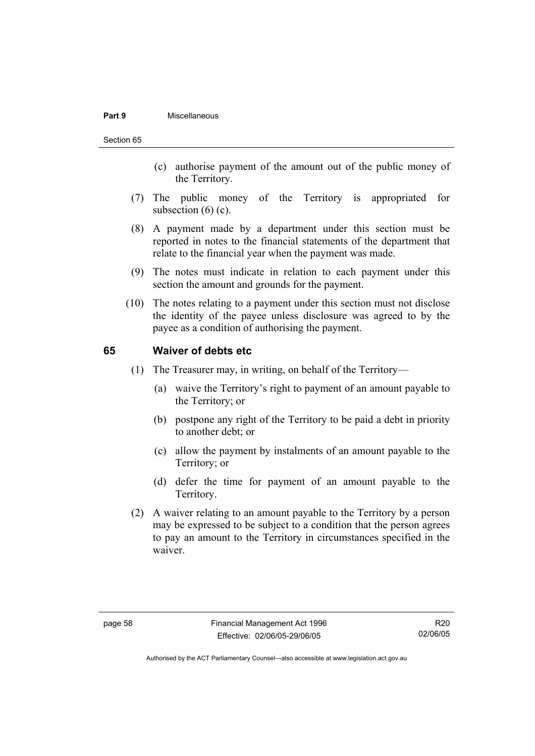#### **Part 9** Miscellaneous

#### Section 65

- (c) authorise payment of the amount out of the public money of the Territory.
- (7) The public money of the Territory is appropriated for subsection  $(6)$   $(c)$ .
- (8) A payment made by a department under this section must be reported in notes to the financial statements of the department that relate to the financial year when the payment was made.
- (9) The notes must indicate in relation to each payment under this section the amount and grounds for the payment.
- (10) The notes relating to a payment under this section must not disclose the identity of the payee unless disclosure was agreed to by the payee as a condition of authorising the payment.

#### **65 Waiver of debts etc**

- (1) The Treasurer may, in writing, on behalf of the Territory—
	- (a) waive the Territory's right to payment of an amount payable to the Territory; or
	- (b) postpone any right of the Territory to be paid a debt in priority to another debt; or
	- (c) allow the payment by instalments of an amount payable to the Territory; or
	- (d) defer the time for payment of an amount payable to the Territory.
- (2) A waiver relating to an amount payable to the Territory by a person may be expressed to be subject to a condition that the person agrees to pay an amount to the Territory in circumstances specified in the waiver.

R20 02/06/05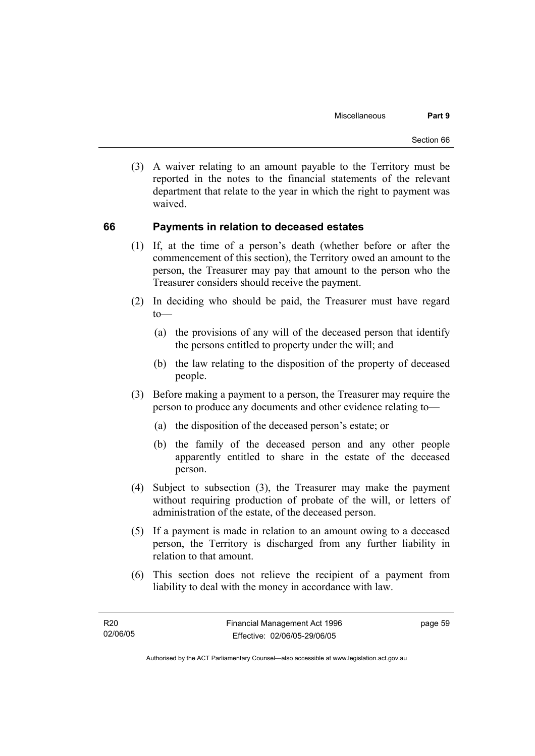(3) A waiver relating to an amount payable to the Territory must be reported in the notes to the financial statements of the relevant department that relate to the year in which the right to payment was waived.

#### **66 Payments in relation to deceased estates**

- (1) If, at the time of a person's death (whether before or after the commencement of this section), the Territory owed an amount to the person, the Treasurer may pay that amount to the person who the Treasurer considers should receive the payment.
- (2) In deciding who should be paid, the Treasurer must have regard  $to$ —
	- (a) the provisions of any will of the deceased person that identify the persons entitled to property under the will; and
	- (b) the law relating to the disposition of the property of deceased people.
- (3) Before making a payment to a person, the Treasurer may require the person to produce any documents and other evidence relating to—
	- (a) the disposition of the deceased person's estate; or
	- (b) the family of the deceased person and any other people apparently entitled to share in the estate of the deceased person.
- (4) Subject to subsection (3), the Treasurer may make the payment without requiring production of probate of the will, or letters of administration of the estate, of the deceased person.
- (5) If a payment is made in relation to an amount owing to a deceased person, the Territory is discharged from any further liability in relation to that amount.
- (6) This section does not relieve the recipient of a payment from liability to deal with the money in accordance with law.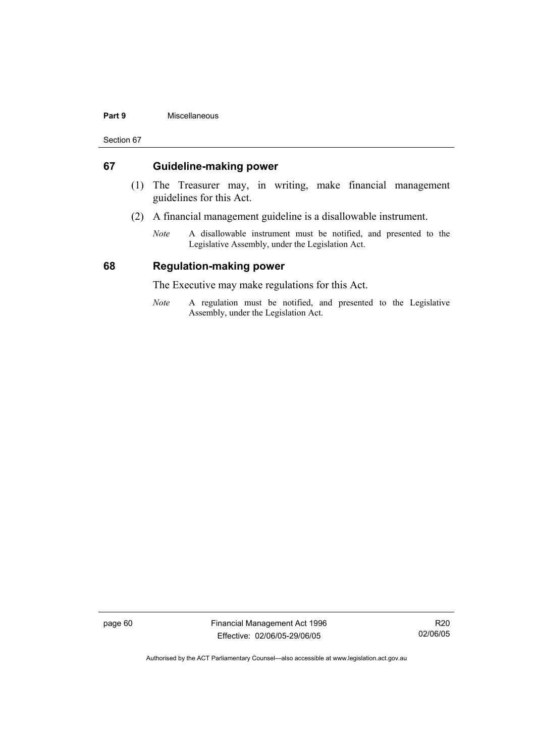#### **Part 9** Miscellaneous

Section 67

#### **67 Guideline-making power**

- (1) The Treasurer may, in writing, make financial management guidelines for this Act.
- (2) A financial management guideline is a disallowable instrument.
	- *Note* A disallowable instrument must be notified, and presented to the Legislative Assembly, under the Legislation Act.

#### **68 Regulation-making power**

The Executive may make regulations for this Act.

*Note* A regulation must be notified, and presented to the Legislative Assembly, under the Legislation Act.

page 60 Financial Management Act 1996 Effective: 02/06/05-29/06/05

R20 02/06/05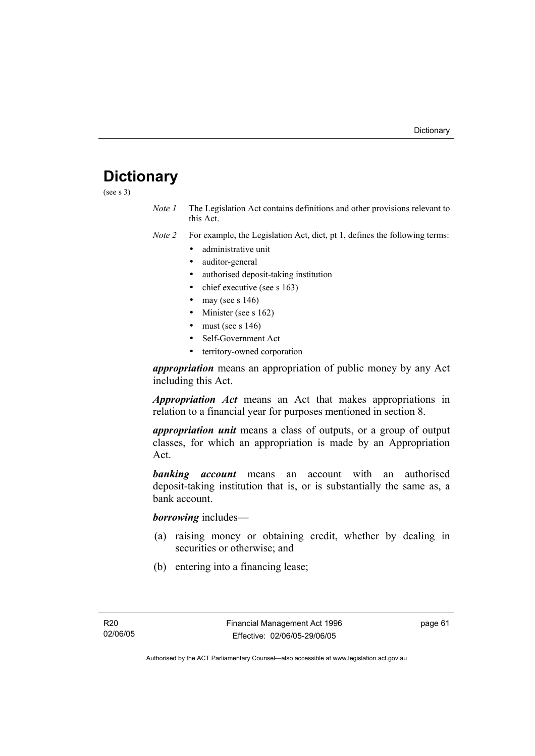# **Dictionary**

(see s 3)

*Note 1* The Legislation Act contains definitions and other provisions relevant to this Act.

*Note 2* For example, the Legislation Act, dict, pt 1, defines the following terms:

- administrative unit
- auditor-general
- authorised deposit-taking institution
- chief executive (see s 163)
- may (see s  $146$ )
- Minister (see s 162)
- must (see s  $146$ )
- Self-Government Act
- territory-owned corporation

*appropriation* means an appropriation of public money by any Act including this Act.

*Appropriation Act* means an Act that makes appropriations in relation to a financial year for purposes mentioned in section 8.

*appropriation unit* means a class of outputs, or a group of output classes, for which an appropriation is made by an Appropriation Act.

*banking account* means an account with an authorised deposit-taking institution that is, or is substantially the same as, a bank account.

*borrowing* includes—

- (a) raising money or obtaining credit, whether by dealing in securities or otherwise; and
- (b) entering into a financing lease;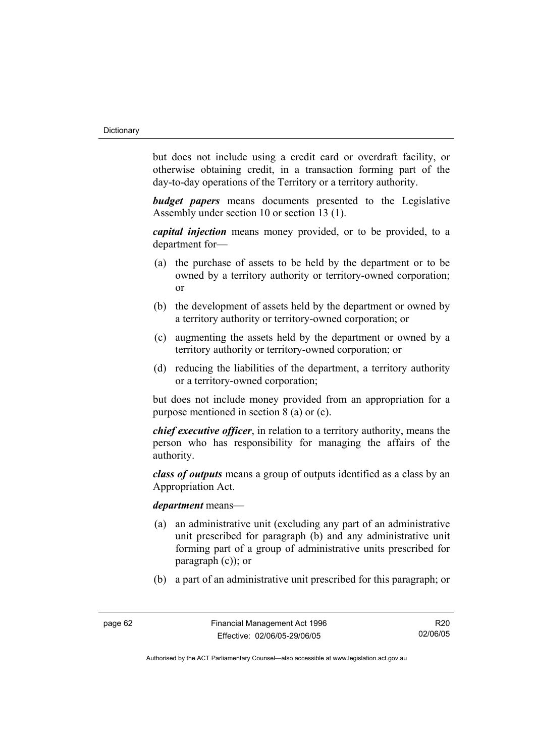but does not include using a credit card or overdraft facility, or otherwise obtaining credit, in a transaction forming part of the day-to-day operations of the Territory or a territory authority.

*budget papers* means documents presented to the Legislative Assembly under section 10 or section 13 (1).

*capital injection* means money provided, or to be provided, to a department for—

- (a) the purchase of assets to be held by the department or to be owned by a territory authority or territory-owned corporation; or
- (b) the development of assets held by the department or owned by a territory authority or territory-owned corporation; or
- (c) augmenting the assets held by the department or owned by a territory authority or territory-owned corporation; or
- (d) reducing the liabilities of the department, a territory authority or a territory-owned corporation;

but does not include money provided from an appropriation for a purpose mentioned in section 8 (a) or (c).

*chief executive officer*, in relation to a territory authority, means the person who has responsibility for managing the affairs of the authority.

*class of outputs* means a group of outputs identified as a class by an Appropriation Act.

#### *department* means—

- (a) an administrative unit (excluding any part of an administrative unit prescribed for paragraph (b) and any administrative unit forming part of a group of administrative units prescribed for paragraph (c)); or
- (b) a part of an administrative unit prescribed for this paragraph; or

R20 02/06/05

Authorised by the ACT Parliamentary Counsel—also accessible at www.legislation.act.gov.au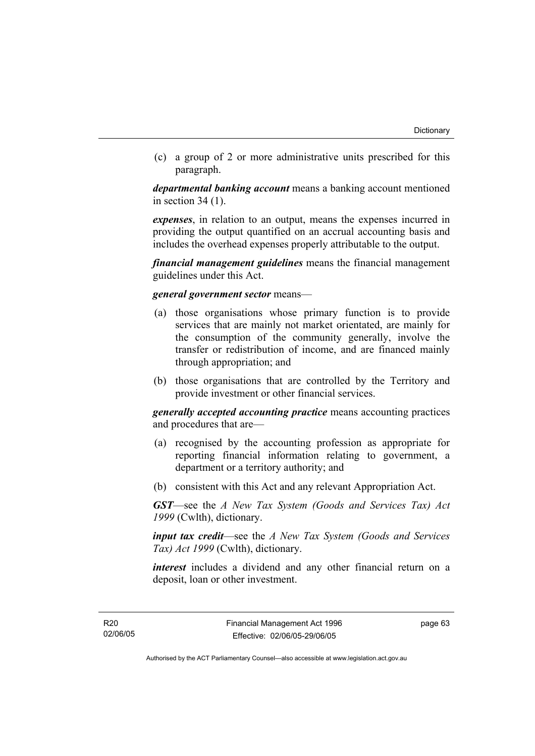(c) a group of 2 or more administrative units prescribed for this paragraph.

*departmental banking account* means a banking account mentioned in section 34 (1).

*expenses*, in relation to an output, means the expenses incurred in providing the output quantified on an accrual accounting basis and includes the overhead expenses properly attributable to the output.

*financial management guidelines* means the financial management guidelines under this Act.

#### *general government sector* means—

- (a) those organisations whose primary function is to provide services that are mainly not market orientated, are mainly for the consumption of the community generally, involve the transfer or redistribution of income, and are financed mainly through appropriation; and
- (b) those organisations that are controlled by the Territory and provide investment or other financial services.

*generally accepted accounting practice* means accounting practices and procedures that are—

- (a) recognised by the accounting profession as appropriate for reporting financial information relating to government, a department or a territory authority; and
- (b) consistent with this Act and any relevant Appropriation Act.

*GST*—see the *A New Tax System (Goods and Services Tax) Act 1999* (Cwlth), dictionary.

*input tax credit*—see the *A New Tax System (Goods and Services Tax) Act 1999* (Cwlth), dictionary.

*interest* includes a dividend and any other financial return on a deposit, loan or other investment.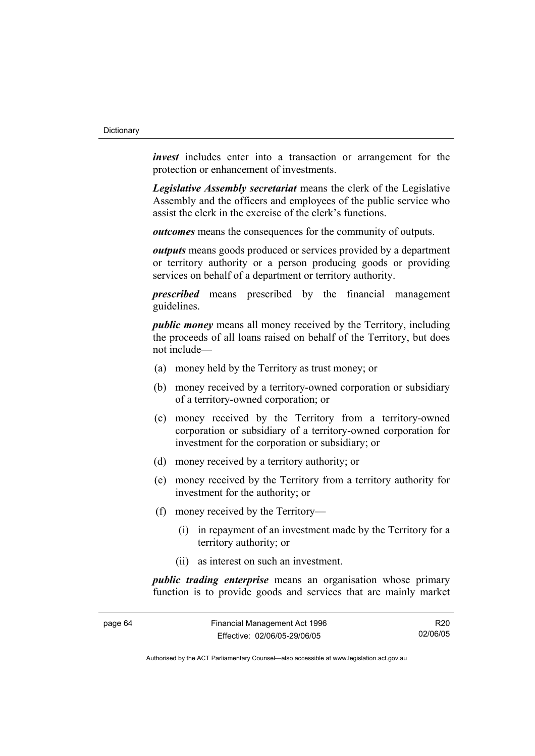*invest* includes enter into a transaction or arrangement for the protection or enhancement of investments.

*Legislative Assembly secretariat* means the clerk of the Legislative Assembly and the officers and employees of the public service who assist the clerk in the exercise of the clerk's functions.

*outcomes* means the consequences for the community of outputs.

*outputs* means goods produced or services provided by a department or territory authority or a person producing goods or providing services on behalf of a department or territory authority.

*prescribed* means prescribed by the financial management guidelines.

*public money* means all money received by the Territory, including the proceeds of all loans raised on behalf of the Territory, but does not include—

- (a) money held by the Territory as trust money; or
- (b) money received by a territory-owned corporation or subsidiary of a territory-owned corporation; or
- (c) money received by the Territory from a territory-owned corporation or subsidiary of a territory-owned corporation for investment for the corporation or subsidiary; or
- (d) money received by a territory authority; or
- (e) money received by the Territory from a territory authority for investment for the authority; or
- (f) money received by the Territory—
	- (i) in repayment of an investment made by the Territory for a territory authority; or
	- (ii) as interest on such an investment.

*public trading enterprise* means an organisation whose primary function is to provide goods and services that are mainly market

| page 64 | Financial Management Act 1996 | R20      |
|---------|-------------------------------|----------|
|         | Effective: 02/06/05-29/06/05  | 02/06/05 |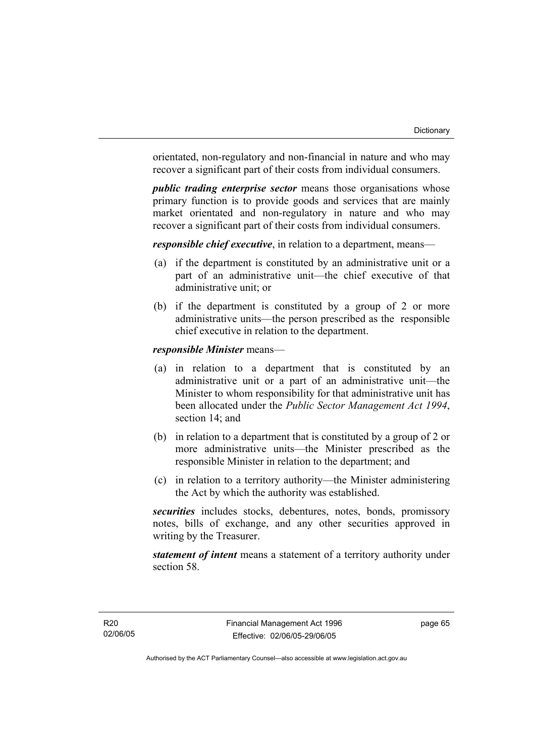orientated, non-regulatory and non-financial in nature and who may recover a significant part of their costs from individual consumers.

*public trading enterprise sector* means those organisations whose primary function is to provide goods and services that are mainly market orientated and non-regulatory in nature and who may recover a significant part of their costs from individual consumers.

*responsible chief executive*, in relation to a department, means—

- (a) if the department is constituted by an administrative unit or a part of an administrative unit—the chief executive of that administrative unit; or
- (b) if the department is constituted by a group of 2 or more administrative units—the person prescribed as the responsible chief executive in relation to the department.

### *responsible Minister* means—

- (a) in relation to a department that is constituted by an administrative unit or a part of an administrative unit—the Minister to whom responsibility for that administrative unit has been allocated under the *Public Sector Management Act 1994*, section 14; and
- (b) in relation to a department that is constituted by a group of 2 or more administrative units—the Minister prescribed as the responsible Minister in relation to the department; and
- (c) in relation to a territory authority—the Minister administering the Act by which the authority was established.

*securities* includes stocks, debentures, notes, bonds, promissory notes, bills of exchange, and any other securities approved in writing by the Treasurer.

*statement of intent* means a statement of a territory authority under section 58.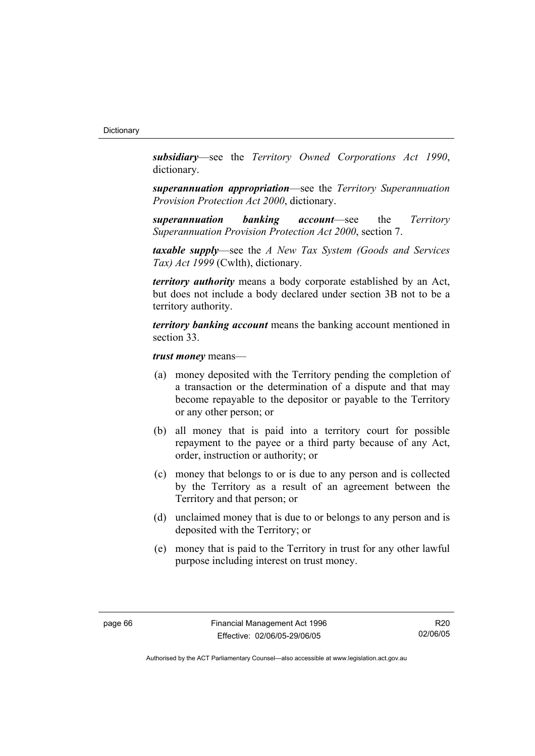*subsidiary*—see the *Territory Owned Corporations Act 1990*, dictionary.

*superannuation appropriation*—see the *Territory Superannuation Provision Protection Act 2000*, dictionary.

*superannuation banking account*—see the *Territory Superannuation Provision Protection Act 2000*, section 7.

*taxable supply*—see the *A New Tax System (Goods and Services Tax) Act 1999* (Cwlth), dictionary.

*territory authority* means a body corporate established by an Act, but does not include a body declared under section 3B not to be a territory authority.

*territory banking account* means the banking account mentioned in section 33.

*trust money* means—

- (a) money deposited with the Territory pending the completion of a transaction or the determination of a dispute and that may become repayable to the depositor or payable to the Territory or any other person; or
- (b) all money that is paid into a territory court for possible repayment to the payee or a third party because of any Act, order, instruction or authority; or
- (c) money that belongs to or is due to any person and is collected by the Territory as a result of an agreement between the Territory and that person; or
- (d) unclaimed money that is due to or belongs to any person and is deposited with the Territory; or
- (e) money that is paid to the Territory in trust for any other lawful purpose including interest on trust money.

R20 02/06/05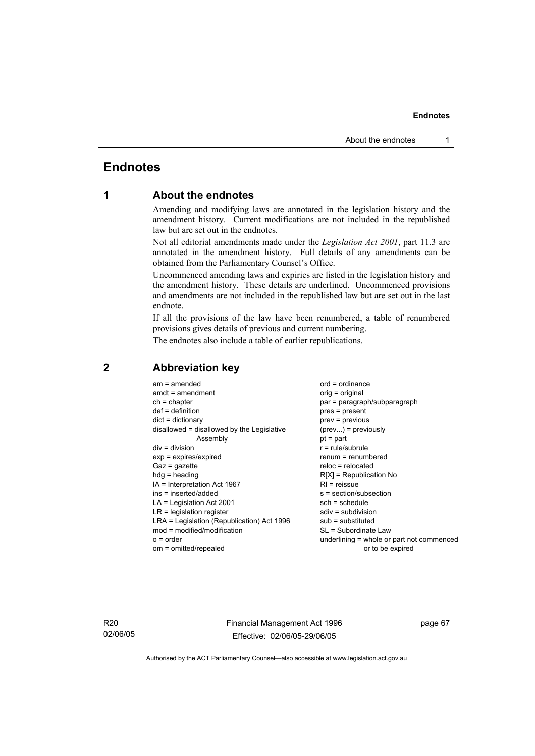# **Endnotes**

# **1 About the endnotes**

Amending and modifying laws are annotated in the legislation history and the amendment history. Current modifications are not included in the republished law but are set out in the endnotes.

Not all editorial amendments made under the *Legislation Act 2001*, part 11.3 are annotated in the amendment history. Full details of any amendments can be obtained from the Parliamentary Counsel's Office.

Uncommenced amending laws and expiries are listed in the legislation history and the amendment history. These details are underlined. Uncommenced provisions and amendments are not included in the republished law but are set out in the last endnote.

If all the provisions of the law have been renumbered, a table of renumbered provisions gives details of previous and current numbering.

The endnotes also include a table of earlier republications.

| $am = amended$                             | $ord = ordinance$                         |
|--------------------------------------------|-------------------------------------------|
| $amdt = amendment$                         | orig = original                           |
| $ch = chapter$                             | par = paragraph/subparagraph              |
| $def = definition$                         | $pres = present$                          |
| $dict = dictionary$                        | prev = previous                           |
| disallowed = disallowed by the Legislative | $(\text{prev}) = \text{previously}$       |
| Assembly                                   | $pt = part$                               |
| $div = division$                           | $r = rule/subrule$                        |
| $exp = expires/expired$                    | $renum = renumbered$                      |
| $Gaz = gazette$                            | $reloc = relocated$                       |
| $h dq =$ heading                           | $R[X]$ = Republication No                 |
| $IA = Interpretation Act 1967$             | $RI =$ reissue                            |
| ins = inserted/added                       | s = section/subsection                    |
| $LA =$ Legislation Act 2001                | $sch = schedule$                          |
| $LR =$ legislation register                | $sdiv = subdivision$                      |
| LRA = Legislation (Republication) Act 1996 | $sub =$ substituted                       |
|                                            |                                           |
| $mod = modified/modification$              | SL = Subordinate Law                      |
| $o = order$                                | underlining = whole or part not commenced |
| om = omitted/repealed                      | or to be expired                          |

# **2 Abbreviation key**

R20 02/06/05 Financial Management Act 1996 Effective: 02/06/05-29/06/05

page 67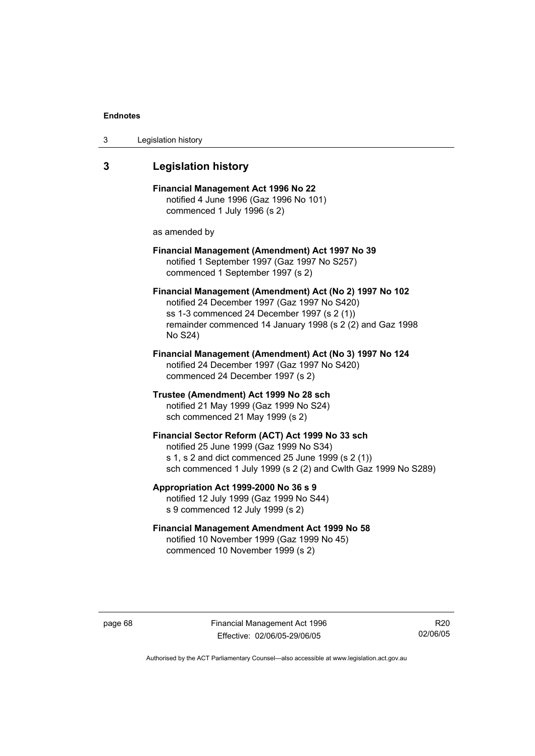| 3 | Legislation history |  |
|---|---------------------|--|
|---|---------------------|--|

# **3 Legislation history**

**Financial Management Act 1996 No 22**  notified 4 June 1996 (Gaz 1996 No 101) commenced 1 July 1996 (s 2)

as amended by

### **Financial Management (Amendment) Act 1997 No 39**  notified 1 September 1997 (Gaz 1997 No S257) commenced 1 September 1997 (s 2)

**Financial Management (Amendment) Act (No 2) 1997 No 102**  notified 24 December 1997 (Gaz 1997 No S420) ss 1-3 commenced 24 December 1997 (s 2 (1)) remainder commenced 14 January 1998 (s 2 (2) and Gaz 1998 No S24)

**Financial Management (Amendment) Act (No 3) 1997 No 124**  notified 24 December 1997 (Gaz 1997 No S420) commenced 24 December 1997 (s 2)

**Trustee (Amendment) Act 1999 No 28 sch**  notified 21 May 1999 (Gaz 1999 No S24) sch commenced 21 May 1999 (s 2)

### **Financial Sector Reform (ACT) Act 1999 No 33 sch**  notified 25 June 1999 (Gaz 1999 No S34) s 1, s 2 and dict commenced 25 June 1999 (s 2 (1)) sch commenced 1 July 1999 (s 2 (2) and Cwlth Gaz 1999 No S289)

**Appropriation Act 1999-2000 No 36 s 9**  notified 12 July 1999 (Gaz 1999 No S44)

s 9 commenced 12 July 1999 (s 2)

## **Financial Management Amendment Act 1999 No 58**  notified 10 November 1999 (Gaz 1999 No 45) commenced 10 November 1999 (s 2)

page 68 Financial Management Act 1996 Effective: 02/06/05-29/06/05

R20 02/06/05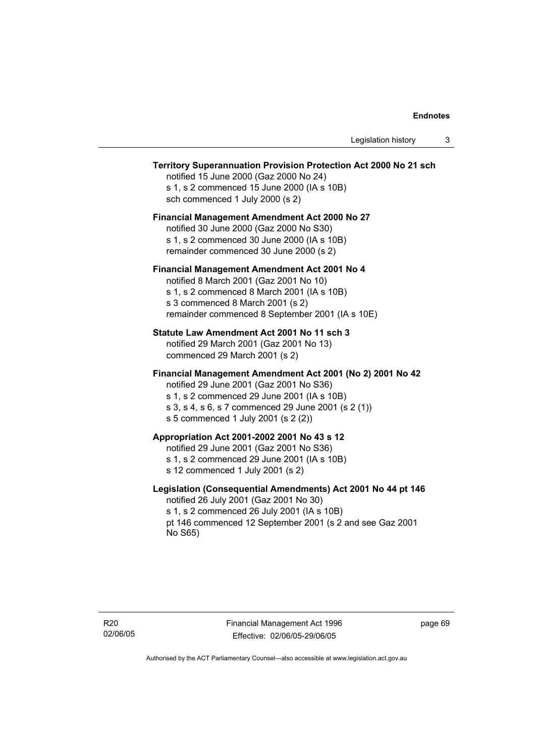### **Territory Superannuation Provision Protection Act 2000 No 21 sch**

notified 15 June 2000 (Gaz 2000 No 24) s 1, s 2 commenced 15 June 2000 (IA s 10B) sch commenced 1 July 2000 (s 2)

### **Financial Management Amendment Act 2000 No 27**

notified 30 June 2000 (Gaz 2000 No S30) s 1, s 2 commenced 30 June 2000 (IA s 10B) remainder commenced 30 June 2000 (s 2)

### **Financial Management Amendment Act 2001 No 4**

notified 8 March 2001 (Gaz 2001 No 10) s 1, s 2 commenced 8 March 2001 (IA s 10B) s 3 commenced 8 March 2001 (s 2) remainder commenced 8 September 2001 (IA s 10E)

### **Statute Law Amendment Act 2001 No 11 sch 3**

notified 29 March 2001 (Gaz 2001 No 13) commenced 29 March 2001 (s 2)

### **Financial Management Amendment Act 2001 (No 2) 2001 No 42**

notified 29 June 2001 (Gaz 2001 No S36)

- s 1, s 2 commenced 29 June 2001 (IA s 10B)
- s 3, s 4, s 6, s 7 commenced 29 June 2001 (s 2 (1))
- s 5 commenced 1 July 2001 (s 2 (2))

# **Appropriation Act 2001-2002 2001 No 43 s 12**

notified 29 June 2001 (Gaz 2001 No S36)

- s 1, s 2 commenced 29 June 2001 (IA s 10B)
- s 12 commenced 1 July 2001 (s 2)

### **Legislation (Consequential Amendments) Act 2001 No 44 pt 146**

notified 26 July 2001 (Gaz 2001 No 30) s 1, s 2 commenced 26 July 2001 (IA s 10B) pt 146 commenced 12 September 2001 (s 2 and see Gaz 2001 No S65)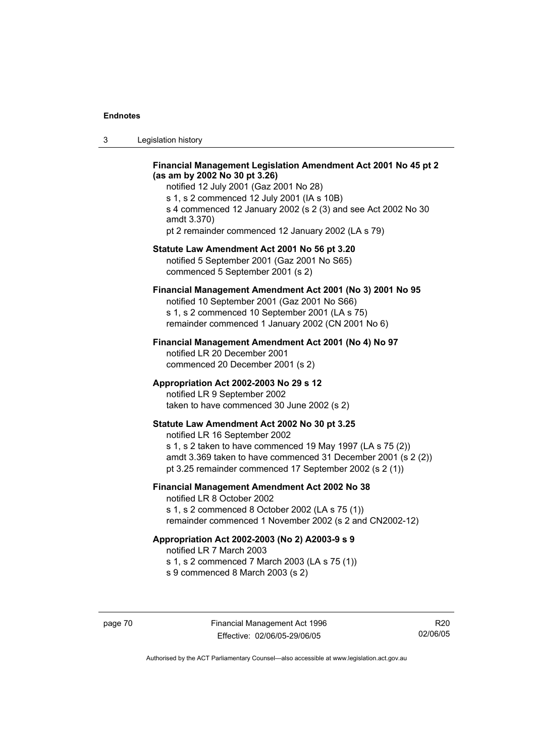| Legislation history<br>-3 |  |
|---------------------------|--|
|---------------------------|--|

### **Financial Management Legislation Amendment Act 2001 No 45 pt 2 (as am by 2002 No 30 pt 3.26)**

notified 12 July 2001 (Gaz 2001 No 28) s 1, s 2 commenced 12 July 2001 (IA s 10B) s 4 commenced 12 January 2002 (s 2 (3) and see Act 2002 No 30 amdt 3.370) pt 2 remainder commenced 12 January 2002 (LA s 79)

### **Statute Law Amendment Act 2001 No 56 pt 3.20**

notified 5 September 2001 (Gaz 2001 No S65) commenced 5 September 2001 (s 2)

# **Financial Management Amendment Act 2001 (No 3) 2001 No 95**

notified 10 September 2001 (Gaz 2001 No S66) s 1, s 2 commenced 10 September 2001 (LA s 75) remainder commenced 1 January 2002 (CN 2001 No 6)

### **Financial Management Amendment Act 2001 (No 4) No 97**

notified LR 20 December 2001 commenced 20 December 2001 (s 2)

### **Appropriation Act 2002-2003 No 29 s 12**

notified LR 9 September 2002 taken to have commenced 30 June 2002 (s 2)

### **Statute Law Amendment Act 2002 No 30 pt 3.25**

notified LR 16 September 2002 s 1, s 2 taken to have commenced 19 May 1997 (LA s 75 (2)) amdt 3.369 taken to have commenced 31 December 2001 (s 2 (2)) pt 3.25 remainder commenced 17 September 2002 (s 2 (1))

# **Financial Management Amendment Act 2002 No 38**

notified LR 8 October 2002 s 1, s 2 commenced 8 October 2002 (LA s 75 (1)) remainder commenced 1 November 2002 (s 2 and CN2002-12)

### **Appropriation Act 2002-2003 (No 2) A2003-9 s 9**

notified LR 7 March 2003

s 1, s 2 commenced 7 March 2003 (LA s 75 (1))

s 9 commenced 8 March 2003 (s 2)

R20 02/06/05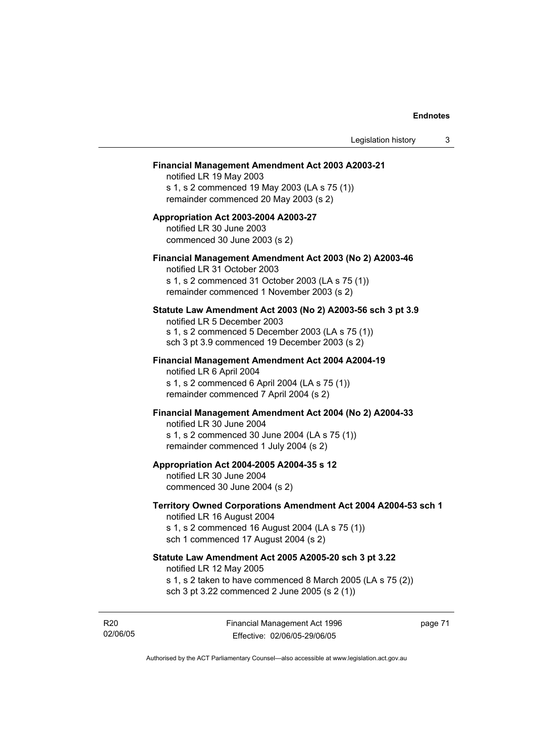### **Financial Management Amendment Act 2003 A2003-21**

notified LR 19 May 2003 s 1, s 2 commenced 19 May 2003 (LA s 75 (1)) remainder commenced 20 May 2003 (s 2)

### **Appropriation Act 2003-2004 A2003-27**  notified LR 30 June 2003 commenced 30 June 2003 (s 2)

### **Financial Management Amendment Act 2003 (No 2) A2003-46**

notified LR 31 October 2003 s 1, s 2 commenced 31 October 2003 (LA s 75 (1)) remainder commenced 1 November 2003 (s 2)

### **Statute Law Amendment Act 2003 (No 2) A2003-56 sch 3 pt 3.9**

notified LR 5 December 2003 s 1, s 2 commenced 5 December 2003 (LA s 75 (1)) sch 3 pt 3.9 commenced 19 December 2003 (s 2)

# **Financial Management Amendment Act 2004 A2004-19**  notified LR 6 April 2004

s 1, s 2 commenced 6 April 2004 (LA s 75 (1)) remainder commenced 7 April 2004 (s 2)

### **Financial Management Amendment Act 2004 (No 2) A2004-33**

notified LR 30 June 2004 s 1, s 2 commenced 30 June 2004 (LA s 75 (1)) remainder commenced 1 July 2004 (s 2)

### **Appropriation Act 2004-2005 A2004-35 s 12**

notified LR 30 June 2004 commenced 30 June 2004 (s 2)

### **Territory Owned Corporations Amendment Act 2004 A2004-53 sch 1**  notified LR 16 August 2004

s 1, s 2 commenced 16 August 2004 (LA s 75 (1)) sch 1 commenced 17 August 2004 (s 2)

# **Statute Law Amendment Act 2005 A2005-20 sch 3 pt 3.22**

notified LR 12 May 2005

- s 1, s 2 taken to have commenced 8 March 2005 (LA s 75 (2))
- sch 3 pt 3.22 commenced 2 June 2005 (s 2 (1))

R20 02/06/05 Financial Management Act 1996 Effective: 02/06/05-29/06/05

page 71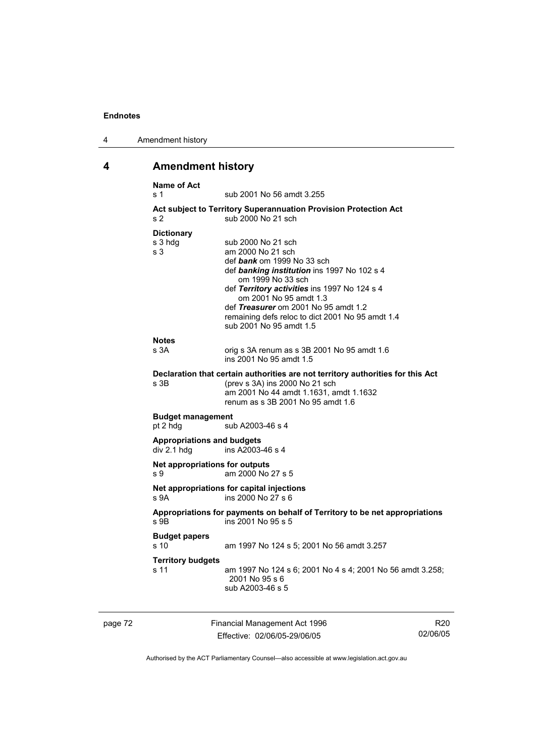| 4 | Amendment history |
|---|-------------------|
|---|-------------------|

# **4 Amendment history**

| s 1            | <b>Name of Act</b>                               | sub 2001 No 56 amdt 3.255                                                                                                                                                                                                                                                                                                                  |                 |
|----------------|--------------------------------------------------|--------------------------------------------------------------------------------------------------------------------------------------------------------------------------------------------------------------------------------------------------------------------------------------------------------------------------------------------|-----------------|
| s <sub>2</sub> |                                                  | Act subject to Territory Superannuation Provision Protection Act<br>sub 2000 No 21 sch                                                                                                                                                                                                                                                     |                 |
| s <sub>3</sub> | <b>Dictionary</b><br>s 3 hdg                     | sub 2000 No 21 sch<br>am 2000 No 21 sch<br>def bank om 1999 No 33 sch<br>def banking institution ins 1997 No 102 s 4<br>om 1999 No 33 sch<br>def Territory activities ins 1997 No 124 s 4<br>om 2001 No 95 amdt 1.3<br>def Treasurer om 2001 No 95 amdt 1.2<br>remaining defs reloc to dict 2001 No 95 amdt 1.4<br>sub 2001 No 95 amdt 1.5 |                 |
|                | <b>Notes</b><br>s 3A                             | orig s 3A renum as s 3B 2001 No 95 amdt 1.6<br>ins 2001 No 95 amdt 1.5                                                                                                                                                                                                                                                                     |                 |
|                | s 3B                                             | Declaration that certain authorities are not territory authorities for this Act<br>(prev s 3A) ins 2000 No 21 sch<br>am 2001 No 44 amdt 1.1631, amdt 1.1632<br>renum as s 3B 2001 No 95 amdt 1.6                                                                                                                                           |                 |
|                | <b>Budget management</b><br>pt 2 hdg             | sub A2003-46 s 4                                                                                                                                                                                                                                                                                                                           |                 |
|                | <b>Appropriations and budgets</b><br>div 2.1 hdg | ins A2003-46 s 4                                                                                                                                                                                                                                                                                                                           |                 |
| s 9            | Net appropriations for outputs                   | am 2000 No 27 s 5                                                                                                                                                                                                                                                                                                                          |                 |
|                | s 9A                                             | Net appropriations for capital injections<br>ins 2000 No 27 s 6                                                                                                                                                                                                                                                                            |                 |
|                | s 9B                                             | Appropriations for payments on behalf of Territory to be net appropriations<br>ins 2001 No 95 s 5                                                                                                                                                                                                                                          |                 |
|                | <b>Budget papers</b><br>s 10                     | am 1997 No 124 s 5; 2001 No 56 amdt 3.257                                                                                                                                                                                                                                                                                                  |                 |
|                | <b>Territory budgets</b><br>s 11                 | am 1997 No 124 s 6; 2001 No 4 s 4; 2001 No 56 amdt 3.258;<br>2001 No 95 s 6<br>sub A2003-46 s 5                                                                                                                                                                                                                                            |                 |
| page 72        |                                                  | Financial Management Act 1996                                                                                                                                                                                                                                                                                                              | R <sub>20</sub> |

Effective: 02/06/05-29/06/05

R20 02/06/05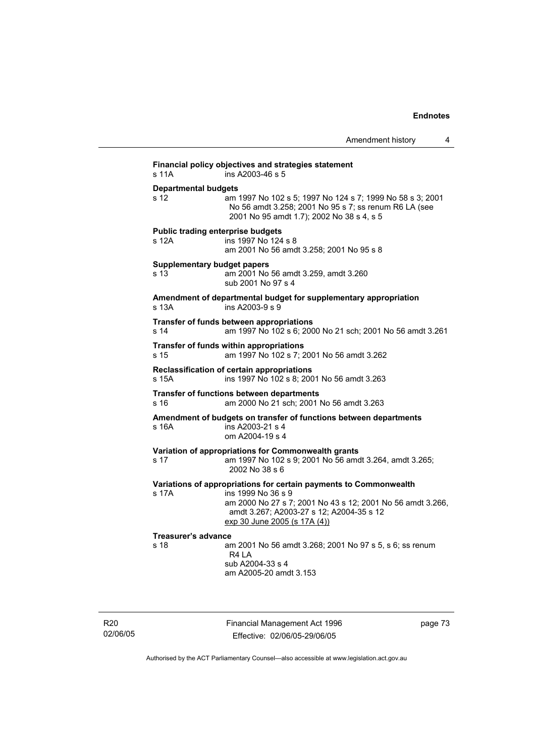Amendment history 4 **Financial policy objectives and strategies statement**  s 11A ins A2003-46 s 5 **Departmental budgets** s 12 am 1997 No 102 s 5; 1997 No 124 s 7; 1999 No 58 s 3; 2001 No 56 amdt 3.258; 2001 No 95 s 7; ss renum R6 LA (see 2001 No 95 amdt 1.7); 2002 No 38 s 4, s 5 **Public trading enterprise budgets** s 12A ins 1997 No 124 s 8 am 2001 No 56 amdt 3.258; 2001 No 95 s 8 **Supplementary budget papers**  s 13 am 2001 No 56 amdt 3.259, amdt 3.260 sub 2001 No 97 s 4 **Amendment of departmental budget for supplementary appropriation**  s 13A ins A2003-9 s 9 **Transfer of funds between appropriations** s 14 am 1997 No 102 s 6; 2000 No 21 sch; 2001 No 56 amdt 3.261 **Transfer of funds within appropriations** s 15 am 1997 No 102 s 7; 2001 No 56 amdt 3.262 **Reclassification of certain appropriations**<br>s 15A ins 1997 No 102 s 8: 200 ins 1997 No 102 s 8; 2001 No 56 amdt 3.263 **Transfer of functions between departments** s 16 am 2000 No 21 sch; 2001 No 56 amdt 3.263 **Amendment of budgets on transfer of functions between departments**  s 16A ins A2003-21 s 4 om A2004-19 s 4 **Variation of appropriations for Commonwealth grants** s 17 am 1997 No 102 s 9; 2001 No 56 amdt 3.264, amdt 3.265; 2002 No 38 s 6 **Variations of appropriations for certain payments to Commonwealth** s 17A ins 1999 No 36 s 9 am 2000 No 27 s 7; 2001 No 43 s 12; 2001 No 56 amdt 3.266, amdt 3.267; A2003-27 s 12; A2004-35 s 12 exp 30 June 2005 (s 17A (4)) **Treasurer's advance**  am 2001 No 56 amdt 3.268; 2001 No 97 s 5, s 6; ss renum R4 LA sub A2004-33 s 4 am A2005-20 amdt 3.153

R20 02/06/05 Financial Management Act 1996 Effective: 02/06/05-29/06/05

page 73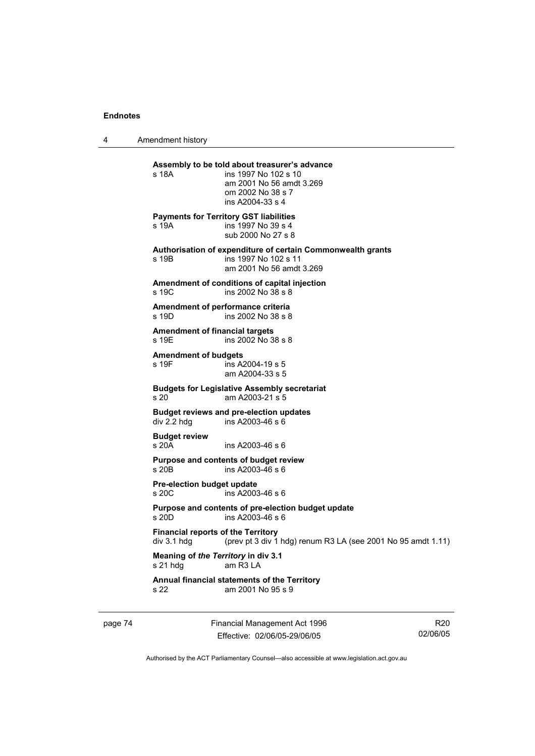4 Amendment history

| s 18A                                                      | Assembly to be told about treasurer's advance<br>ins 1997 No 102 s 10<br>am 2001 No 56 amdt 3.269<br>om 2002 No 38 s 7<br>ins A2004-33 s 4 |
|------------------------------------------------------------|--------------------------------------------------------------------------------------------------------------------------------------------|
| s 19A                                                      | <b>Payments for Territory GST liabilities</b><br>ins 1997 No 39 s 4<br>sub 2000 No 27 s 8                                                  |
| s 19B                                                      | Authorisation of expenditure of certain Commonwealth grants<br>ins 1997 No 102 s 11<br>am 2001 No 56 amdt 3.269                            |
| s 19C                                                      | Amendment of conditions of capital injection<br>ins 2002 No 38 s 8                                                                         |
| s 19D                                                      | Amendment of performance criteria<br>ins 2002 No 38 s 8                                                                                    |
| <b>Amendment of financial targets</b><br>s 19E             | ins 2002 No 38 s 8                                                                                                                         |
| <b>Amendment of budgets</b><br>s 19F                       | ins A2004-19 s 5<br>am A2004-33 s 5                                                                                                        |
| s <sub>20</sub>                                            | <b>Budgets for Legislative Assembly secretariat</b><br>am A2003-21 s 5                                                                     |
| div 2.2 hdg                                                | <b>Budget reviews and pre-election updates</b><br>ins A2003-46 s 6                                                                         |
| <b>Budget review</b><br>s 20A                              | ins A2003-46 s 6                                                                                                                           |
| s 20B                                                      | Purpose and contents of budget review<br>ins A2003-46 s 6                                                                                  |
| Pre-election budget update<br>s 20C                        | ins A2003-46 s 6                                                                                                                           |
| s 20D                                                      | Purpose and contents of pre-election budget update<br>ins A2003-46 s 6                                                                     |
| <b>Financial reports of the Territory</b><br>$div$ 3.1 hdg | (prev pt 3 div 1 hdg) renum R3 LA (see 2001 No 95 amdt 1.11)                                                                               |
| Meaning of the Territory in div 3.1<br>s 21 hdg            | am R3 LA                                                                                                                                   |
| s 22                                                       | Annual financial statements of the Territory<br>am 2001 No 95 s 9                                                                          |
|                                                            |                                                                                                                                            |

page 74 Financial Management Act 1996 Effective: 02/06/05-29/06/05

R20 02/06/05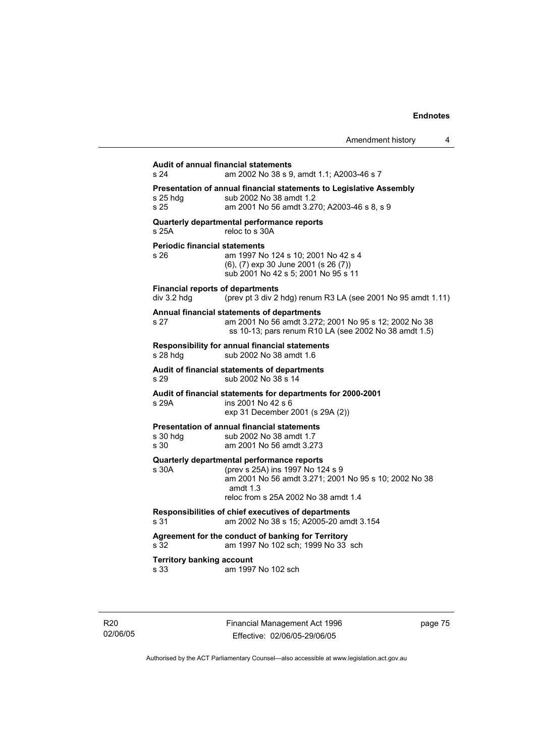| <b>Audit of annual financial statements</b><br>s 24                    | am 2002 No 38 s 9, amdt 1.1; A2003-46 s 7                                                                                                       |
|------------------------------------------------------------------------|-------------------------------------------------------------------------------------------------------------------------------------------------|
| s 25 hda<br>s 25                                                       | Presentation of annual financial statements to Legislative Assembly<br>sub 2002 No 38 amdt 1.2<br>am 2001 No 56 amdt 3.270; A2003-46 s 8, s 9   |
| Quarterly departmental performance reports<br>s 25A                    | reloc to s 30A                                                                                                                                  |
| <b>Periodic financial statements</b><br>s 26                           | am 1997 No 124 s 10; 2001 No 42 s 4<br>(6), (7) exp 30 June 2001 (s 26 (7))<br>sub 2001 No 42 s 5; 2001 No 95 s 11                              |
| <b>Financial reports of departments</b><br>div 3.2 hdg                 | (prev pt 3 div 2 hdg) renum R3 LA (see 2001 No 95 amdt 1.11)                                                                                    |
| Annual financial statements of departments<br>s 27                     | am 2001 No 56 amdt 3.272; 2001 No 95 s 12; 2002 No 38<br>ss 10-13; pars renum R10 LA (see 2002 No 38 amdt 1.5)                                  |
| <b>Responsibility for annual financial statements</b><br>s 28 hdg      | sub 2002 No 38 amdt 1.6                                                                                                                         |
| Audit of financial statements of departments<br>s 29                   | sub 2002 No 38 s 14                                                                                                                             |
| s 29A                                                                  | Audit of financial statements for departments for 2000-2001<br>ins 2001 No 42 s 6<br>exp 31 December 2001 (s 29A (2))                           |
| <b>Presentation of annual financial statements</b><br>s 30 hdq<br>s 30 | sub 2002 No 38 amdt 1.7<br>am 2001 No 56 amdt 3.273                                                                                             |
| Quarterly departmental performance reports<br>s 30A                    | (prev s 25A) ins 1997 No 124 s 9<br>am 2001 No 56 amdt 3.271; 2001 No 95 s 10; 2002 No 38<br>amdt $1.3$<br>reloc from s 25A 2002 No 38 amdt 1.4 |
| s 31                                                                   | Responsibilities of chief executives of departments<br>am 2002 No 38 s 15; A2005-20 amdt 3.154                                                  |
| s 32                                                                   | Agreement for the conduct of banking for Territory<br>am 1997 No 102 sch: 1999 No 33 sch                                                        |
| <b>Territory banking account</b><br>s 33                               | am 1997 No 102 sch                                                                                                                              |

R20 02/06/05 Financial Management Act 1996 Effective: 02/06/05-29/06/05

page 75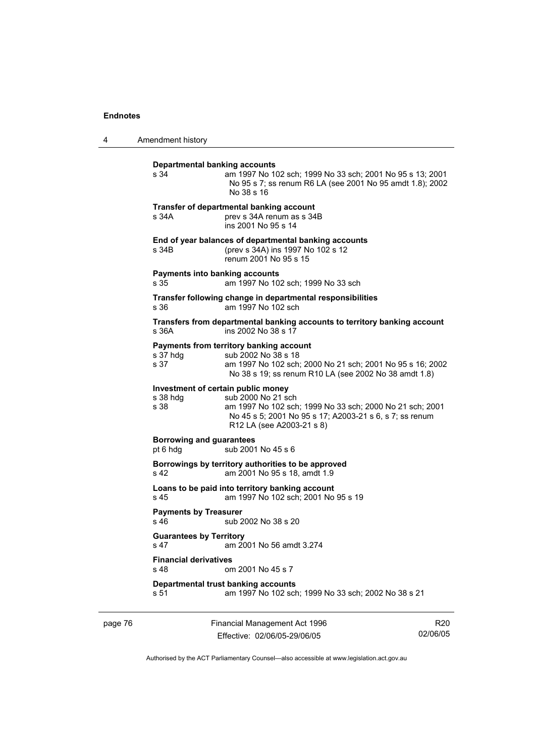4 Amendment history

| Departmental banking accounts<br>s 34                  | am 1997 No 102 sch; 1999 No 33 sch; 2001 No 95 s 13; 2001<br>No 95 s 7; ss renum R6 LA (see 2001 No 95 amdt 1.8); 2002<br>No 38 s 16                                                 |
|--------------------------------------------------------|--------------------------------------------------------------------------------------------------------------------------------------------------------------------------------------|
| s 34A                                                  | Transfer of departmental banking account<br>prev s 34A renum as s 34B<br>ins 2001 No 95 s 14                                                                                         |
| s 34B                                                  | End of year balances of departmental banking accounts<br>(prev s 34A) ins 1997 No 102 s 12<br>renum 2001 No 95 s 15                                                                  |
| Payments into banking accounts<br>s 35                 | am 1997 No 102 sch; 1999 No 33 sch                                                                                                                                                   |
| s.36                                                   | Transfer following change in departmental responsibilities<br>am 1997 No 102 sch                                                                                                     |
| s 36A                                                  | Transfers from departmental banking accounts to territory banking account<br>ins 2002 No 38 s 17                                                                                     |
| s 37 hdg<br>s 37                                       | Payments from territory banking account<br>sub 2002 No 38 s 18<br>am 1997 No 102 sch; 2000 No 21 sch; 2001 No 95 s 16; 2002<br>No 38 s 19; ss renum R10 LA (see 2002 No 38 amdt 1.8) |
| Investment of certain public money<br>s 38 hda<br>s 38 | sub 2000 No 21 sch<br>am 1997 No 102 sch; 1999 No 33 sch; 2000 No 21 sch; 2001<br>No 45 s 5; 2001 No 95 s 17; A2003-21 s 6, s 7; ss renum<br>R12 LA (see A2003-21 s 8)               |
| <b>Borrowing and guarantees</b><br>pt 6 hdg            | sub 2001 No 45 s 6                                                                                                                                                                   |
| s 42                                                   | Borrowings by territory authorities to be approved<br>am 2001 No 95 s 18, amdt 1.9                                                                                                   |
| s 45                                                   | Loans to be paid into territory banking account<br>am 1997 No 102 sch; 2001 No 95 s 19                                                                                               |
| <b>Payments by Treasurer</b><br>s 46                   | sub 2002 No 38 s 20                                                                                                                                                                  |
| <b>Guarantees by Territory</b><br>s 47                 | am 2001 No 56 amdt 3.274                                                                                                                                                             |
| <b>Financial derivatives</b><br>s 48                   | om 2001 No 45 s 7                                                                                                                                                                    |
| s 51                                                   | Departmental trust banking accounts<br>am 1997 No 102 sch; 1999 No 33 sch; 2002 No 38 s 21                                                                                           |
|                                                        |                                                                                                                                                                                      |

page 76 Financial Management Act 1996 Effective: 02/06/05-29/06/05

R20 02/06/05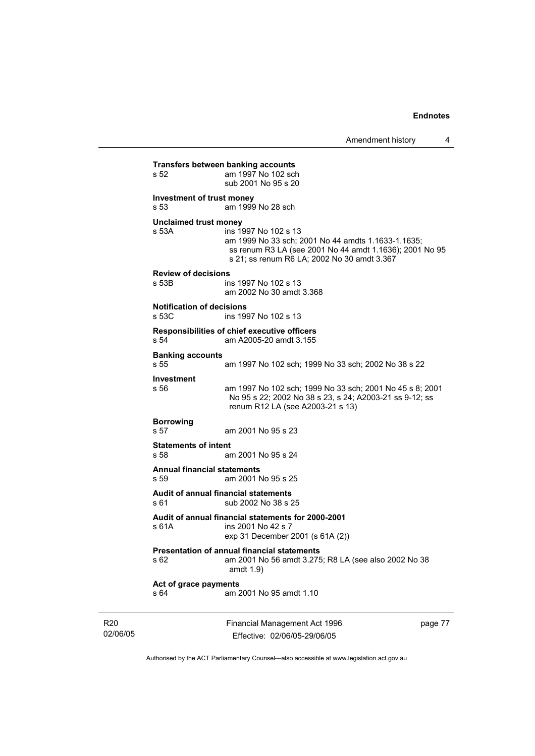02/06/05 Financial Management Act 1996 Effective: 02/06/05-29/06/05 page 77 **Transfers between banking accounts** s 52 am 1997 No 102 sch sub 2001 No 95 s 20 **Investment of trust money**  s 53 am 1999 No 28 sch **Unclaimed trust money**  s 53A ins 1997 No 102 s 13 am 1999 No 33 sch; 2001 No 44 amdts 1.1633-1.1635; ss renum R3 LA (see 2001 No 44 amdt 1.1636); 2001 No 95 s 21; ss renum R6 LA; 2002 No 30 amdt 3.367 **Review of decisions**  ins 1997 No 102 s 13 am 2002 No 30 amdt 3.368 **Notification of decisions**  ins 1997 No 102 s 13 **Responsibilities of chief executive officers**  am A2005-20 amdt 3.155 **Banking accounts**  s 55 am 1997 No 102 sch; 1999 No 33 sch; 2002 No 38 s 22 **Investment**  am 1997 No 102 sch; 1999 No 33 sch; 2001 No 45 s 8; 2001 No 95 s 22; 2002 No 38 s 23, s 24; A2003-21 ss 9-12; ss renum R12 LA (see A2003-21 s 13) **Borrowing**  s 57 am 2001 No 95 s 23 **Statements of intent**  s 58 am 2001 No 95 s 24 **Annual financial statements**  s 59 am 2001 No 95 s 25 **Audit of annual financial statements**  s 61 sub 2002 No 38 s 25 **Audit of annual financial statements for 2000-2001**  ins 2001 No 42 s 7 exp 31 December 2001 (s 61A (2)) **Presentation of annual financial statements**  s 62 am 2001 No 56 amdt 3.275; R8 LA (see also 2002 No 38 amdt 1.9) **Act of grace payments**  s 64 am 2001 No 95 amdt 1.10

Authorised by the ACT Parliamentary Counsel—also accessible at www.legislation.act.gov.au

R20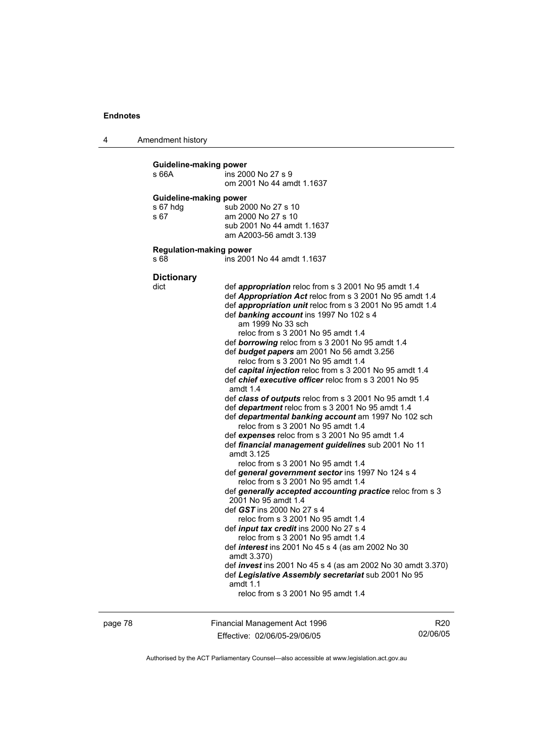4 Amendment history

| Guideline-making power<br>s 66A                   | ins 2000 No 27 s 9<br>om 2001 No 44 amdt 1.1637                                                                                                                                                                                                                                                                                                                                                                                                                                                                                                                                                                                                                                                                                                                                                                                                                                                                                                                                                                                                                                                                                                                                                                                                                                                                                                                                                                                                                                                                                                                             |
|---------------------------------------------------|-----------------------------------------------------------------------------------------------------------------------------------------------------------------------------------------------------------------------------------------------------------------------------------------------------------------------------------------------------------------------------------------------------------------------------------------------------------------------------------------------------------------------------------------------------------------------------------------------------------------------------------------------------------------------------------------------------------------------------------------------------------------------------------------------------------------------------------------------------------------------------------------------------------------------------------------------------------------------------------------------------------------------------------------------------------------------------------------------------------------------------------------------------------------------------------------------------------------------------------------------------------------------------------------------------------------------------------------------------------------------------------------------------------------------------------------------------------------------------------------------------------------------------------------------------------------------------|
| <b>Guideline-making power</b><br>s 67 hdg<br>s 67 | sub 2000 No 27 s 10<br>am 2000 No 27 s 10<br>sub 2001 No 44 amdt 1.1637<br>am A2003-56 amdt 3.139                                                                                                                                                                                                                                                                                                                                                                                                                                                                                                                                                                                                                                                                                                                                                                                                                                                                                                                                                                                                                                                                                                                                                                                                                                                                                                                                                                                                                                                                           |
| <b>Regulation-making power</b><br>s 68            | ins 2001 No 44 amdt 1.1637                                                                                                                                                                                                                                                                                                                                                                                                                                                                                                                                                                                                                                                                                                                                                                                                                                                                                                                                                                                                                                                                                                                                                                                                                                                                                                                                                                                                                                                                                                                                                  |
| <b>Dictionary</b><br>dict                         | def <i>appropriation</i> reloc from s 3 2001 No 95 amdt 1.4<br>def <b>Appropriation Act</b> reloc from s 3 2001 No 95 amdt 1.4<br>def appropriation unit reloc from s 3 2001 No 95 amdt 1.4<br>def banking account ins 1997 No 102 s 4<br>am 1999 No 33 sch<br>reloc from s 3 2001 No 95 amdt 1.4<br>def <b>borrowing</b> reloc from s 3 2001 No 95 amdt 1.4<br>def <b>budget papers</b> am 2001 No 56 amdt 3.256<br>reloc from s 3 2001 No 95 amdt 1.4<br>def capital injection reloc from s 3 2001 No 95 amdt 1.4<br>def <i>chief executive officer</i> reloc from s 3 2001 No 95<br>amdt $1.4$<br>def class of outputs reloc from s 3 2001 No 95 amdt 1.4<br>def department reloc from s 3 2001 No 95 amdt 1.4<br>def departmental banking account am 1997 No 102 sch<br>reloc from s 3 2001 No 95 amdt 1.4<br>def expenses reloc from s 3 2001 No 95 amdt 1.4<br>def financial management guidelines sub 2001 No 11<br>amdt 3.125<br>reloc from s 3 2001 No 95 amdt 1.4<br>def general government sector ins 1997 No 124 s 4<br>reloc from s 3 2001 No 95 amdt 1.4<br>def generally accepted accounting practice reloc from s 3<br>2001 No 95 amdt 1.4<br>def GST ins 2000 No 27 s 4<br>reloc from s 3 2001 No 95 amdt 1.4<br>def input tax credit ins 2000 No 27 s 4<br>reloc from s 3 2001 No 95 amdt 1.4<br>def <i>interest</i> ins 2001 No 45 s 4 (as am 2002 No 30<br>amdt 3.370)<br>def <i>invest</i> ins 2001 No 45 s 4 (as am 2002 No 30 amdt 3.370)<br>def Legislative Assembly secretariat sub 2001 No 95<br>amdt $1.1$<br>reloc from s 3 2001 No 95 amdt 1.4 |

page 78 Financial Management Act 1996 Effective: 02/06/05-29/06/05

R20 02/06/05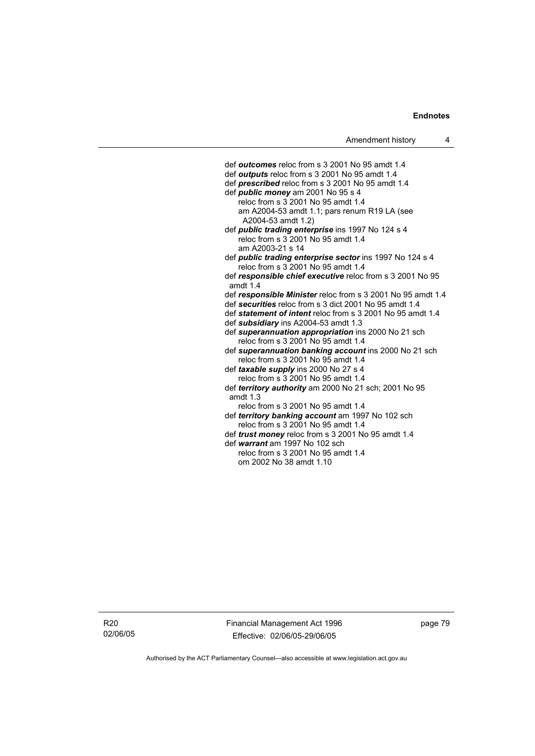def *outcomes* reloc from s 3 2001 No 95 amdt 1.4 def *outputs* reloc from s 3 2001 No 95 amdt 1.4 def *prescribed* reloc from s 3 2001 No 95 amdt 1.4 def *public money* am 2001 No 95 s 4 reloc from  $s$  3 2001 No 95 amdt 1.4 am A2004-53 amdt 1.1; pars renum R19 LA (see A2004-53 amdt 1.2) def *public trading enterprise* ins 1997 No 124 s 4 reloc from s 3 2001 No 95 amdt 1.4 am A2003-21 s 14 def *public trading enterprise sector* ins 1997 No 124 s 4 reloc from s 3 2001 No 95 amdt 1.4 def *responsible chief executive* reloc from s 3 2001 No 95 amdt 1.4 def *responsible Minister* reloc from s 3 2001 No 95 amdt 1.4 def *securities* reloc from s 3 dict 2001 No 95 amdt 1.4 def *statement of intent* reloc from s 3 2001 No 95 amdt 1.4 def *subsidiary* ins A2004-53 amdt 1.3 def *superannuation appropriation* ins 2000 No 21 sch reloc from s 3 2001 No 95 amdt 1.4 def *superannuation banking account* ins 2000 No 21 sch reloc from s 3 2001 No 95 amdt 1.4 def *taxable supply* ins 2000 No 27 s 4 reloc from s 3 2001 No 95 amdt 1.4 def *territory authority* am 2000 No 21 sch; 2001 No 95 amdt 1.3 reloc from s 3 2001 No 95 amdt 1.4 def *territory banking account* am 1997 No 102 sch reloc from s 3 2001 No 95 amdt 1.4 def *trust money* reloc from s 3 2001 No 95 amdt 1.4 def *warrant* am 1997 No 102 sch

 reloc from s 3 2001 No 95 amdt 1.4 om 2002 No 38 amdt 1.10

R20 02/06/05 Financial Management Act 1996 Effective: 02/06/05-29/06/05

page 79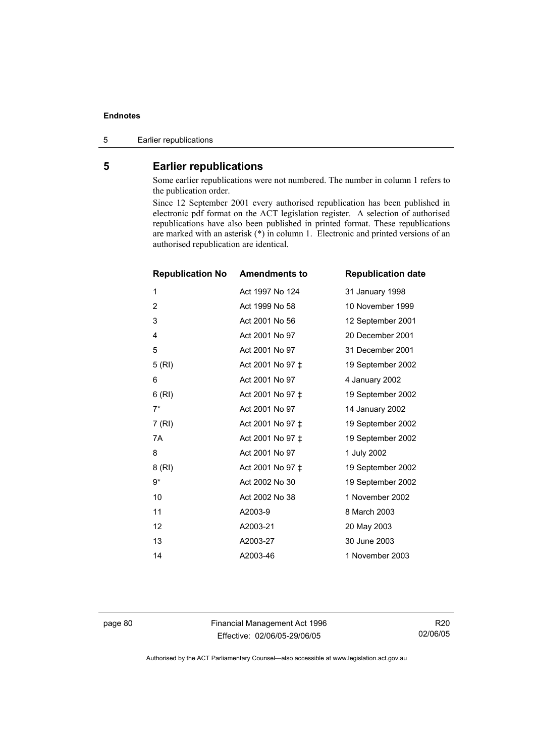5 Earlier republications

# **5 Earlier republications**

Some earlier republications were not numbered. The number in column 1 refers to the publication order.

Since 12 September 2001 every authorised republication has been published in electronic pdf format on the ACT legislation register. A selection of authorised republications have also been published in printed format. These republications are marked with an asterisk (\*) in column 1. Electronic and printed versions of an authorised republication are identical.

| <b>Republication No</b> | <b>Amendments to</b> | <b>Republication date</b> |
|-------------------------|----------------------|---------------------------|
| 1                       | Act 1997 No 124      | 31 January 1998           |
| 2                       | Act 1999 No 58       | 10 November 1999          |
| 3                       | Act 2001 No 56       | 12 September 2001         |
| 4                       | Act 2001 No 97       | 20 December 2001          |
| 5                       | Act 2001 No 97       | 31 December 2001          |
| 5(RI)                   | Act 2001 No 97 ±     | 19 September 2002         |
| 6                       | Act 2001 No 97       | 4 January 2002            |
| 6(RI)                   | Act 2001 No 97 ±     | 19 September 2002         |
| $7^*$                   | Act 2001 No 97       | 14 January 2002           |
| 7 (RI)                  | Act 2001 No 97 ±     | 19 September 2002         |
| 7A                      | Act 2001 No 97 ‡     | 19 September 2002         |
| 8                       | Act 2001 No 97       | 1 July 2002               |
| 8 (RI)                  | Act 2001 No 97 ‡     | 19 September 2002         |
| 9*                      | Act 2002 No 30       | 19 September 2002         |
| 10                      | Act 2002 No 38       | 1 November 2002           |
| 11                      | A2003-9              | 8 March 2003              |
| 12                      | A2003-21             | 20 May 2003               |
| 13                      | A2003-27             | 30 June 2003              |
| 14                      | A2003-46             | 1 November 2003           |

page 80 Financial Management Act 1996 Effective: 02/06/05-29/06/05

R20 02/06/05